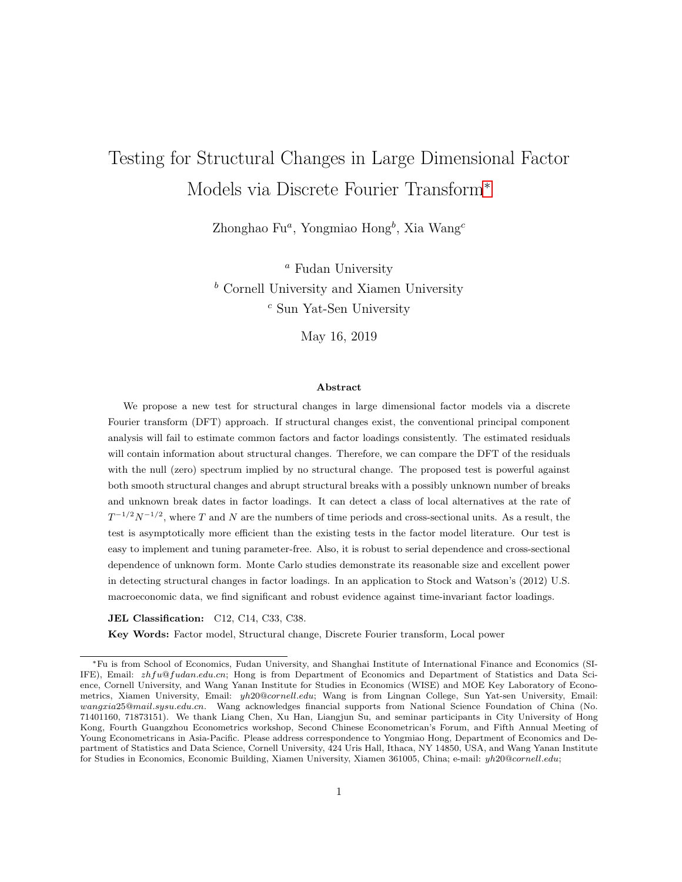# Testing for Structural Changes in Large Dimensional Factor Models via Discrete Fourier Transform<sup>∗</sup>

Zhonghao Fu<sup>a</sup>, Yongmiao Hong<sup>b</sup>, Xia Wang<sup>c</sup>

<sup>*a*</sup> Fudan University  $<sup>b</sup>$  Cornell University and Xiamen University</sup> <sup>c</sup> Sun Yat-Sen University

May 16, 2019

#### Abstract

We propose a new test for structural changes in large dimensional factor models via a discrete Fourier transform (DFT) approach. If structural changes exist, the conventional principal component analysis will fail to estimate common factors and factor loadings consistently. The estimated residuals will contain information about structural changes. Therefore, we can compare the DFT of the residuals with the null (zero) spectrum implied by no structural change. The proposed test is powerful against both smooth structural changes and abrupt structural breaks with a possibly unknown number of breaks and unknown break dates in factor loadings. It can detect a class of local alternatives at the rate of  $T^{-1/2}N^{-1/2}$ , where T and N are the numbers of time periods and cross-sectional units. As a result, the test is asymptotically more efficient than the existing tests in the factor model literature. Our test is easy to implement and tuning parameter-free. Also, it is robust to serial dependence and cross-sectional dependence of unknown form. Monte Carlo studies demonstrate its reasonable size and excellent power in detecting structural changes in factor loadings. In an application to Stock and Watson's (2012) U.S. macroeconomic data, we find significant and robust evidence against time-invariant factor loadings.

JEL Classification: C12, C14, C33, C38.

Key Words: Factor model, Structural change, Discrete Fourier transform, Local power

<sup>∗</sup>Fu is from School of Economics, Fudan University, and Shanghai Institute of International Finance and Economics (SI-IFE), Email: zhfu@fudan.edu.cn; Hong is from Department of Economics and Department of Statistics and Data Science, Cornell University, and Wang Yanan Institute for Studies in Economics (WISE) and MOE Key Laboratory of Econometrics, Xiamen University, Email: yh20@cornell.edu; Wang is from Lingnan College, Sun Yat-sen University, Email: wangxia25@mail.sysu.edu.cn. Wang acknowledges financial supports from National Science Foundation of China (No. 71401160, 71873151). We thank Liang Chen, Xu Han, Liangjun Su, and seminar participants in City University of Hong Kong, Fourth Guangzhou Econometrics workshop, Second Chinese Econometrican's Forum, and Fifth Annual Meeting of Young Econometricans in Asia-Pacific. Please address correspondence to Yongmiao Hong, Department of Economics and Department of Statistics and Data Science, Cornell University, 424 Uris Hall, Ithaca, NY 14850, USA, and Wang Yanan Institute for Studies in Economics, Economic Building, Xiamen University, Xiamen 361005, China; e-mail: yh20@cornell.edu;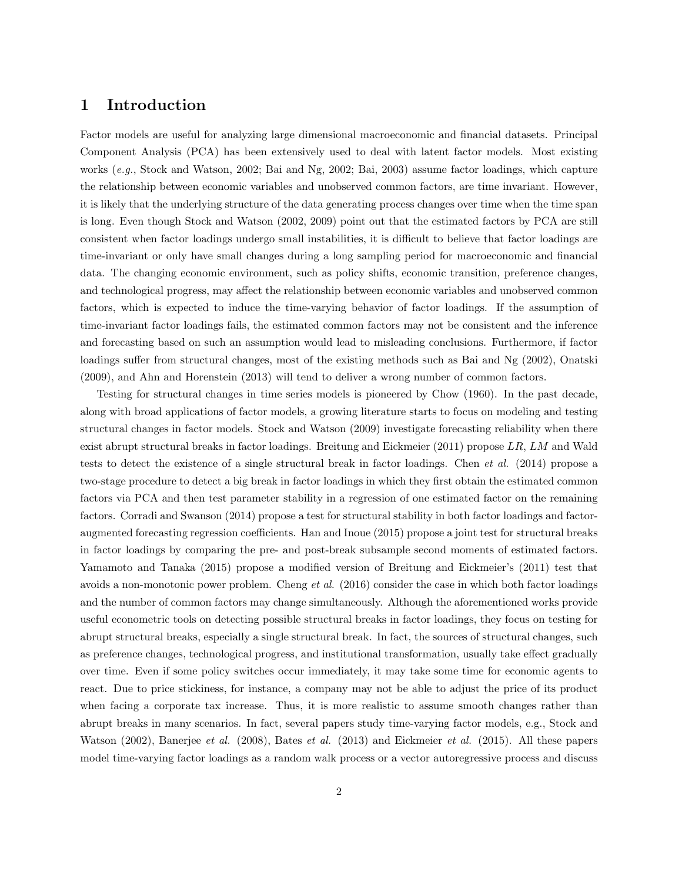## 1 Introduction

Factor models are useful for analyzing large dimensional macroeconomic and financial datasets. Principal Component Analysis (PCA) has been extensively used to deal with latent factor models. Most existing works (e.g., Stock and Watson, 2002; Bai and Ng, 2002; Bai, 2003) assume factor loadings, which capture the relationship between economic variables and unobserved common factors, are time invariant. However, it is likely that the underlying structure of the data generating process changes over time when the time span is long. Even though Stock and Watson (2002, 2009) point out that the estimated factors by PCA are still consistent when factor loadings undergo small instabilities, it is difficult to believe that factor loadings are time-invariant or only have small changes during a long sampling period for macroeconomic and financial data. The changing economic environment, such as policy shifts, economic transition, preference changes, and technological progress, may affect the relationship between economic variables and unobserved common factors, which is expected to induce the time-varying behavior of factor loadings. If the assumption of time-invariant factor loadings fails, the estimated common factors may not be consistent and the inference and forecasting based on such an assumption would lead to misleading conclusions. Furthermore, if factor loadings suffer from structural changes, most of the existing methods such as Bai and Ng (2002), Onatski (2009), and Ahn and Horenstein (2013) will tend to deliver a wrong number of common factors.

Testing for structural changes in time series models is pioneered by Chow (1960). In the past decade, along with broad applications of factor models, a growing literature starts to focus on modeling and testing structural changes in factor models. Stock and Watson (2009) investigate forecasting reliability when there exist abrupt structural breaks in factor loadings. Breitung and Eickmeier (2011) propose LR, LM and Wald tests to detect the existence of a single structural break in factor loadings. Chen et al. (2014) propose a two-stage procedure to detect a big break in factor loadings in which they first obtain the estimated common factors via PCA and then test parameter stability in a regression of one estimated factor on the remaining factors. Corradi and Swanson (2014) propose a test for structural stability in both factor loadings and factoraugmented forecasting regression coefficients. Han and Inoue (2015) propose a joint test for structural breaks in factor loadings by comparing the pre- and post-break subsample second moments of estimated factors. Yamamoto and Tanaka (2015) propose a modified version of Breitung and Eickmeier's (2011) test that avoids a non-monotonic power problem. Cheng *et al.*  $(2016)$  consider the case in which both factor loadings and the number of common factors may change simultaneously. Although the aforementioned works provide useful econometric tools on detecting possible structural breaks in factor loadings, they focus on testing for abrupt structural breaks, especially a single structural break. In fact, the sources of structural changes, such as preference changes, technological progress, and institutional transformation, usually take effect gradually over time. Even if some policy switches occur immediately, it may take some time for economic agents to react. Due to price stickiness, for instance, a company may not be able to adjust the price of its product when facing a corporate tax increase. Thus, it is more realistic to assume smooth changes rather than abrupt breaks in many scenarios. In fact, several papers study time-varying factor models, e.g., Stock and Watson (2002), Banerjee et al. (2008), Bates et al. (2013) and Eickmeier et al. (2015). All these papers model time-varying factor loadings as a random walk process or a vector autoregressive process and discuss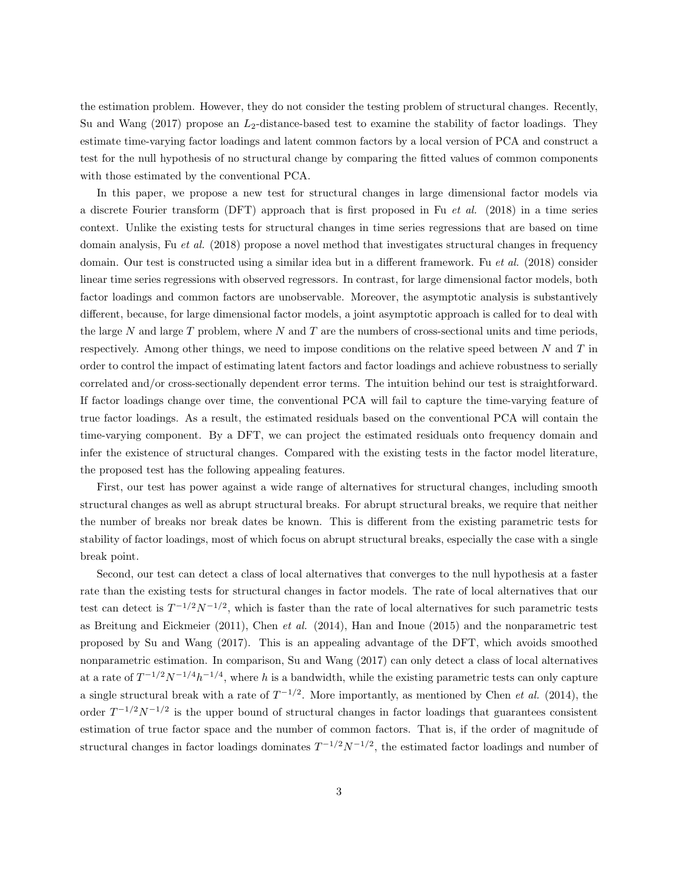the estimation problem. However, they do not consider the testing problem of structural changes. Recently, Su and Wang  $(2017)$  propose an  $L_2$ -distance-based test to examine the stability of factor loadings. They estimate time-varying factor loadings and latent common factors by a local version of PCA and construct a test for the null hypothesis of no structural change by comparing the fitted values of common components with those estimated by the conventional PCA.

In this paper, we propose a new test for structural changes in large dimensional factor models via a discrete Fourier transform (DFT) approach that is first proposed in Fu et al. (2018) in a time series context. Unlike the existing tests for structural changes in time series regressions that are based on time domain analysis, Fu et al. (2018) propose a novel method that investigates structural changes in frequency domain. Our test is constructed using a similar idea but in a different framework. Fu et al. (2018) consider linear time series regressions with observed regressors. In contrast, for large dimensional factor models, both factor loadings and common factors are unobservable. Moreover, the asymptotic analysis is substantively different, because, for large dimensional factor models, a joint asymptotic approach is called for to deal with the large N and large T problem, where N and T are the numbers of cross-sectional units and time periods, respectively. Among other things, we need to impose conditions on the relative speed between  $N$  and  $T$  in order to control the impact of estimating latent factors and factor loadings and achieve robustness to serially correlated and/or cross-sectionally dependent error terms. The intuition behind our test is straightforward. If factor loadings change over time, the conventional PCA will fail to capture the time-varying feature of true factor loadings. As a result, the estimated residuals based on the conventional PCA will contain the time-varying component. By a DFT, we can project the estimated residuals onto frequency domain and infer the existence of structural changes. Compared with the existing tests in the factor model literature, the proposed test has the following appealing features.

First, our test has power against a wide range of alternatives for structural changes, including smooth structural changes as well as abrupt structural breaks. For abrupt structural breaks, we require that neither the number of breaks nor break dates be known. This is different from the existing parametric tests for stability of factor loadings, most of which focus on abrupt structural breaks, especially the case with a single break point.

Second, our test can detect a class of local alternatives that converges to the null hypothesis at a faster rate than the existing tests for structural changes in factor models. The rate of local alternatives that our test can detect is  $T^{-1/2}N^{-1/2}$ , which is faster than the rate of local alternatives for such parametric tests as Breitung and Eickmeier (2011), Chen et al. (2014), Han and Inoue (2015) and the nonparametric test proposed by Su and Wang (2017). This is an appealing advantage of the DFT, which avoids smoothed nonparametric estimation. In comparison, Su and Wang (2017) can only detect a class of local alternatives at a rate of  $T^{-1/2}N^{-1/4}h^{-1/4}$ , where h is a bandwidth, while the existing parametric tests can only capture a single structural break with a rate of  $T^{-1/2}$ . More importantly, as mentioned by Chen *et al.* (2014), the order  $T^{-1/2}N^{-1/2}$  is the upper bound of structural changes in factor loadings that guarantees consistent estimation of true factor space and the number of common factors. That is, if the order of magnitude of structural changes in factor loadings dominates  $T^{-1/2}N^{-1/2}$ , the estimated factor loadings and number of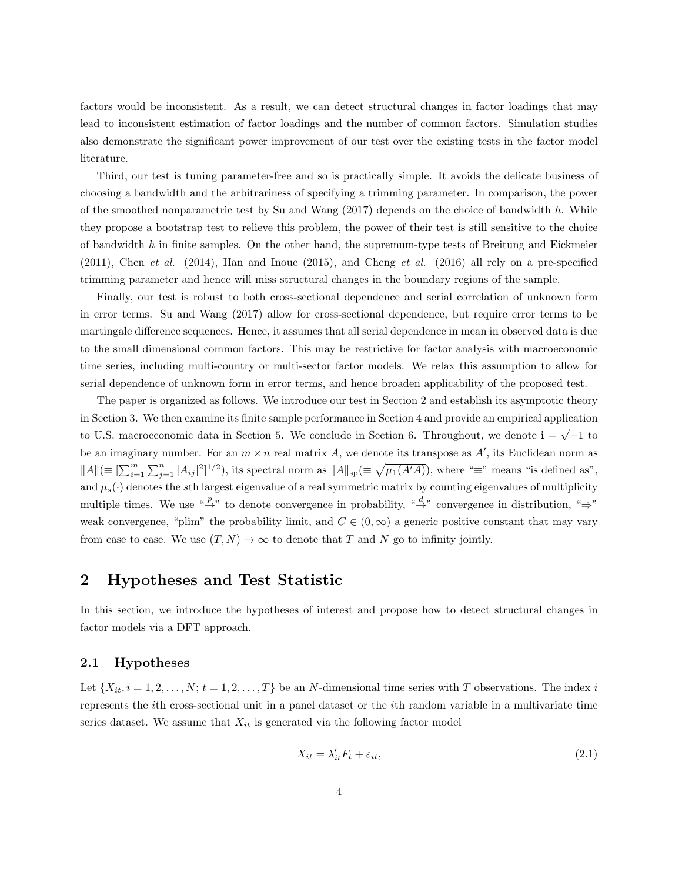factors would be inconsistent. As a result, we can detect structural changes in factor loadings that may lead to inconsistent estimation of factor loadings and the number of common factors. Simulation studies also demonstrate the significant power improvement of our test over the existing tests in the factor model literature.

Third, our test is tuning parameter-free and so is practically simple. It avoids the delicate business of choosing a bandwidth and the arbitrariness of specifying a trimming parameter. In comparison, the power of the smoothed nonparametric test by Su and Wang  $(2017)$  depends on the choice of bandwidth h. While they propose a bootstrap test to relieve this problem, the power of their test is still sensitive to the choice of bandwidth  $h$  in finite samples. On the other hand, the supremum-type tests of Breitung and Eickmeier  $(2011)$ , Chen et al.  $(2014)$ , Han and Inoue  $(2015)$ , and Cheng et al.  $(2016)$  all rely on a pre-specified trimming parameter and hence will miss structural changes in the boundary regions of the sample.

Finally, our test is robust to both cross-sectional dependence and serial correlation of unknown form in error terms. Su and Wang (2017) allow for cross-sectional dependence, but require error terms to be martingale difference sequences. Hence, it assumes that all serial dependence in mean in observed data is due to the small dimensional common factors. This may be restrictive for factor analysis with macroeconomic time series, including multi-country or multi-sector factor models. We relax this assumption to allow for serial dependence of unknown form in error terms, and hence broaden applicability of the proposed test.

The paper is organized as follows. We introduce our test in Section 2 and establish its asymptotic theory in Section 3. We then examine its finite sample performance in Section 4 and provide an empirical application to U.S. macroeconomic data in Section 5. We conclude in Section 6. Throughout, we denote  $\mathbf{i} = \sqrt{-1}$  to be an imaginary number. For an  $m \times n$  real matrix A, we denote its transpose as  $A'$ , its Euclidean norm as  $||A|| \equiv \left[\sum_{i=1}^m \sum_{j=1}^n |A_{ij}|^2\right]^{1/2}$ , its spectral norm as  $||A||_{\text{sp}} \equiv \sqrt{\mu_1(A'A)}$ , where " $\equiv$ " means "is defined as", and  $\mu_s(\cdot)$  denotes the sth largest eigenvalue of a real symmetric matrix by counting eigenvalues of multiplicity multiple times. We use " $\stackrel{p}{\rightarrow}$ " to denote convergence in probability, " $\stackrel{d}{\rightarrow}$ " convergence in distribution, " $\Rightarrow$ " weak convergence, "plim" the probability limit, and  $C \in (0,\infty)$  a generic positive constant that may vary from case to case. We use  $(T, N) \to \infty$  to denote that T and N go to infinity jointly.

## 2 Hypotheses and Test Statistic

In this section, we introduce the hypotheses of interest and propose how to detect structural changes in factor models via a DFT approach.

#### 2.1 Hypotheses

Let  $\{X_{it}, i = 1, 2, \ldots, N; t = 1, 2, \ldots, T\}$  be an N-dimensional time series with T observations. The index i represents the ith cross-sectional unit in a panel dataset or the ith random variable in a multivariate time series dataset. We assume that  $X_{it}$  is generated via the following factor model

<span id="page-3-0"></span>
$$
X_{it} = \lambda'_{it} F_t + \varepsilon_{it},\tag{2.1}
$$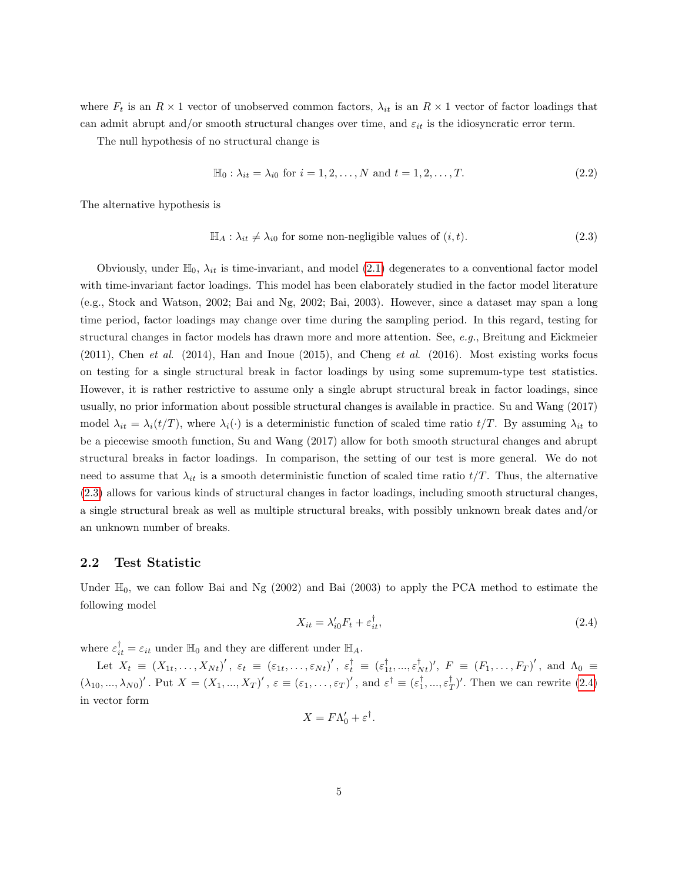where  $F_t$  is an  $R \times 1$  vector of unobserved common factors,  $\lambda_{it}$  is an  $R \times 1$  vector of factor loadings that can admit abrupt and/or smooth structural changes over time, and  $\varepsilon_{it}$  is the idiosyncratic error term.

The null hypothesis of no structural change is

$$
\mathbb{H}_0: \lambda_{it} = \lambda_{i0} \text{ for } i = 1, 2, ..., N \text{ and } t = 1, 2, ..., T.
$$
 (2.2)

The alternative hypothesis is

<span id="page-4-0"></span>
$$
\mathbb{H}_A: \lambda_{it} \neq \lambda_{i0} \text{ for some non-negligible values of } (i, t). \tag{2.3}
$$

Obviously, under  $\mathbb{H}_0$ ,  $\lambda_{it}$  is time-invariant, and model [\(2.1\)](#page-3-0) degenerates to a conventional factor model with time-invariant factor loadings. This model has been elaborately studied in the factor model literature (e.g., Stock and Watson, 2002; Bai and Ng, 2002; Bai, 2003). However, since a dataset may span a long time period, factor loadings may change over time during the sampling period. In this regard, testing for structural changes in factor models has drawn more and more attention. See, e.g., Breitung and Eickmeier  $(2011)$ , Chen et al.  $(2014)$ , Han and Inoue  $(2015)$ , and Cheng et al.  $(2016)$ . Most existing works focus on testing for a single structural break in factor loadings by using some supremum-type test statistics. However, it is rather restrictive to assume only a single abrupt structural break in factor loadings, since usually, no prior information about possible structural changes is available in practice. Su and Wang (2017) model  $\lambda_{it} = \lambda_i(t/T)$ , where  $\lambda_i(\cdot)$  is a deterministic function of scaled time ratio  $t/T$ . By assuming  $\lambda_{it}$  to be a piecewise smooth function, Su and Wang (2017) allow for both smooth structural changes and abrupt structural breaks in factor loadings. In comparison, the setting of our test is more general. We do not need to assume that  $\lambda_{it}$  is a smooth deterministic function of scaled time ratio  $t/T$ . Thus, the alternative (2.[3\)](#page-4-0) allows for various kinds of structural changes in factor loadings, including smooth structural changes, a single structural break as well as multiple structural breaks, with possibly unknown break dates and/or an unknown number of breaks.

#### 2.2 Test Statistic

Under  $\mathbb{H}_0$ , we can follow Bai and Ng (2002) and Bai (2003) to apply the PCA method to estimate the following model

<span id="page-4-1"></span>
$$
X_{it} = \lambda_{i0}' F_t + \varepsilon_{it}^\dagger,\tag{2.4}
$$

where  $\varepsilon_{it}^{\dagger} = \varepsilon_{it}$  under  $\mathbb{H}_0$  and they are different under  $\mathbb{H}_A$ .

Let  $X_t \equiv (X_{1t}, \ldots, X_{Nt})'$ ,  $\varepsilon_t \equiv (\varepsilon_{1t}, \ldots, \varepsilon_{Nt})'$ ,  $\varepsilon_t^{\dagger} \equiv (\varepsilon_{1t}^{\dagger}, \ldots, \varepsilon_{Nt}^{\dagger})'$ ,  $F \equiv (F_1, \ldots, F_T)'$ , and  $\Lambda_0 \equiv$  $(\lambda_{10},...,\lambda_{N0})'$ . Put  $X = (X_1,...,X_T)'$ ,  $\varepsilon \equiv (\varepsilon_1,...,\varepsilon_T)'$ , and  $\varepsilon^{\dagger} \equiv (\varepsilon_1^{\dagger},...,\varepsilon_T^{\dagger})'$ . Then we can rewrite  $(2.4)$ in vector form

$$
X = F\Lambda_0' + \varepsilon^{\dagger}.
$$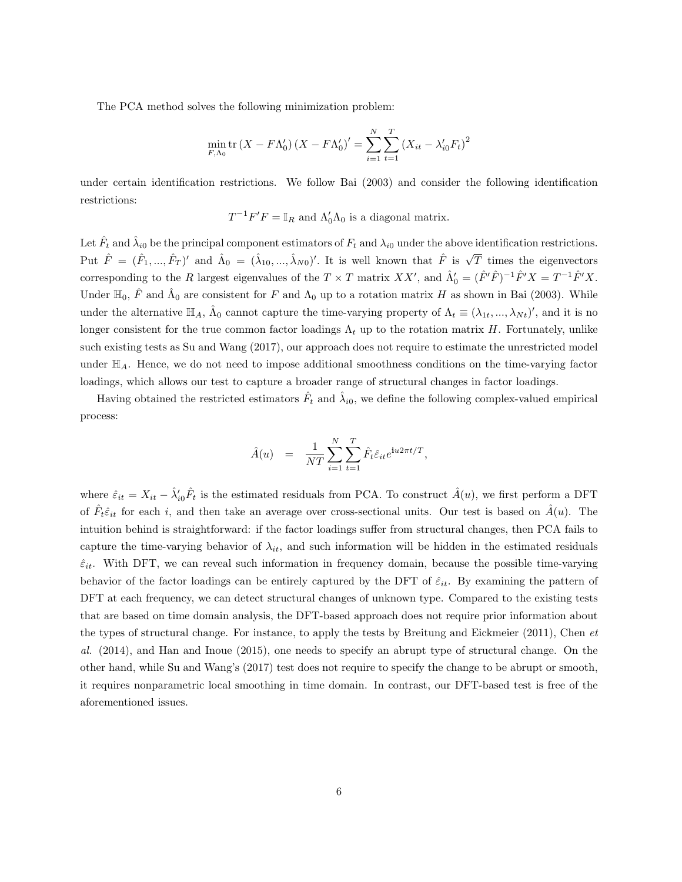The PCA method solves the following minimization problem:

$$
\min_{F,\Lambda_0} \text{tr}\left(X - F\Lambda_0'\right)\left(X - F\Lambda_0'\right)' = \sum_{i=1}^N \sum_{t=1}^T \left(X_{it} - \lambda_{i0}' F_t\right)^2
$$

under certain identification restrictions. We follow Bai (2003) and consider the following identification restrictions:

 $T^{-1}F'F = \mathbb{I}_R$  and  $\Lambda'_0\Lambda_0$  is a diagonal matrix.

Let  $\hat{F}_t$  and  $\hat{\lambda}_{i0}$  be the principal component estimators of  $F_t$  and  $\lambda_{i0}$  under the above identification restrictions. Put  $\hat{F} = (\hat{F}_1, ..., \hat{F}_T)'$  and  $\hat{\Lambda}_0 = (\hat{\lambda}_{10}, ..., \hat{\lambda}_{N0})'$ . It is well known that  $\hat{F}$  is  $\sqrt{T}$  times the eigenvectors corresponding to the R largest eigenvalues of the  $T \times T$  matrix  $XX'$ , and  $\hat{\Lambda}'_0 = (\hat{F}'\hat{F})^{-1}\hat{F}'X = T^{-1}\hat{F}'X$ . Under  $\mathbb{H}_0$ ,  $\hat{F}$  and  $\hat{\Lambda}_0$  are consistent for F and  $\Lambda_0$  up to a rotation matrix H as shown in Bai (2003). While under the alternative  $\mathbb{H}_A$ ,  $\hat{\Lambda}_0$  cannot capture the time-varying property of  $\Lambda_t \equiv (\lambda_{1t},...,\lambda_{Nt})'$ , and it is no longer consistent for the true common factor loadings  $\Lambda_t$  up to the rotation matrix H. Fortunately, unlike such existing tests as Su and Wang (2017), our approach does not require to estimate the unrestricted model under  $\mathbb{H}_{A}$ . Hence, we do not need to impose additional smoothness conditions on the time-varying factor loadings, which allows our test to capture a broader range of structural changes in factor loadings.

Having obtained the restricted estimators  $\hat{F}_t$  and  $\hat{\lambda}_{i0}$ , we define the following complex-valued empirical process:

$$
\hat{A}(u) = \frac{1}{NT} \sum_{i=1}^{N} \sum_{t=1}^{T} \hat{F}_t \hat{\varepsilon}_{it} e^{\mathbf{i}u2\pi t/T},
$$

where  $\hat{\varepsilon}_{it} = X_{it} - \hat{\lambda}'_{i0} \hat{F}_t$  is the estimated residuals from PCA. To construct  $\hat{A}(u)$ , we first perform a DFT of  $\hat{F}_t \hat{\epsilon}_{it}$  for each i, and then take an average over cross-sectional units. Our test is based on  $\hat{A}(u)$ . The intuition behind is straightforward: if the factor loadings suffer from structural changes, then PCA fails to capture the time-varying behavior of  $\lambda_{it}$ , and such information will be hidden in the estimated residuals  $\hat{\varepsilon}_{it}$ . With DFT, we can reveal such information in frequency domain, because the possible time-varying behavior of the factor loadings can be entirely captured by the DFT of  $\hat{\varepsilon}_{it}$ . By examining the pattern of DFT at each frequency, we can detect structural changes of unknown type. Compared to the existing tests that are based on time domain analysis, the DFT-based approach does not require prior information about the types of structural change. For instance, to apply the tests by Breitung and Eickmeier (2011), Chen et al. (2014), and Han and Inoue (2015), one needs to specify an abrupt type of structural change. On the other hand, while Su and Wang's (2017) test does not require to specify the change to be abrupt or smooth, it requires nonparametric local smoothing in time domain. In contrast, our DFT-based test is free of the aforementioned issues.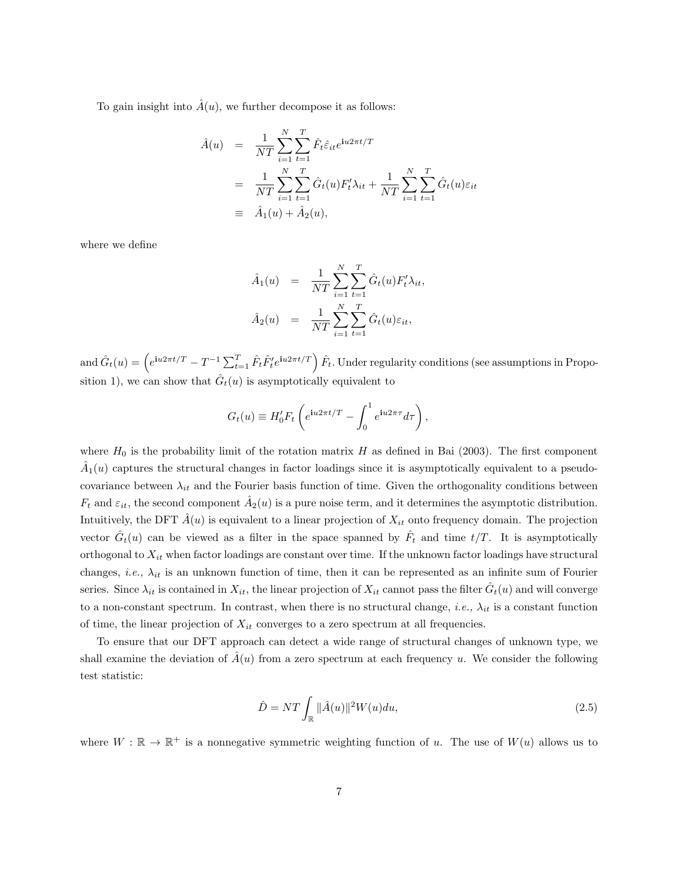To gain insight into  $\hat{A}(u)$ , we further decompose it as follows:

$$
\hat{A}(u) = \frac{1}{NT} \sum_{i=1}^{N} \sum_{t=1}^{T} \hat{F}_t \hat{\varepsilon}_{it} e^{iu2\pi t/T}
$$
\n
$$
= \frac{1}{NT} \sum_{i=1}^{N} \sum_{t=1}^{T} \hat{G}_t(u) F'_t \lambda_{it} + \frac{1}{NT} \sum_{i=1}^{N} \sum_{t=1}^{T} \hat{G}_t(u) \varepsilon_{it}
$$
\n
$$
\equiv \hat{A}_1(u) + \hat{A}_2(u),
$$

where we define

$$
\hat{A}_1(u) = \frac{1}{NT} \sum_{i=1}^N \sum_{t=1}^T \hat{G}_t(u) F'_t \lambda_{it},
$$
  

$$
\hat{A}_2(u) = \frac{1}{NT} \sum_{i=1}^N \sum_{t=1}^T \hat{G}_t(u) \varepsilon_{it},
$$

and  $\hat{G}_t(u) = \left(e^{\mathbf{i}u2\pi t/T} - T^{-1}\sum_{t=1}^T \hat{F}_t\hat{F}_t' e^{\mathbf{i}u2\pi t/T}\right)\hat{F}_t$ . Under regularity conditions (see assumptions in Proposition 1), we can show that  $\hat{G}_t(u)$  is asymptotically equivalent to

$$
G_t(u) \equiv H_0' F_t \left( e^{i u 2\pi t/T} - \int_0^1 e^{i u 2\pi \tau} d\tau \right),
$$

where  $H_0$  is the probability limit of the rotation matrix H as defined in Bai (2003). The first component  $\hat{A}_1(u)$  captures the structural changes in factor loadings since it is asymptotically equivalent to a pseudocovariance between  $\lambda_{it}$  and the Fourier basis function of time. Given the orthogonality conditions between  $F_t$  and  $\varepsilon_{it}$ , the second component  $\hat{A}_2(u)$  is a pure noise term, and it determines the asymptotic distribution. Intuitively, the DFT  $\hat{A}(u)$  is equivalent to a linear projection of  $X_{it}$  onto frequency domain. The projection vector  $\hat{G}_t(u)$  can be viewed as a filter in the space spanned by  $\hat{F}_t$  and time  $t/T$ . It is asymptotically orthogonal to  $X_{it}$  when factor loadings are constant over time. If the unknown factor loadings have structural changes, *i.e.*,  $\lambda_{it}$  is an unknown function of time, then it can be represented as an infinite sum of Fourier series. Since  $\lambda_{it}$  is contained in  $X_{it}$ , the linear projection of  $X_{it}$  cannot pass the filter  $\hat{G}_t(u)$  and will converge to a non-constant spectrum. In contrast, when there is no structural change, *i.e.*,  $\lambda_{it}$  is a constant function of time, the linear projection of  $X_{it}$  converges to a zero spectrum at all frequencies.

To ensure that our DFT approach can detect a wide range of structural changes of unknown type, we shall examine the deviation of  $\tilde{A}(u)$  from a zero spectrum at each frequency u. We consider the following test statistic:

<span id="page-6-0"></span>
$$
\hat{D} = NT \int_{\mathbb{R}} ||\hat{A}(u)||^2 W(u) du,
$$
\n(2.5)

where  $W : \mathbb{R} \to \mathbb{R}^+$  is a nonnegative symmetric weighting function of u. The use of  $W(u)$  allows us to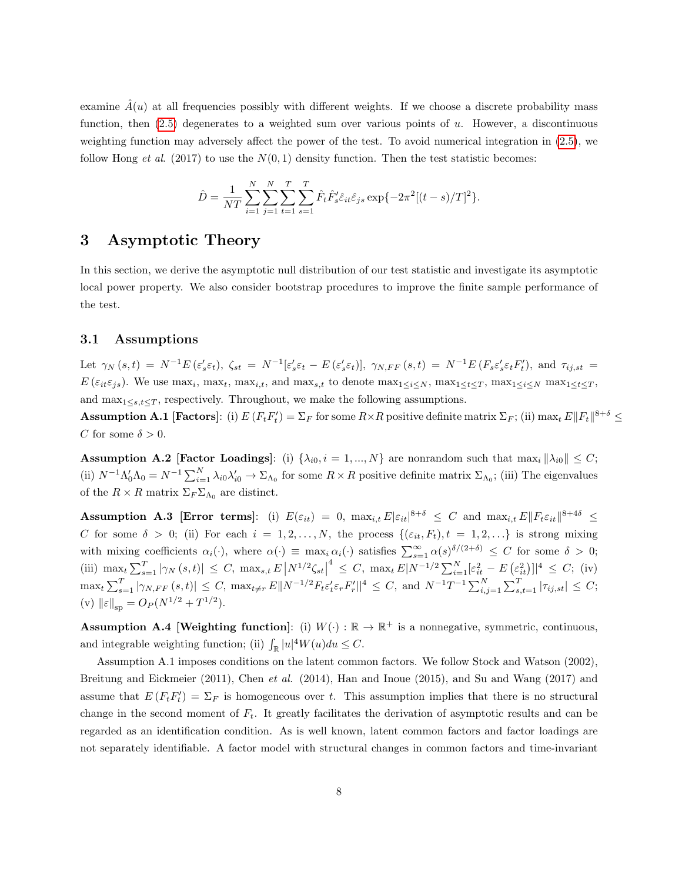examine  $\hat{A}(u)$  at all frequencies possibly with different weights. If we choose a discrete probability mass function, then (2.[5\)](#page-6-0) degenerates to a weighted sum over various points of u. However, a discontinuous weighting function may adversely affect the power of the test. To avoid numerical integration in (2.[5\)](#page-6-0), we follow Hong *et al.* (2017) to use the  $N(0, 1)$  density function. Then the test statistic becomes:

$$
\hat{D} = \frac{1}{NT} \sum_{i=1}^{N} \sum_{j=1}^{N} \sum_{t=1}^{T} \sum_{s=1}^{T} \hat{F}_t \hat{F}_s' \hat{\varepsilon}_{it} \hat{\varepsilon}_{js} \exp\{-2\pi^2[(t-s)/T]^2\}.
$$

## 3 Asymptotic Theory

In this section, we derive the asymptotic null distribution of our test statistic and investigate its asymptotic local power property. We also consider bootstrap procedures to improve the finite sample performance of the test.

#### 3.1 Assumptions

Let  $\gamma_N(s,t) = N^{-1}E(\varepsilon_s' \varepsilon_t)$ ,  $\zeta_{st} = N^{-1}[\varepsilon_s' \varepsilon_t - E(\varepsilon_s' \varepsilon_t)]$ ,  $\gamma_{N,FF}(s,t) = N^{-1}E(F_s \varepsilon_s' \varepsilon_t F_t')$ , and  $\tau_{ij,st} =$  $E(\varepsilon_{it}\varepsilon_{js})$ . We use max<sub>i</sub>, max<sub>t</sub>, max<sub>i,t</sub>, and max<sub>s,t</sub> to denote max<sub>1≤i≤N</sub>, max<sub>1≤t≤T</sub>, max<sub>1≤i≤N</sub> max<sub>1≤t≤T</sub>, and  $\max_{1 \leq s,t \leq T}$ , respectively. Throughout, we make the following assumptions.

**Assumption A.1 [Factors**]: (i)  $E(F_t F_t') = \sum_F$  for some  $R \times R$  positive definite matrix  $\sum_F$ ; (ii)  $\max_t E||F_t||^{8+\delta} \le$ C for some  $\delta > 0$ .

**Assumption A.2 [Factor Loadings]:** (i)  $\{\lambda_{i0}, i = 1, ..., N\}$  are nonrandom such that  $\max_i \|\lambda_{i0}\| \leq C$ ; (ii)  $N^{-1}\Lambda_0'\Lambda_0 = N^{-1}\sum_{i=1}^N \lambda_{i0}\lambda_{i0}' \to \Sigma_{\Lambda_0}$  for some  $R \times R$  positive definite matrix  $\Sigma_{\Lambda_0}$ ; (iii) The eigenvalues of the  $R \times R$  matrix  $\Sigma_F \Sigma_{\Lambda_0}$  are distinct.

**Assumption A.3 [Error terms]**: (i)  $E(\varepsilon_{it}) = 0$ ,  $\max_{i,t} E |\varepsilon_{it}|^{8+\delta} \leq C$  and  $\max_{i,t} E ||F_t \varepsilon_{it}||^{8+4\delta} \leq C$ C for some  $\delta > 0$ ; (ii) For each  $i = 1, 2, ..., N$ , the process  $\{(\varepsilon_{it}, F_t), t = 1, 2, ...\}$  is strong mixing with mixing coefficients  $\alpha_i(\cdot)$ , where  $\alpha(\cdot) \equiv \max_i \alpha_i(\cdot)$  satisfies  $\sum_{s=1}^{\infty} \alpha(s)^{\delta/(2+\delta)} \leq C$  for some  $\delta > 0$ ; (iii)  $\max_{t} \sum_{s=1}^{T} |\gamma_N(s,t)| \leq C$ ,  $\max_{s,t} E |N^{1/2} \zeta_{st}|$  $\leq C, \ \max_{t} E|N^{-1/2} \sum_{i=1}^{N} \left[\varepsilon_{it}^{2} - E\left(\varepsilon_{it}^{2}\right)\right]|^{4} \leq C; \ \ (iv)$  $\max_t \sum_{s=1}^T |\gamma_{N,FF}(s,t)| \leq C, \ \max_{t \neq r} E||N^{-1/2}F_t \varepsilon_t' \varepsilon_r F_r'||^4 \leq C, \text{ and } N^{-1}T^{-1} \sum_{i,j=1}^N \sum_{s,t=1}^T |\tau_{ij,st}| \leq C;$ (v)  $\|\varepsilon\|_{\text{sp}} = O_P(N^{1/2} + T^{1/2}).$ 

**Assumption A.4 [Weighting function**]: (i)  $W(\cdot) : \mathbb{R} \to \mathbb{R}^+$  is a nonnegative, symmetric, continuous, and integrable weighting function; (ii)  $\int_{\mathbb{R}} |u|^4 W(u) du \leq C$ .

Assumption A.1 imposes conditions on the latent common factors. We follow Stock and Watson (2002), Breitung and Eickmeier (2011), Chen et al. (2014), Han and Inoue (2015), and Su and Wang (2017) and assume that  $E(F_t F_t') = \Sigma_F$  is homogeneous over t. This assumption implies that there is no structural change in the second moment of  $F_t$ . It greatly facilitates the derivation of asymptotic results and can be regarded as an identification condition. As is well known, latent common factors and factor loadings are not separately identifiable. A factor model with structural changes in common factors and time-invariant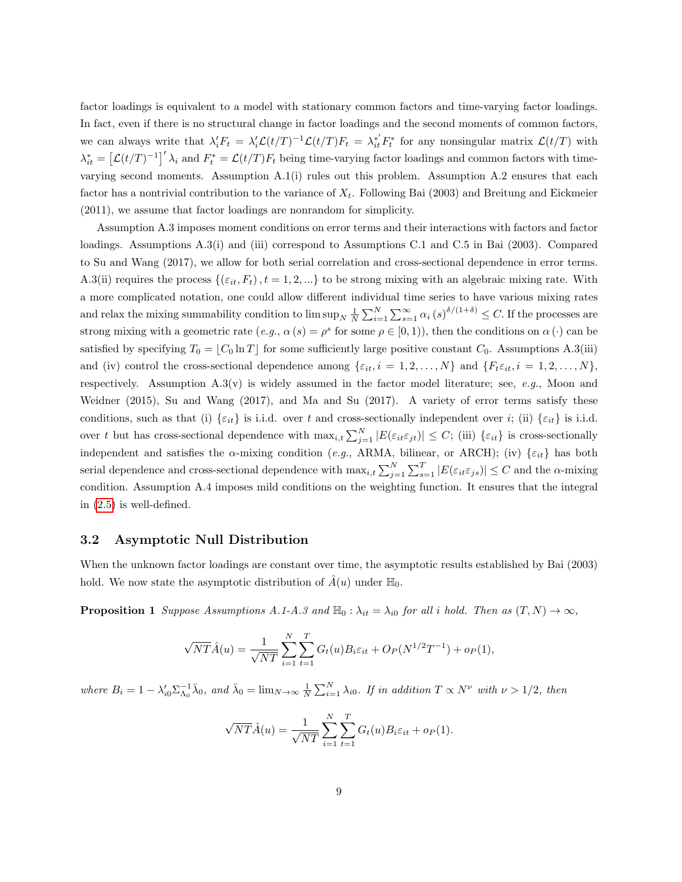factor loadings is equivalent to a model with stationary common factors and time-varying factor loadings. In fact, even if there is no structural change in factor loadings and the second moments of common factors, we can always write that  $\lambda'_i F_t = \lambda'_i \mathcal{L}(t/T)^{-1} \mathcal{L}(t/T) F_t = \lambda^*_{it} F^*_t$  for any nonsingular matrix  $\mathcal{L}(t/T)$  with  $\lambda_{it}^* = \left[ \mathcal{L}(t/T)^{-1} \right]'\lambda_i$  and  $F_t^* = \mathcal{L}(t/T)F_t$  being time-varying factor loadings and common factors with timevarying second moments. Assumption  $A.1(i)$  rules out this problem. Assumption  $A.2$  ensures that each factor has a nontrivial contribution to the variance of  $X_t$ . Following Bai (2003) and Breitung and Eickmeier (2011), we assume that factor loadings are nonrandom for simplicity.

Assumption A.3 imposes moment conditions on error terms and their interactions with factors and factor loadings. Assumptions A.3(i) and (iii) correspond to Assumptions C.1 and C.5 in Bai (2003). Compared to Su and Wang (2017), we allow for both serial correlation and cross-sectional dependence in error terms. A.3(ii) requires the process  $\{( \varepsilon_i, F_t), t = 1, 2, ...\}$  to be strong mixing with an algebraic mixing rate. With a more complicated notation, one could allow different individual time series to have various mixing rates and relax the mixing summability condition to  $\limsup_{N} \frac{1}{N} \sum_{i=1}^{N} \sum_{s=1}^{\infty} \alpha_i (s)^{\delta/(1+\delta)} \leq C$ . If the processes are strong mixing with a geometric rate  $(e.g., \alpha(s) = \rho^s$  for some  $\rho \in [0,1)$ , then the conditions on  $\alpha(\cdot)$  can be satisfied by specifying  $T_0 = [C_0 \ln T]$  for some sufficiently large positive constant  $C_0$ . Assumptions A.3(iii) and (iv) control the cross-sectional dependence among  $\{\varepsilon_{it}, i = 1, 2, ..., N\}$  and  $\{F_t \varepsilon_{it}, i = 1, 2, ..., N\}$ , respectively. Assumption  $A.3(v)$  is widely assumed in the factor model literature; see, e.g., Moon and Weidner (2015), Su and Wang (2017), and Ma and Su (2017). A variety of error terms satisfy these conditions, such as that (i)  $\{\varepsilon_{it}\}$  is i.i.d. over t and cross-sectionally independent over i; (ii)  $\{\varepsilon_{it}\}$  is i.i.d. over t but has cross-sectional dependence with  $\max_{i,t} \sum_{j=1}^{N} |E(\varepsilon_{it} \varepsilon_{jt})| \leq C$ ; (iii)  $\{\varepsilon_{it}\}$  is cross-sectionally independent and satisfies the  $\alpha$ -mixing condition (e.g., ARMA, bilinear, or ARCH); (iv)  $\{\varepsilon_{it}\}$  has both serial dependence and cross-sectional dependence with  $\max_{i,t} \sum_{j=1}^{N} \sum_{s=1}^{T} |E(\varepsilon_{it} \varepsilon_{js})| \leq C$  and the  $\alpha$ -mixing condition. Assumption A.4 imposes mild conditions on the weighting function. It ensures that the integral in (2.[5\)](#page-6-0) is well-defined.

#### 3.2 Asymptotic Null Distribution

When the unknown factor loadings are constant over time, the asymptotic results established by Bai (2003) hold. We now state the asymptotic distribution of  $\hat{A}(u)$  under  $\mathbb{H}_0$ .

<span id="page-8-0"></span>**Proposition 1** Suppose Assumptions A.1-A.3 and  $\mathbb{H}_0$ :  $\lambda_{it} = \lambda_{i0}$  for all i hold. Then as  $(T, N) \to \infty$ ,

$$
\sqrt{NT}\hat{A}(u) = \frac{1}{\sqrt{NT}} \sum_{i=1}^{N} \sum_{t=1}^{T} G_t(u) B_i \varepsilon_{it} + O_P(N^{1/2}T^{-1}) + o_P(1),
$$

where  $B_i = 1 - \lambda'_{i0} \Sigma_{\Lambda_0}^{-1} \bar{\lambda}_0$ , and  $\bar{\lambda}_0 = \lim_{N \to \infty} \frac{1}{N} \sum_{i=1}^N \lambda_{i0}$ . If in addition  $T \propto N^{\nu}$  with  $\nu > 1/2$ , then

$$
\sqrt{NT}\hat{A}(u) = \frac{1}{\sqrt{NT}}\sum_{i=1}^{N}\sum_{t=1}^{T}G_t(u)B_i\varepsilon_{it} + o_P(1).
$$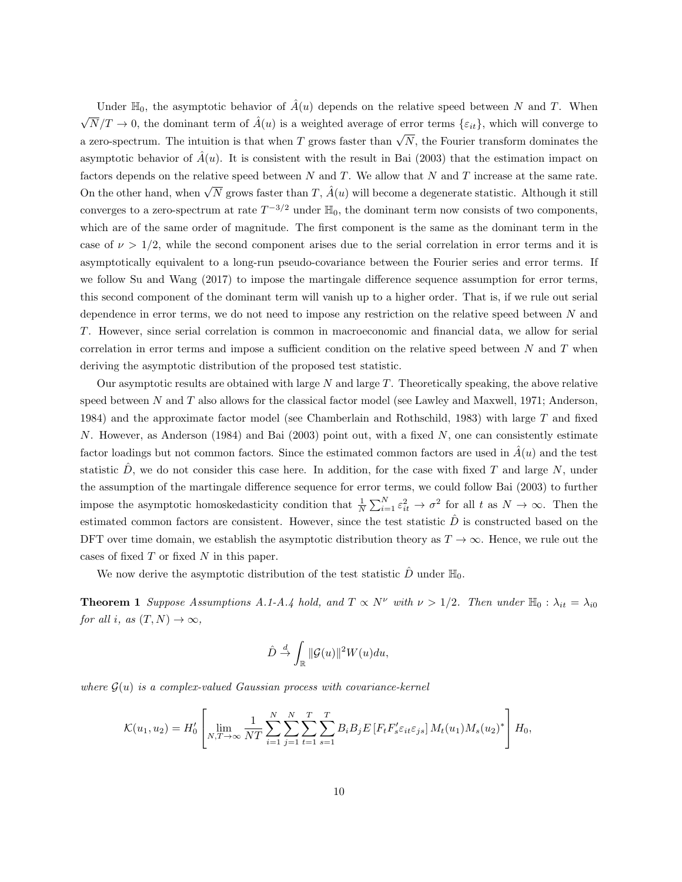Under  $\mathbb{H}_0$ , the asymptotic behavior of  $\hat{A}(u)$  depends on the relative speed between N and T. When  $\sqrt{N}/T \to 0$ , the dominant term of  $\hat{A}(u)$  is a weighted average of error terms  $\{\varepsilon_{it}\}\,$ , which will converge to a zero-spectrum. The intuition is that when T grows faster than  $\sqrt{N}$ , the Fourier transform dominates the asymptotic behavior of  $\tilde{A}(u)$ . It is consistent with the result in Bai (2003) that the estimation impact on factors depends on the relative speed between  $N$  and  $T$ . We allow that  $N$  and  $T$  increase at the same rate. On the other hand, when  $\sqrt{N}$  grows faster than  $T$ ,  $\hat{A}(u)$  will become a degenerate statistic. Although it still converges to a zero-spectrum at rate  $T^{-3/2}$  under  $\mathbb{H}_0$ , the dominant term now consists of two components, which are of the same order of magnitude. The first component is the same as the dominant term in the case of  $\nu > 1/2$ , while the second component arises due to the serial correlation in error terms and it is asymptotically equivalent to a long-run pseudo-covariance between the Fourier series and error terms. If we follow Su and Wang (2017) to impose the martingale difference sequence assumption for error terms, this second component of the dominant term will vanish up to a higher order. That is, if we rule out serial dependence in error terms, we do not need to impose any restriction on the relative speed between  $N$  and T. However, since serial correlation is common in macroeconomic and financial data, we allow for serial correlation in error terms and impose a sufficient condition on the relative speed between  $N$  and  $T$  when deriving the asymptotic distribution of the proposed test statistic.

Our asymptotic results are obtained with large N and large T. Theoretically speaking, the above relative speed between N and T also allows for the classical factor model (see Lawley and Maxwell, 1971; Anderson, 1984) and the approximate factor model (see Chamberlain and Rothschild, 1983) with large T and fixed N. However, as Anderson (1984) and Bai (2003) point out, with a fixed  $N$ , one can consistently estimate factor loadings but not common factors. Since the estimated common factors are used in  $\hat{A}(u)$  and the test statistic  $\ddot{D}$ , we do not consider this case here. In addition, for the case with fixed T and large N, under the assumption of the martingale difference sequence for error terms, we could follow Bai (2003) to further impose the asymptotic homoskedasticity condition that  $\frac{1}{N} \sum_{i=1}^{N} \varepsilon_{it}^2 \to \sigma^2$  for all t as  $N \to \infty$ . Then the estimated common factors are consistent. However, since the test statistic  $\hat{D}$  is constructed based on the DFT over time domain, we establish the asymptotic distribution theory as  $T \to \infty$ . Hence, we rule out the cases of fixed  $T$  or fixed  $N$  in this paper.

We now derive the asymptotic distribution of the test statistic  $\hat{D}$  under  $\mathbb{H}_0$ .

<span id="page-9-0"></span>**Theorem 1** Suppose Assumptions A.1-A.4 hold, and  $T \propto N^{\nu}$  with  $\nu > 1/2$ . Then under  $\mathbb{H}_0 : \lambda_{it} = \lambda_{i0}$ for all i, as  $(T, N) \rightarrow \infty$ ,

$$
\hat{D} \stackrel{d}{\to} \int_{\mathbb{R}} ||\mathcal{G}(u)||^2 W(u) du,
$$

where  $G(u)$  is a complex-valued Gaussian process with covariance-kernel

$$
\mathcal{K}(u_1, u_2) = H'_0 \left[ \lim_{N, T \to \infty} \frac{1}{NT} \sum_{i=1}^N \sum_{j=1}^N \sum_{t=1}^T \sum_{s=1}^T B_i B_j E \left[ F_t F'_s \varepsilon_{it} \varepsilon_{js} \right] M_t(u_1) M_s(u_2)^* \right] H_0,
$$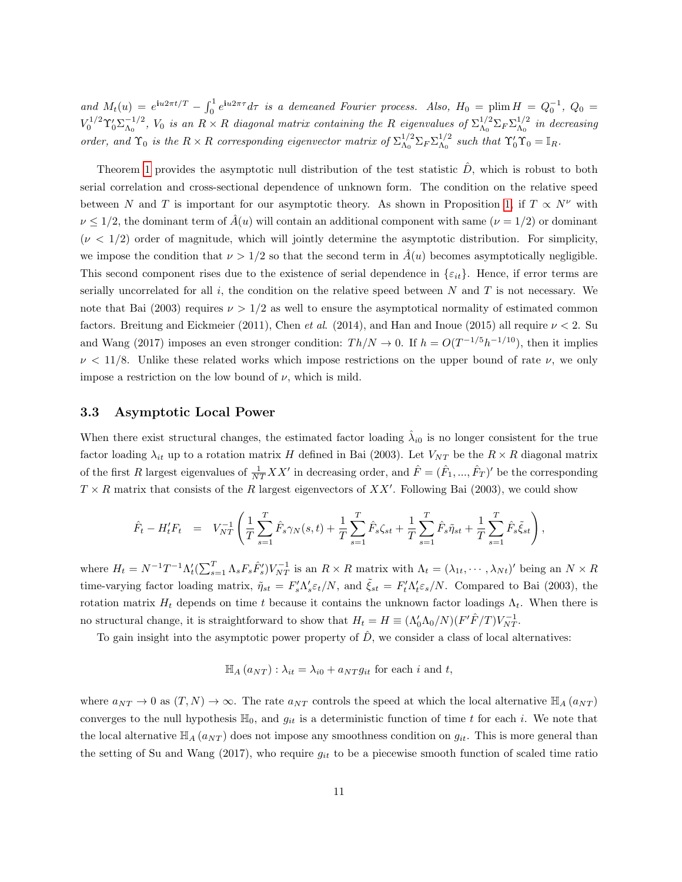and  $M_t(u) = e^{iu2\pi t/T} - \int_0^1 e^{iu2\pi \tau} d\tau$  is a demeaned Fourier process. Also,  $H_0 = \text{plim } H = Q_0^{-1}$ ,  $Q_0 =$  $V_0^{1/2}\Upsilon_0'\Sigma_{\Lambda_0}^{-1/2}$  $\lambda_0^{-1/2}$ ,  $V_0$  is an  $R \times R$  diagonal matrix containing the R eigenvalues of  $\Sigma_{\Lambda_0}^{1/2}$  ${}^{1/2}_{\Lambda_0}\Sigma_F\Sigma_{\Lambda_0}^{1/2}$  $\frac{1}{\Lambda_0}$  in decreasing order, and  $\Upsilon_0$  is the  $R \times R$  corresponding eigenvector matrix of  $\Sigma_{\Lambda_0}^{1/2}$  ${}^{1/2}_{\Lambda_0} \Sigma_F \Sigma_{\Lambda_0}^{1/2}$  $_{\Lambda_0}^{1/2}$  such that  $\Upsilon'_0 \Upsilon_0 = \mathbb{I}_R$ .

Theorem [1](#page-9-0) provides the asymptotic null distribution of the test statistic  $\hat{D}$ , which is robust to both serial correlation and cross-sectional dependence of unknown form. The condition on the relative speed between N and T is important for our asymptotic theory. As shown in Proposition [1,](#page-8-0) if  $T \propto N^{\nu}$  with  $\nu \leq 1/2$ , the dominant term of  $\hat{A}(u)$  will contain an additional component with same  $(\nu = 1/2)$  or dominant  $(\nu < 1/2)$  order of magnitude, which will jointly determine the asymptotic distribution. For simplicity, we impose the condition that  $\nu > 1/2$  so that the second term in  $\tilde{A}(u)$  becomes asymptotically negligible. This second component rises due to the existence of serial dependence in  $\{\varepsilon_{it}\}\.$  Hence, if error terms are serially uncorrelated for all  $i$ , the condition on the relative speed between  $N$  and  $T$  is not necessary. We note that Bai (2003) requires  $\nu > 1/2$  as well to ensure the asymptotical normality of estimated common factors. Breitung and Eickmeier (2011), Chen et al. (2014), and Han and Inoue (2015) all require  $\nu < 2$ . Su and Wang (2017) imposes an even stronger condition:  $Th/N \to 0$ . If  $h = O(T^{-1/5}h^{-1/10})$ , then it implies  $\nu$  < 11/8. Unlike these related works which impose restrictions on the upper bound of rate  $\nu$ , we only impose a restriction on the low bound of  $\nu$ , which is mild.

#### 3.3 Asymptotic Local Power

When there exist structural changes, the estimated factor loading  $\hat{\lambda}_{i0}$  is no longer consistent for the true factor loading  $\lambda_{it}$  up to a rotation matrix H defined in Bai (2003). Let  $V_{NT}$  be the  $R \times R$  diagonal matrix of the first R largest eigenvalues of  $\frac{1}{NT}XX'$  in decreasing order, and  $\hat{F} = (\hat{F}_1, ..., \hat{F}_T)'$  be the corresponding  $T \times R$  matrix that consists of the R largest eigenvectors of XX'. Following Bai (2003), we could show

$$
\hat{F}_t - H'_t F_t = V_{NT}^{-1} \left( \frac{1}{T} \sum_{s=1}^T \hat{F}_s \gamma_N(s, t) + \frac{1}{T} \sum_{s=1}^T \hat{F}_s \zeta_{st} + \frac{1}{T} \sum_{s=1}^T \hat{F}_s \tilde{\eta}_{st} + \frac{1}{T} \sum_{s=1}^T \hat{F}_s \tilde{\xi}_{st} \right),
$$

where  $H_t = N^{-1}T^{-1}\Lambda'_t(\sum_{s=1}^T \Lambda_s F_s \hat{F}'_s)V_{NT}^{-1}$  is an  $R \times R$  matrix with  $\Lambda_t = (\lambda_{1t}, \cdots, \lambda_{Nt})'$  being an  $N \times R$ time-varying factor loading matrix,  $\tilde{\eta}_{st} = F_s' \Lambda_s' \varepsilon_t / N$ , and  $\tilde{\xi}_{st} = F_t' \Lambda_t' \varepsilon_s / N$ . Compared to Bai (2003), the rotation matrix  $H_t$  depends on time t because it contains the unknown factor loadings  $\Lambda_t$ . When there is no structural change, it is straightforward to show that  $H_t = H \equiv (\Lambda_0' \Lambda_0 / N)(F' \hat{F}/T) V_{NT}^{-1}$ .

To gain insight into the asymptotic power property of  $\hat{D}$ , we consider a class of local alternatives:

$$
\mathbb{H}_A(a_{NT}): \lambda_{it} = \lambda_{i0} + a_{NT}g_{it}
$$
 for each *i* and *t*,

where  $a_{NT} \to 0$  as  $(T, N) \to \infty$ . The rate  $a_{NT}$  controls the speed at which the local alternative  $\mathbb{H}_A(a_{NT})$ converges to the null hypothesis  $\mathbb{H}_0$ , and  $g_{it}$  is a deterministic function of time t for each i. We note that the local alternative  $\mathbb{H}_{A}(a_{NT})$  does not impose any smoothness condition on  $g_{it}$ . This is more general than the setting of Su and Wang (2017), who require  $g_{it}$  to be a piecewise smooth function of scaled time ratio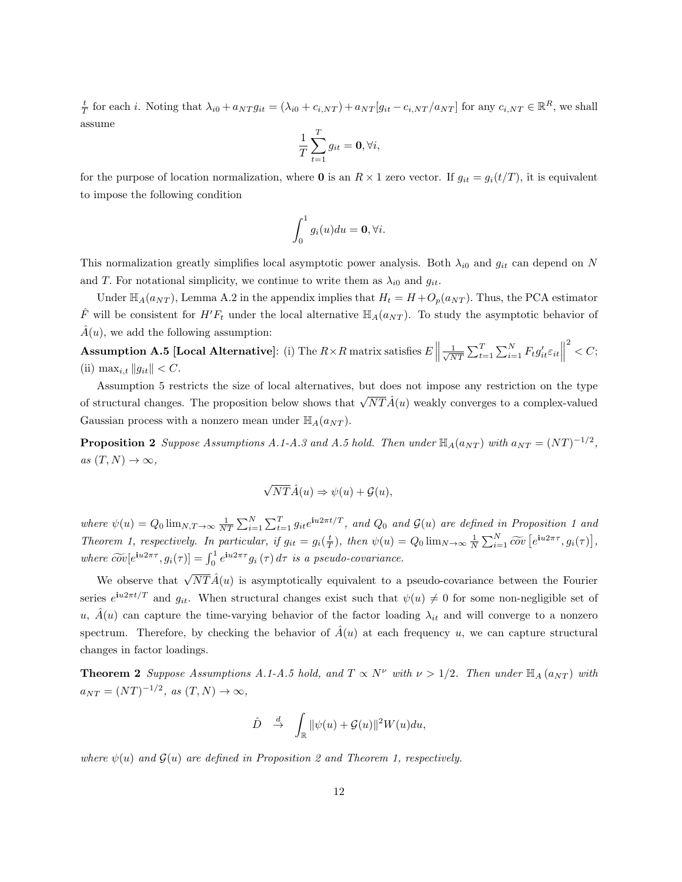$\frac{t}{T}$  for each *i*. Noting that  $\lambda_{i0} + a_{NT} g_{it} = (\lambda_{i0} + c_{i,NT}) + a_{NT} [g_{it} - c_{i,NT}/a_{NT}]$  for any  $c_{i,NT} \in \mathbb{R}^R$ , we shall assume

$$
\frac{1}{T}\sum_{t=1}^T g_{it} = \mathbf{0}, \forall i,
$$

for the purpose of location normalization, where **0** is an  $R \times 1$  zero vector. If  $g_{it} = g_i(t/T)$ , it is equivalent to impose the following condition

$$
\int_0^1 g_i(u) du = \mathbf{0}, \forall i.
$$

This normalization greatly simplifies local asymptotic power analysis. Both  $\lambda_{i0}$  and  $g_{it}$  can depend on N and T. For notational simplicity, we continue to write them as  $\lambda_{i0}$  and  $g_{it}$ .

Under  $\mathbb{H}_A(a_{NT})$ , Lemma A.2 in the appendix implies that  $H_t = H + O_p(a_{NT})$ . Thus, the PCA estimator  $\hat{F}$  will be consistent for  $H'F_t$  under the local alternative  $\mathbb{H}_A(a_{NT})$ . To study the asymptotic behavior of  $\hat{A}(u)$ , we add the following assumption:

**Assumption A.5 [Local Alternative**]: (i) The  $R \times R$  matrix satisfies  $E \parallel \frac{1}{\sqrt{N}}$  $\frac{1}{NT} \sum_{t=1}^{T} \sum_{i=1}^{N} F_t g'_{it} \varepsilon_{it}$  $2^2 < C;$ (ii)  $\max_{i,t} ||g_{it}|| < C$ .

Assumption 5 restricts the size of local alternatives, but does not impose any restriction on the type of structural changes. The proposition below shows that  $\sqrt{NT}\hat{A}(u)$  weakly converges to a complex-valued Gaussian process with a nonzero mean under  $\mathbb{H}_{A}(a_{NT})$ .

**Proposition 2** Suppose Assumptions A.1-A.3 and A.5 hold. Then under  $\mathbb{H}_{A}(a_{NT})$  with  $a_{NT} = (NT)^{-1/2}$ , as  $(T, N) \to \infty$ ,

$$
\sqrt{NT}\hat{A}(u) \Rightarrow \psi(u) + \mathcal{G}(u),
$$

where  $\psi(u) = Q_0 \lim_{N,T \to \infty} \frac{1}{NT} \sum_{i=1}^{N} \sum_{t=1}^{T} g_{it} e^{i u 2\pi t/T}$ , and  $Q_0$  and  $\mathcal{G}(u)$  are defined in Proposition 1 and Theorem 1, respectively. In particular, if  $g_{it} = g_i(\frac{t}{T})$ , then  $\psi(u) = Q_0 \lim_{N \to \infty} \frac{1}{N} \sum_{i=1}^N \widetilde{cov} \left[ e^{iu2\pi \tau}, g_i(\tau) \right]$ , where  $\widetilde{cov}[e^{\mathbf{i}u2\pi\tau}, g_i(\tau)] = \int_0^1 e^{\mathbf{i}u2\pi\tau} g_i(\tau) d\tau$  is a pseudo-covariance.

We observe that  $\sqrt{NT}\hat{A}(u)$  is asymptotically equivalent to a pseudo-covariance between the Fourier series  $e^{iu2\pi t/T}$  and  $g_{it}$ . When structural changes exist such that  $\psi(u) \neq 0$  for some non-negligible set of u,  $\dot{A}(u)$  can capture the time-varying behavior of the factor loading  $\lambda_{it}$  and will converge to a nonzero spectrum. Therefore, by checking the behavior of  $\hat{A}(u)$  at each frequency u, we can capture structural changes in factor loadings.

<span id="page-11-0"></span>**Theorem 2** Suppose Assumptions A.1-A.5 hold, and  $T \propto N^{\nu}$  with  $\nu > 1/2$ . Then under  $\mathbb{H}_{A}(a_{NT})$  with  $a_{NT} = (NT)^{-1/2}, \text{ as } (T, N) \to \infty,$ 

$$
\hat{D} \quad \stackrel{d}{\to} \quad \int_{\mathbb{R}} \|\psi(u) + \mathcal{G}(u)\|^2 W(u) du,
$$

where  $\psi(u)$  and  $\mathcal{G}(u)$  are defined in Proposition 2 and Theorem 1, respectively.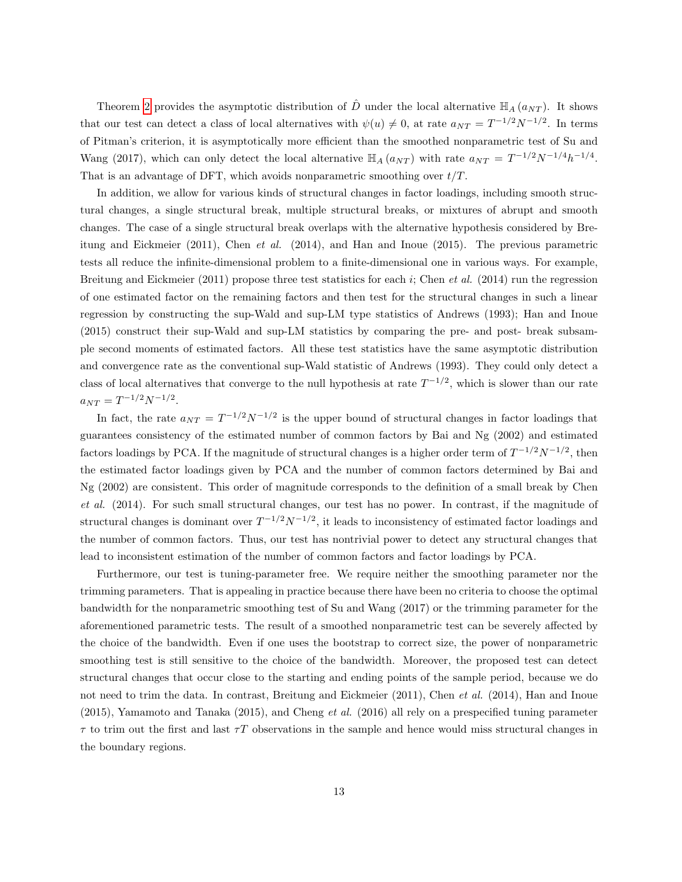Theorem [2](#page-11-0) provides the asymptotic distribution of  $\hat{D}$  under the local alternative  $\mathbb{H}_{A}(a_{NT})$ . It shows that our test can detect a class of local alternatives with  $\psi(u) \neq 0$ , at rate  $a_{NT} = T^{-1/2}N^{-1/2}$ . In terms of Pitman's criterion, it is asymptotically more efficient than the smoothed nonparametric test of Su and Wang (2017), which can only detect the local alternative  $\mathbb{H}_A(a_{NT})$  with rate  $a_{NT} = T^{-1/2}N^{-1/4}h^{-1/4}$ . That is an advantage of DFT, which avoids nonparametric smoothing over  $t/T$ .

In addition, we allow for various kinds of structural changes in factor loadings, including smooth structural changes, a single structural break, multiple structural breaks, or mixtures of abrupt and smooth changes. The case of a single structural break overlaps with the alternative hypothesis considered by Breitung and Eickmeier (2011), Chen et al. (2014), and Han and Inoue (2015). The previous parametric tests all reduce the infinite-dimensional problem to a finite-dimensional one in various ways. For example, Breitung and Eickmeier (2011) propose three test statistics for each i; Chen et al. (2014) run the regression of one estimated factor on the remaining factors and then test for the structural changes in such a linear regression by constructing the sup-Wald and sup-LM type statistics of Andrews (1993); Han and Inoue (2015) construct their sup-Wald and sup-LM statistics by comparing the pre- and post- break subsample second moments of estimated factors. All these test statistics have the same asymptotic distribution and convergence rate as the conventional sup-Wald statistic of Andrews (1993). They could only detect a class of local alternatives that converge to the null hypothesis at rate  $T^{-1/2}$ , which is slower than our rate  $a_{NT} = T^{-1/2} N^{-1/2}.$ 

In fact, the rate  $a_{NT} = T^{-1/2}N^{-1/2}$  is the upper bound of structural changes in factor loadings that guarantees consistency of the estimated number of common factors by Bai and Ng (2002) and estimated factors loadings by PCA. If the magnitude of structural changes is a higher order term of  $T^{-1/2}N^{-1/2}$ , then the estimated factor loadings given by PCA and the number of common factors determined by Bai and Ng (2002) are consistent. This order of magnitude corresponds to the definition of a small break by Chen et al. (2014). For such small structural changes, our test has no power. In contrast, if the magnitude of structural changes is dominant over  $T^{-1/2}N^{-1/2}$ , it leads to inconsistency of estimated factor loadings and the number of common factors. Thus, our test has nontrivial power to detect any structural changes that lead to inconsistent estimation of the number of common factors and factor loadings by PCA.

Furthermore, our test is tuning-parameter free. We require neither the smoothing parameter nor the trimming parameters. That is appealing in practice because there have been no criteria to choose the optimal bandwidth for the nonparametric smoothing test of Su and Wang (2017) or the trimming parameter for the aforementioned parametric tests. The result of a smoothed nonparametric test can be severely affected by the choice of the bandwidth. Even if one uses the bootstrap to correct size, the power of nonparametric smoothing test is still sensitive to the choice of the bandwidth. Moreover, the proposed test can detect structural changes that occur close to the starting and ending points of the sample period, because we do not need to trim the data. In contrast, Breitung and Eickmeier (2011), Chen *et al.* (2014), Han and Inoue (2015), Yamamoto and Tanaka (2015), and Cheng et al. (2016) all rely on a prespecified tuning parameter  $\tau$  to trim out the first and last  $\tau T$  observations in the sample and hence would miss structural changes in the boundary regions.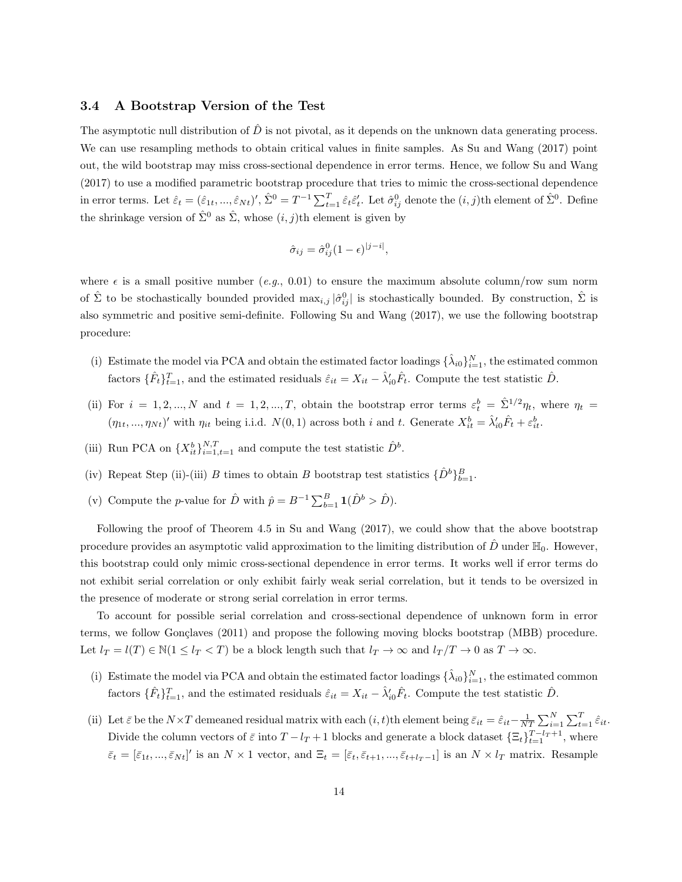#### 3.4 A Bootstrap Version of the Test

The asymptotic null distribution of  $\hat{D}$  is not pivotal, as it depends on the unknown data generating process. We can use resampling methods to obtain critical values in finite samples. As Su and Wang (2017) point out, the wild bootstrap may miss cross-sectional dependence in error terms. Hence, we follow Su and Wang (2017) to use a modified parametric bootstrap procedure that tries to mimic the cross-sectional dependence in error terms. Let  $\hat{\varepsilon}_t = (\hat{\varepsilon}_{1t},...,\hat{\varepsilon}_{Nt})'$ ,  $\hat{\Sigma}^0 = T^{-1} \sum_{t=1}^T \hat{\varepsilon}_t \hat{\varepsilon}'_t$ . Let  $\hat{\sigma}^0_{ij}$  denote the  $(i, j)$ th element of  $\hat{\Sigma}^0$ . Define the shrinkage version of  $\hat{\Sigma}^0$  as  $\hat{\Sigma}$ , whose  $(i, j)$ th element is given by

$$
\hat{\sigma}_{ij} = \hat{\sigma}_{ij}^0 (1 - \epsilon)^{|j - i|},
$$

where  $\epsilon$  is a small positive number (e.g., 0.01) to ensure the maximum absolute column/row sum norm of  $\hat{\Sigma}$  to be stochastically bounded provided  $\max_{i,j} |\hat{\sigma}_{ij}^0|$  is stochastically bounded. By construction,  $\hat{\Sigma}$  is also symmetric and positive semi-definite. Following Su and Wang (2017), we use the following bootstrap procedure:

- (i) Estimate the model via PCA and obtain the estimated factor loadings  $\{\hat{\lambda}_{i0}\}_{i=1}^N$ , the estimated common factors  $\{\hat{F}_t\}_{t=1}^T$ , and the estimated residuals  $\hat{\varepsilon}_{it} = X_{it} - \hat{\lambda}'_{i0}\hat{F}_t$ . Compute the test statistic  $\hat{D}$ .
- (ii) For  $i = 1, 2, ..., N$  and  $t = 1, 2, ..., T$ , obtain the bootstrap error terms  $\varepsilon_t^b = \hat{\Sigma}^{1/2} \eta_t$ , where  $\eta_t =$  $(\eta_{1t}, ..., \eta_{Nt})'$  with  $\eta_{it}$  being i.i.d.  $N(0, 1)$  across both i and t. Generate  $X_{it}^b = \hat{\lambda}'_{i0} \hat{F}_t + \varepsilon_{it}^b$ .
- (iii) Run PCA on  $\{X_{it}^b\}_{i=1,t=1}^{N,T}$  and compute the test statistic  $\hat{D}^b$ .
- (iv) Repeat Step (ii)-(iii) B times to obtain B bootstrap test statistics  $\{\hat{D}^b\}_{b=1}^B$ .
- (v) Compute the *p*-value for  $\hat{D}$  with  $\hat{p} = B^{-1} \sum_{b=1}^{B} \mathbf{1}(\hat{D}^b > \hat{D}).$

Following the proof of Theorem 4.5 in Su and Wang (2017), we could show that the above bootstrap procedure provides an asymptotic valid approximation to the limiting distribution of D under  $\mathbb{H}_0$ . However, this bootstrap could only mimic cross-sectional dependence in error terms. It works well if error terms do not exhibit serial correlation or only exhibit fairly weak serial correlation, but it tends to be oversized in the presence of moderate or strong serial correlation in error terms.

To account for possible serial correlation and cross-sectional dependence of unknown form in error terms, we follow Gonçlaves (2011) and propose the following moving blocks bootstrap (MBB) procedure. Let  $l_T = l(T) \in \mathbb{N}(1 \leq l_T < T)$  be a block length such that  $l_T \to \infty$  and  $l_T/T \to 0$  as  $T \to \infty$ .

- (i) Estimate the model via PCA and obtain the estimated factor loadings  $\{\hat{\lambda}_{i0}\}_{i=1}^N$ , the estimated common factors  $\{\hat{F}_t\}_{t=1}^T$ , and the estimated residuals  $\hat{\varepsilon}_{it} = X_{it} - \hat{\lambda}'_{i0}\hat{F}_t$ . Compute the test statistic  $\hat{D}$ .
- (ii) Let  $\bar{\varepsilon}$  be the  $N \times T$  demeaned residual matrix with each  $(i, t)$ th element being  $\bar{\varepsilon}_{it} = \hat{\varepsilon}_{it} \frac{1}{NT} \sum_{i=1}^{N} \sum_{t=1}^{T} \hat{\varepsilon}_{it}$ . Divide the column vectors of  $\bar{\varepsilon}$  into  $T - l_T + 1$  blocks and generate a block dataset  $\{\Xi_t\}_{t=1}^{T-l_T+1}$ , where  $\bar{\varepsilon}_t = [\bar{\varepsilon}_{1t},...,\bar{\varepsilon}_{Nt}]'$  is an  $N \times 1$  vector, and  $\Xi_t = [\bar{\varepsilon}_t, \bar{\varepsilon}_{t+1},...,\bar{\varepsilon}_{t+l_T-1}]$  is an  $N \times l_T$  matrix. Resample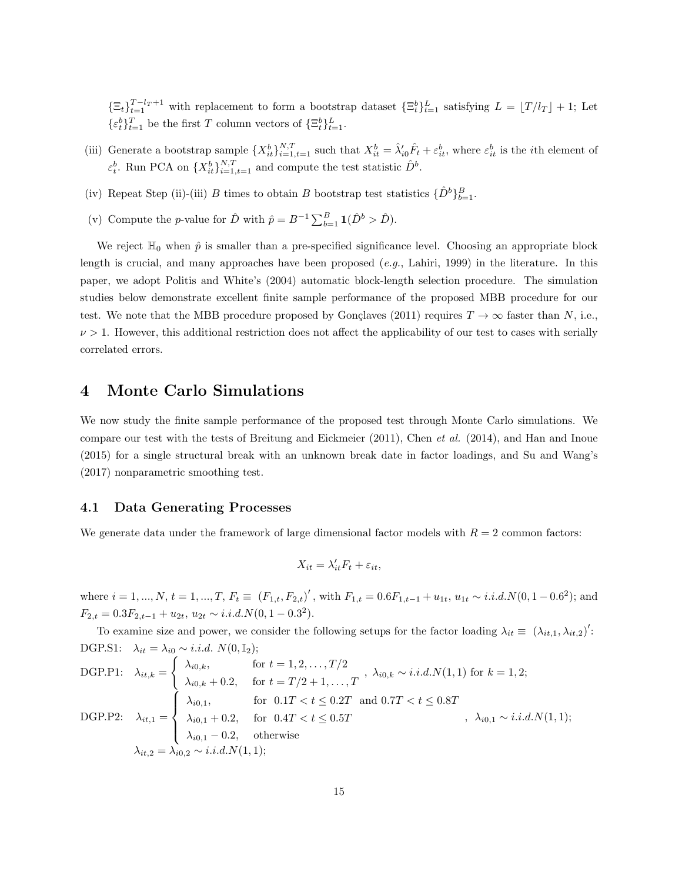$\{\Xi_t\}_{t=1}^{T-l_T+1}$  with replacement to form a bootstrap dataset  $\{\Xi_t^b\}_{t=1}^L$  satisfying  $L = [T/l_T] + 1$ ; Let  $\{\varepsilon_t^b\}_{t=1}^T$  be the first T column vectors of  $\{\Xi_t^b\}_{t=1}^L$ .

- (iii) Generate a bootstrap sample  $\{X_{it}^b\}_{i=1,t=1}^{N,T}$  such that  $X_{it}^b = \hat{\lambda}'_{i0} \hat{F}_t + \varepsilon_{it}^b$ , where  $\varepsilon_{it}^b$  is the *i*th element of  $\varepsilon_t^b$ . Run PCA on  $\{X_{it}^b\}_{i=1,t=1}^{N,T}$  and compute the test statistic  $\hat{D}^b$ .
- (iv) Repeat Step (ii)-(iii) B times to obtain B bootstrap test statistics  $\{\hat{D}^b\}_{b=1}^B$ .
- (v) Compute the *p*-value for  $\hat{D}$  with  $\hat{p} = B^{-1} \sum_{b=1}^{B} \mathbf{1}(\hat{D}^b > \hat{D}).$

We reject  $\mathbb{H}_0$  when  $\hat{p}$  is smaller than a pre-specified significance level. Choosing an appropriate block length is crucial, and many approaches have been proposed  $(e.g., Lahiri, 1999)$  in the literature. In this paper, we adopt Politis and White's (2004) automatic block-length selection procedure. The simulation studies below demonstrate excellent finite sample performance of the proposed MBB procedure for our test. We note that the MBB procedure proposed by Gonçlaves (2011) requires  $T \to \infty$  faster than N, i.e.,  $\nu > 1$ . However, this additional restriction does not affect the applicability of our test to cases with serially correlated errors.

## 4 Monte Carlo Simulations

We now study the finite sample performance of the proposed test through Monte Carlo simulations. We compare our test with the tests of Breitung and Eickmeier (2011), Chen et al. (2014), and Han and Inoue (2015) for a single structural break with an unknown break date in factor loadings, and Su and Wang's (2017) nonparametric smoothing test.

#### 4.1 Data Generating Processes

We generate data under the framework of large dimensional factor models with  $R = 2$  common factors:

$$
X_{it} = \lambda'_{it} F_t + \varepsilon_{it},
$$

where  $i = 1, ..., N$ ,  $t = 1, ..., T$ ,  $F_t \equiv (F_{1,t}, F_{2,t})'$ , with  $F_{1,t} = 0.6F_{1,t-1} + u_{1t}, u_{1t} \sim i.i.d. N(0, 1-0.6^2)$ ; and  $F_{2,t} = 0.3F_{2,t-1} + u_{2t}, u_{2t} \sim i.i.d.N(0, 1-0.3^2).$ 

To examine size and power, we consider the following setups for the factor loading  $\lambda_{it} \equiv (\lambda_{it,1}, \lambda_{it,2})'$ : DGP.S1:  $\lambda_{it} = \lambda_{i0} \sim i.i.d. N(0, \mathbb{I}_2);$ 

DGP.P1: 
$$
\lambda_{it,k} = \begin{cases} \lambda_{i0,k}, & \text{for } t = 1, 2, \ldots, T/2 \\ \lambda_{i0,k} + 0.2, & \text{for } t = T/2 + 1, \ldots, T \end{cases}, \lambda_{i0,k} \sim i.i.d.N(1,1) \text{ for } k = 1, 2;
$$

\nDGP.P2: 
$$
\lambda_{it,1} = \begin{cases} \lambda_{i0,1}, & \text{for } 0.1T < t \leq 0.2T \\ \lambda_{i0,1} + 0.2, & \text{for } 0.4T < t \leq 0.5T \\ \lambda_{i0,1} - 0.2, & \text{otherwise} \end{cases}, \lambda_{i0,1} \sim i.i.d.N(1,1);
$$

\n
$$
\lambda_{it,2} = \lambda_{i0,2} \sim i.i.d.N(1,1);
$$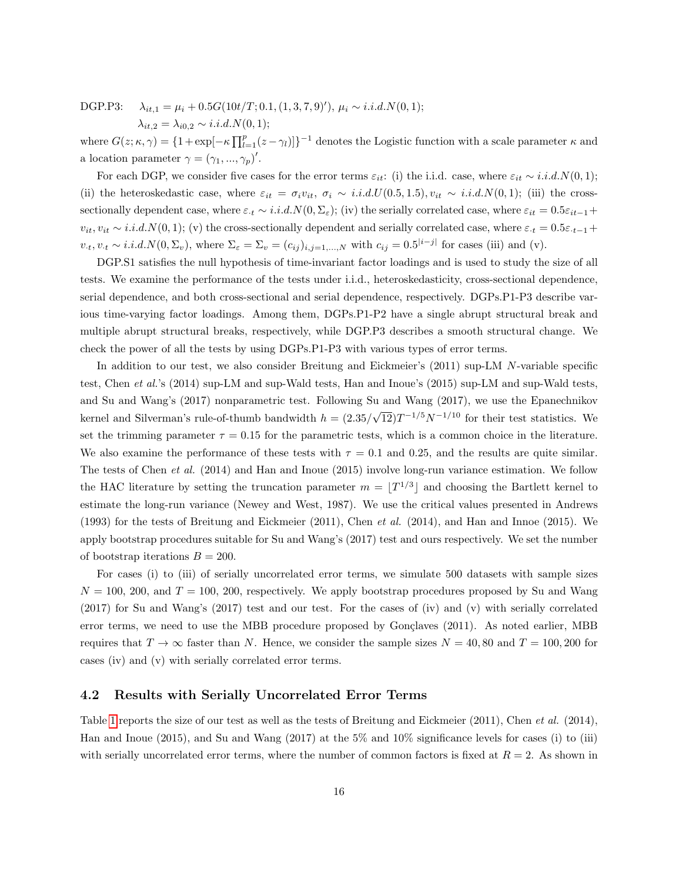DGP.P3:  $\lambda_{it,1} = \mu_i + 0.5G(10t/T; 0.1, (1, 3, 7, 9)'), \mu_i \sim i.i.d.N(0, 1);$ 

 $\lambda_{it,2} = \lambda_{i0,2} \sim i.i.d.N(0,1);$ 

where  $G(z; \kappa, \gamma) = \{1 + \exp[-\kappa \prod_{l=1}^{p} (z - \gamma_l)]\}^{-1}$  denotes the Logistic function with a scale parameter  $\kappa$  and a location parameter  $\gamma = (\gamma_1, ..., \gamma_p)'$ .

For each DGP, we consider five cases for the error terms  $\varepsilon_{it}$ : (i) the i.i.d. case, where  $\varepsilon_{it} \sim i.i.d. N(0, 1);$ (ii) the heteroskedastic case, where  $\varepsilon_{it} = \sigma_i v_{it}$ ,  $\sigma_i \sim i.i.d. U(0.5, 1.5)$ ,  $v_{it} \sim i.i.d. N(0, 1)$ ; (iii) the crosssectionally dependent case, where  $\varepsilon_{\cdot t} \sim i.i.d.N(0, \Sigma_{\varepsilon})$ ; (iv) the serially correlated case, where  $\varepsilon_{it} = 0.5\varepsilon_{it-1}$ +  $v_{it}$ ,  $v_{it} \sim i.i.d. N(0, 1);$  (v) the cross-sectionally dependent and serially correlated case, where  $\varepsilon_{t} = 0.5\varepsilon_{t-1}$  +  $v_t, v_t \sim i.i.d.N(0, \Sigma_v)$ , where  $\Sigma_{\varepsilon} = \Sigma_v = (c_{ij})_{i,j=1,\dots,N}$  with  $c_{ij} = 0.5^{|i-j|}$  for cases (iii) and (v).

DGP.S1 satisfies the null hypothesis of time-invariant factor loadings and is used to study the size of all tests. We examine the performance of the tests under i.i.d., heteroskedasticity, cross-sectional dependence, serial dependence, and both cross-sectional and serial dependence, respectively. DGPs.P1-P3 describe various time-varying factor loadings. Among them, DGPs.P1-P2 have a single abrupt structural break and multiple abrupt structural breaks, respectively, while DGP.P3 describes a smooth structural change. We check the power of all the tests by using DGPs.P1-P3 with various types of error terms.

In addition to our test, we also consider Breitung and Eickmeier's (2011) sup-LM N-variable specific test, Chen et al.'s (2014) sup-LM and sup-Wald tests, Han and Inoue's (2015) sup-LM and sup-Wald tests, and Su and Wang's (2017) nonparametric test. Following Su and Wang (2017), we use the Epanechnikov kernel and Silverman's rule-of-thumb bandwidth  $h = (2.35/$ √  $\overline{12}$ ) $T^{-1/5}N^{-1/10}$  for their test statistics. We set the trimming parameter  $\tau = 0.15$  for the parametric tests, which is a common choice in the literature. We also examine the performance of these tests with  $\tau = 0.1$  and 0.25, and the results are quite similar. The tests of Chen et al. (2014) and Han and Inoue (2015) involve long-run variance estimation. We follow the HAC literature by setting the truncation parameter  $m = |T^{1/3}|$  and choosing the Bartlett kernel to estimate the long-run variance (Newey and West, 1987). We use the critical values presented in Andrews (1993) for the tests of Breitung and Eickmeier (2011), Chen et al. (2014), and Han and Innoe (2015). We apply bootstrap procedures suitable for Su and Wang's (2017) test and ours respectively. We set the number of bootstrap iterations  $B = 200$ .

For cases (i) to (iii) of serially uncorrelated error terms, we simulate 500 datasets with sample sizes  $N = 100$ , 200, and  $T = 100$ , 200, respectively. We apply bootstrap procedures proposed by Su and Wang (2017) for Su and Wang's (2017) test and our test. For the cases of (iv) and (v) with serially correlated error terms, we need to use the MBB procedure proposed by Gonçlaves (2011). As noted earlier, MBB requires that  $T \to \infty$  faster than N. Hence, we consider the sample sizes  $N = 40, 80$  and  $T = 100, 200$  for cases (iv) and (v) with serially correlated error terms.

#### 4.2 Results with Serially Uncorrelated Error Terms

Table [1](#page-16-0) reports the size of our test as well as the tests of Breitung and Eickmeier (2011), Chen et al. (2014), Han and Inoue (2015), and Su and Wang (2017) at the 5% and 10% significance levels for cases (i) to (iii) with serially uncorrelated error terms, where the number of common factors is fixed at  $R = 2$ . As shown in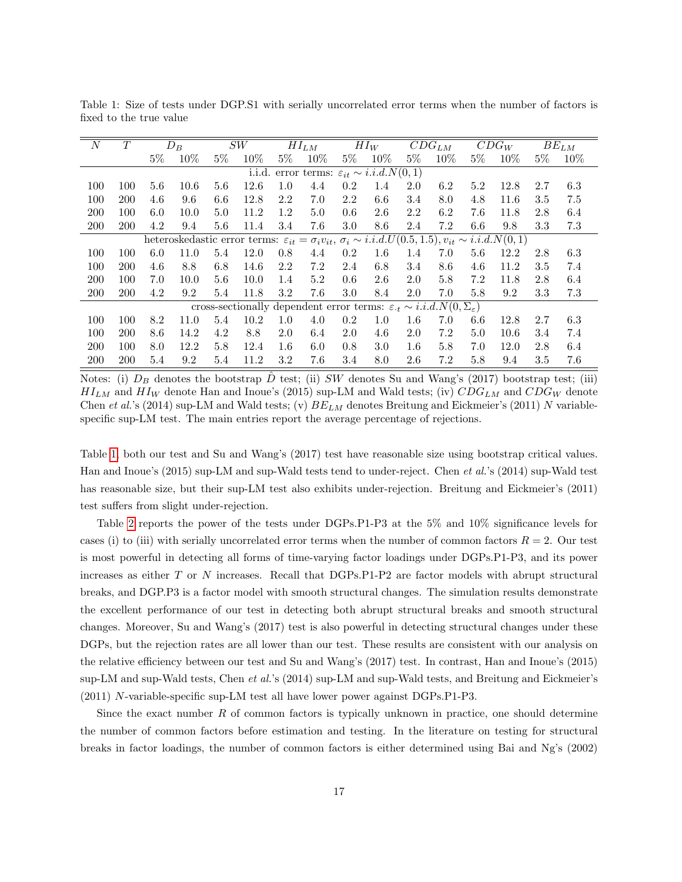| $\boldsymbol{N}$ | T          |       | $D_B$ |         | $\cal{SW}$                                                                                                                      |       | $HI_{LM}$                                           |       | $HI_W$  |         | $\overline{CD}G_{LM}$ |       | $\overline{C}DG_W$ |         | $\overline{B}E_{LM}$ |
|------------------|------------|-------|-------|---------|---------------------------------------------------------------------------------------------------------------------------------|-------|-----------------------------------------------------|-------|---------|---------|-----------------------|-------|--------------------|---------|----------------------|
|                  |            | $5\%$ | 10%   | $5\%$   | 10%                                                                                                                             | $5\%$ | 10%                                                 | $5\%$ | $10\%$  | $5\%$   | 10%                   | $5\%$ | 10%                | $5\%$   | $10\%$               |
|                  |            |       |       |         | i.i.d.                                                                                                                          |       | error terms: $\varepsilon_{it} \sim i.i.d. N(0, 1)$ |       |         |         |                       |       |                    |         |                      |
| 100              | 100        | 5.6   | 10.6  | $5.6\,$ | 12.6                                                                                                                            | 1.0   | 4.4                                                 | 0.2   | 1.4     | 2.0     | 6.2                   | 5.2   | 12.8               | 2.7     | 6.3                  |
| 100              | <b>200</b> | 4.6   | 9.6   | 6.6     | 12.8                                                                                                                            | 2.2   | 7.0                                                 | 2.2   | 6.6     | 3.4     | 8.0                   | 4.8   | 11.6               | $3.5\,$ | 7.5                  |
| <b>200</b>       | 100        | 6.0   | 10.0  | 5.0     | 11.2                                                                                                                            | 1.2   | 5.0                                                 | 0.6   | 2.6     | 2.2     | 6.2                   | 7.6   | 11.8               | 2.8     | 6.4                  |
| 200              | 200        | 4.2   | 9.4   | 5.6     | 11.4                                                                                                                            | 3.4   | 7.6                                                 | 3.0   | 8.6     | 2.4     | 7.2                   | 6.6   | 9.8                | 3.3     | 7.3                  |
|                  |            |       |       |         | heteroskedastic error terms: $\varepsilon_{it} = \sigma_i v_{it}, \sigma_i \sim i.i.d. U(0.5, 1.5), v_{it} \sim i.i.d. N(0, 1)$ |       |                                                     |       |         |         |                       |       |                    |         |                      |
| 100              | 100        | 6.0   | 11.0  | 5.4     | 12.0                                                                                                                            | 0.8   | 4.4                                                 | 0.2   | $1.6\,$ | 1.4     | 7.0                   | 5.6   | 12.2               | 2.8     | 6.3                  |
| 100              | <b>200</b> | 4.6   | 8.8   | 6.8     | 14.6                                                                                                                            | 2.2   | 7.2                                                 | 2.4   | 6.8     | 3.4     | 8.6                   | 4.6   | 11.2               | $3.5\,$ | 7.4                  |
| <b>200</b>       | 100        | 7.0   | 10.0  | $5.6\,$ | 10.0                                                                                                                            | 1.4   | 5.2                                                 | 0.6   | 2.6     | 2.0     | 5.8                   | 7.2   | 11.8               | 2.8     | 6.4                  |
| 200              | 200        | 4.2   | 9.2   | 5.4     | 11.8                                                                                                                            | 3.2   | 7.6                                                 | 3.0   | 8.4     | 2.0     | 7.0                   | 5.8   | 9.2                | 3.3     | 7.3                  |
|                  |            |       |       |         | cross-sectionally dependent error terms: $\varepsilon_{\cdot t} \sim i.i.d. N(0, \Sigma_{\varepsilon})$                         |       |                                                     |       |         |         |                       |       |                    |         |                      |
| 100              | 100        | 8.2   | 11.0  | 5.4     | 10.2                                                                                                                            | 1.0   | 4.0                                                 | 0.2   | 1.0     | $1.6\,$ | 7.0                   | 6.6   | 12.8               | 2.7     | 6.3                  |
| 100              | <b>200</b> | 8.6   | 14.2  | 4.2     | 8.8                                                                                                                             | 2.0   | 6.4                                                 | 2.0   | 4.6     | 2.0     | 7.2                   | 5.0   | 10.6               | 3.4     | 7.4                  |
| <b>200</b>       | 100        | 8.0   | 12.2  | 5.8     | 12.4                                                                                                                            | 1.6   | 6.0                                                 | 0.8   | 3.0     | $1.6\,$ | 5.8                   | 7.0   | 12.0               | 2.8     | 6.4                  |
| 200              | 200        | 5.4   | 9.2   | 5.4     | 11.2                                                                                                                            | 3.2   | 7.6                                                 | 3.4   | 8.0     | 2.6     | 7.2                   | 5.8   | 9.4                | 3.5     | 7.6                  |

<span id="page-16-0"></span>Table 1: Size of tests under DGP.S1 with serially uncorrelated error terms when the number of factors is fixed to the true value

Notes: (i)  $D_B$  denotes the bootstrap  $\bar{D}$  test; (ii) SW denotes Su and Wang's (2017) bootstrap test; (iii)  $HL_{LM}$  and  $HI_W$  denote Han and Inoue's (2015) sup-LM and Wald tests; (iv)  $CDG_{LM}$  and  $CDG_W$  denote Chen et al.'s (2014) sup-LM and Wald tests; (v)  $BE_{LM}$  denotes Breitung and Eickmeier's (2011) N variablespecific sup-LM test. The main entries report the average percentage of rejections.

Table [1,](#page-16-0) both our test and Su and Wang's (2017) test have reasonable size using bootstrap critical values. Han and Inoue's (2015) sup-LM and sup-Wald tests tend to under-reject. Chen et al.'s (2014) sup-Wald test has reasonable size, but their sup-LM test also exhibits under-rejection. Breitung and Eickmeier's (2011) test suffers from slight under-rejection.

Table [2](#page-17-0) reports the power of the tests under DGPs.P1-P3 at the 5% and 10% significance levels for cases (i) to (iii) with serially uncorrelated error terms when the number of common factors  $R = 2$ . Our test is most powerful in detecting all forms of time-varying factor loadings under DGPs.P1-P3, and its power increases as either T or N increases. Recall that DGPs.P1-P2 are factor models with abrupt structural breaks, and DGP.P3 is a factor model with smooth structural changes. The simulation results demonstrate the excellent performance of our test in detecting both abrupt structural breaks and smooth structural changes. Moreover, Su and Wang's (2017) test is also powerful in detecting structural changes under these DGPs, but the rejection rates are all lower than our test. These results are consistent with our analysis on the relative efficiency between our test and Su and Wang's (2017) test. In contrast, Han and Inoue's (2015) sup-LM and sup-Wald tests, Chen et al.'s (2014) sup-LM and sup-Wald tests, and Breitung and Eickmeier's (2011) N-variable-specific sup-LM test all have lower power against DGPs.P1-P3.

Since the exact number R of common factors is typically unknown in practice, one should determine the number of common factors before estimation and testing. In the literature on testing for structural breaks in factor loadings, the number of common factors is either determined using Bai and Ng's (2002)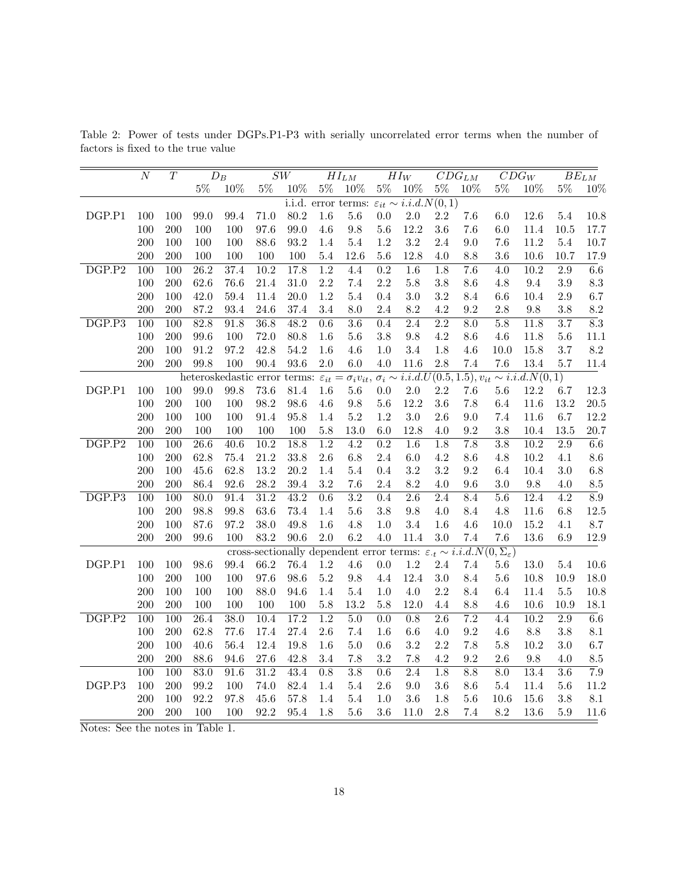|                     | $\overline{N}$   | $\overline{T}$   |       | $\overline{D}_B$  |                   | $\overline{SW}$   |                  | $\overline{HI_{LM}}$                                     |                  | $\overline{H} \overline{I}_W$ |                  | $\overline{CDG}_{LM}$ |                                                                                                                                 | $CDG_W$ |                  | $\overline{BE}_{LM}$ |
|---------------------|------------------|------------------|-------|-------------------|-------------------|-------------------|------------------|----------------------------------------------------------|------------------|-------------------------------|------------------|-----------------------|---------------------------------------------------------------------------------------------------------------------------------|---------|------------------|----------------------|
|                     |                  |                  | $5\%$ | $10\%$            | $5\%$             | $10\%$            | $5\%$            | $10\%$                                                   | $5\%$            | $10\%$                        | $5\%$            | 10%                   | $5\%$                                                                                                                           | 10%     | $5\%$            | 10%                  |
|                     |                  |                  |       |                   |                   |                   |                  | i.i.d. error terms: $\varepsilon_{it} \sim i.i.d.N(0,1)$ |                  |                               |                  |                       |                                                                                                                                 |         |                  |                      |
| DGP.P1              | 100              | 100              | 99.0  | 99.4              | 71.0              | $80.2\,$          | 1.6              | $5.6\,$                                                  | 0.0              | 2.0                           | 2.2              | $7.6\,$               | 6.0                                                                                                                             | 12.6    | 5.4              | 10.8                 |
|                     | 100              | 200              | 100   | 100               | 97.6              | 99.0              | $4.6\,$          | $\,9.8$                                                  | $5.6\,$          | 12.2                          | 3.6              | $7.6\,$               | 6.0                                                                                                                             | 11.4    | 10.5             | 17.7                 |
|                     | 200              | 100              | 100   | 100               | 88.6              | $93.2\,$          | 1.4              | $5.4\,$                                                  | $1.2\,$          | $3.2\,$                       | $2.4\,$          | $9.0\,$               | 7.6                                                                                                                             | 11.2    | $5.4\,$          | $10.7\,$             |
|                     | 200              | 200              | 100   | 100               | 100               | 100               | 5.4              | 12.6                                                     | 5.6              | 12.8                          | 4.0              | 8.8                   | 3.6                                                                                                                             | 10.6    | 10.7             | 17.9                 |
| DGP.P2              | 100              | 100              | 26.2  | 37.4              | 10.2              | 17.8              | $\overline{1.2}$ | 4.4                                                      | $\overline{0.2}$ | $\overline{1.6}$              | $\overline{1.8}$ | $\overline{7.6}$      | $\overline{4.0}$                                                                                                                | 10.2    | $\overline{2.9}$ | $\overline{6.6}$     |
|                     | 100              | $200\,$          | 62.6  | 76.6              | 21.4              | $31.0\,$          | $2.2\,$          | $7.4\,$                                                  | 2.2              | $5.8\,$                       | $3.8\,$          | $8.6\,$               | $4.8\,$                                                                                                                         | 9.4     | $\!.9$           | $\!\!\!\!\!8.3$      |
|                     | 200              | 100              | 42.0  | 59.4              | 11.4              | 20.0              | 1.2              | 5.4                                                      | 0.4              | 3.0                           | 3.2              | 8.4                   | $6.6\,$                                                                                                                         | 10.4    | 2.9              | 6.7                  |
|                     | 200              | 200              | 87.2  | 93.4              | 24.6              | 37.4              | 3.4              | 8.0                                                      | 2.4              | 8.2                           | 4.2              | 9.2                   | $2.8\,$                                                                                                                         | $\,9.8$ | 3.8              | $8.2\,$              |
| DGP.P3              | 100              | 100              | 82.8  | 91.8              | $\overline{36.8}$ | 48.2              | 0.6              | $\overline{3.6}$                                         | 0.4              | $\overline{2.4}$              | 2.2              | $\overline{8.0}$      | 5.8                                                                                                                             | 11.8    | $\overline{3.7}$ | $\overline{8.3}$     |
|                     | 100              | 200              | 99.6  | 100               | 72.0              | $80.8\,$          | 1.6              | $5.6\,$                                                  | $3.8\,$          | $9.8\,$                       | $4.2\,$          | $8.6\,$               | $4.6\,$                                                                                                                         | 11.8    | $5.6\,$          | 11.1                 |
|                     | $200\,$          | 100              | 91.2  | 97.2              | 42.8              | $54.2\,$          | 1.6              | $4.6\,$                                                  | 1.0              | 3.4                           | 1.8              | 4.6                   | 10.0                                                                                                                            | 15.8    | 3.7              | $8.2\,$              |
|                     | 200              | 200              | 99.8  | 100               | 90.4              | 93.6              | $2.0\,$          | $6.0\,$                                                  | 4.0              | 11.6                          | 2.8              | 7.4                   | 7.6                                                                                                                             | 13.4    | 5.7              | 11.4                 |
|                     |                  |                  |       |                   |                   |                   |                  |                                                          |                  |                               |                  |                       | heteroskedastic error terms: $\varepsilon_{it} = \sigma_i v_{it}, \sigma_i \sim i.i.d. U(0.5, 1.5), v_{it} \sim i.i.d. N(0, 1)$ |         |                  |                      |
| DGP.P1              | 100              | 100              | 99.0  | 99.8              | 73.6              | 81.4              | 1.6              | $5.6\,$                                                  | $0.0\,$          | 2.0                           | $2.2\,$          | 7.6                   | 5.6                                                                                                                             | 12.2    | 6.7              | 12.3                 |
|                     | 100              | 200              | 100   | 100               | 98.2              | 98.6              | $4.6\,$          | $\ \, 9.8$                                               | $5.6\,$          | 12.2                          | 3.6              | $7.8\,$               | 6.4                                                                                                                             | 11.6    | 13.2             | $20.5\,$             |
|                     | 200              | 100              | 100   | 100               | 91.4              | $95.8\,$          | 1.4              | $5.2\,$                                                  | $1.2\,$          | 3.0                           | $2.6\,$          | $9.0\,$               | $7.4\,$                                                                                                                         | 11.6    | 6.7              | 12.2                 |
|                     | 200              | 200              | 100   | 100               | 100               | 100               | $5.8\,$          | 13.0                                                     | 6.0              | 12.8                          | 4.0              | $\rm 9.2$             | 3.8                                                                                                                             | 10.4    | 13.5             | 20.7                 |
| DGP.P2              | 100              | 100              | 26.6  | 40.6              | 10.2              | 18.8              | $\overline{1.2}$ | $\overline{4.2}$                                         | $\overline{0.2}$ | $\overline{1.6}$              | 1.8              | 7.8                   | 3.8                                                                                                                             | 10.2    | $\overline{2.9}$ | $\overline{6.6}$     |
|                     | 100              | 200              | 62.8  | 75.4              | 21.2              | 33.8              | $2.6\,$          | $6.8\,$                                                  | $2.4\,$          | $6.0\,$                       | 4.2              | 8.6                   | 4.8                                                                                                                             | 10.2    | 4.1              | $8.6\,$              |
|                     | 200              | 100              | 45.6  | 62.8              | 13.2              | $20.2\,$          | 1.4              | $5.4\,$                                                  | $0.4\,$          | $3.2\,$                       | $\!3.2\!$        | $\rm 9.2$             | 6.4                                                                                                                             | 10.4    | $3.0\,$          | $6.8\,$              |
|                     | 200              | 200              | 86.4  | 92.6              | 28.2              | 39.4              | $3.2\,$          | 7.6                                                      | 2.4              | 8.2                           | 4.0              | 9.6                   | 3.0                                                                                                                             | $\,9.8$ | $4.0\,$          | $\!\!\!\!\!8.5$      |
| $\overline{DGP.P3}$ | $\overline{100}$ | $\overline{100}$ | 80.0  | $\overline{91.4}$ | 31.2              | $\overline{43.2}$ | $\overline{0.6}$ | $\overline{3.2}$                                         | 0.4              | $\overline{2.6}$              | $\overline{2.4}$ | 8.4                   | $\overline{5.6}$                                                                                                                | 12.4    | $\overline{4.2}$ | $\overline{8.9}$     |
|                     | 100              | 200              | 98.8  | 99.8              | 63.6              | 73.4              | $1.4\,$          | 5.6                                                      | $3.8\,$          | $\,9.8$                       | 4.0              | $8.4\,$               | $4.8\,$                                                                                                                         | 11.6    | 6.8              | 12.5                 |
|                     | 200              | 100              | 87.6  | 97.2              | 38.0              | 49.8              | $1.6\,$          | $4.8\,$                                                  | 1.0              | 3.4                           | 1.6              | $4.6\,$               | 10.0                                                                                                                            | 15.2    | 4.1              | 8.7                  |
|                     | 200              | 200              | 99.6  | 100               | 83.2              | 90.6              | $2.0\,$          | 6.2                                                      | 4.0              | 11.4                          | 3.0              | 7.4                   | 7.6                                                                                                                             | 13.6    | 6.9              | 12.9                 |
|                     |                  |                  |       |                   |                   |                   |                  |                                                          |                  |                               |                  |                       | cross-sectionally dependent error terms: $\varepsilon_t \sim i.i.d.N(0, \Sigma_{\varepsilon})$                                  |         |                  |                      |
| DGP.P1              | 100              | 100              | 98.6  | 99.4              | 66.2              | 76.4              | $1.2\,$          | $4.6\,$                                                  | $0.0\,$          | 1.2                           | 2.4              | $7.4\,$               | 5.6                                                                                                                             | 13.0    | $5.4\,$          | 10.6                 |
|                     | 100              | 200              | 100   | 100               | 97.6              | 98.6              | $5.2\,$          | $\,9.8$                                                  | 4.4              | 12.4                          | $3.0\,$          | 8.4                   | $5.6\,$                                                                                                                         | 10.8    | 10.9             | 18.0                 |
|                     | 200              | 100              | 100   | 100               | 88.0              | 94.6              | 1.4              | 5.4                                                      | 1.0              | 4.0                           | 2.2              | 8.4                   | 6.4                                                                                                                             | 11.4    | 5.5              | 10.8                 |
|                     | 200              | 200              | 100   | 100               | 100               | $100\,$           | $5.8\,$          | 13.2                                                     | $5.8\,$          | 12.0                          | 4.4              | $8.8\,$               | 4.6                                                                                                                             | 10.6    | 10.9             | 18.1                 |
| DGP.P2              | $\overline{100}$ | $\overline{100}$ | 26.4  | 38.0              | $\overline{10.4}$ | 17.2              | $\overline{1.2}$ | 5.0                                                      | $\overline{0.0}$ | $\overline{0.8}$              | $\overline{2.6}$ | $\overline{7.2}$      | $\overline{4.4}$                                                                                                                | 10.2    | $\overline{2.9}$ | $\overline{6.6}$     |
|                     | 100              | 200              | 62.8  | 77.6              | 17.4              | $27.4\,$          | $2.6\,$          | $7.4\,$                                                  | 1.6              | 6.6                           | 4.0              | $\rm 9.2$             | $4.6\,$                                                                                                                         | $8.8\,$ | $3.8\,$          | $8.1\,$              |
|                     | 200              | 100              | 40.6  | 56.4              | 12.4              | 19.8              | 1.6              | $5.0\,$                                                  | 0.6              | $3.2\,$                       | $2.2\,$          | $7.8\,$               | $5.8\,$                                                                                                                         | 10.2    | $3.0\,$          | 6.7                  |
|                     | 200              | 200              | 88.6  | 94.6              | 27.6              | 42.8              | 3.4              | 7.8                                                      | 3.2              | 7.8                           | 4.2              | 9.2                   | $2.6\,$                                                                                                                         | 9.8     | 4.0              | $\!\!\!\!\!8.5$      |
|                     | 100              | 100              | 83.0  | 91.6              | 31.2              | 43.4              | 0.8              | $\overline{3.8}$                                         | 0.6              | 2.4                           | 1.8              | 8.8                   | 8.0                                                                                                                             | 13.4    | $\overline{3.6}$ | $\overline{7.9}$     |
| DGP.P3              | 100              | 200              | 99.2  | 100               | 74.0              | 82.4              | 1.4              | 5.4                                                      | $2.6\,$          | 9.0                           | 3.6              | $8.6\,$               | $5.4\,$                                                                                                                         | 11.4    | $5.6\,$          | $11.2\,$             |
|                     | 200              | 100              | 92.2  | 97.8              | 45.6              | 57.8              | 1.4              | 5.4                                                      | 1.0              | 3.6                           | 1.8              | $5.6\,$               | 10.6                                                                                                                            | 15.6    | 3.8              | $\!\!\!\!\!8.1$      |
|                     | $200\,$          | 200              | 100   | 100               | 92.2              | 95.4              | 1.8              | 5.6                                                      | 3.6              | 11.0                          | 2.8              | 7.4                   | 8.2                                                                                                                             | 13.6    | $5.9\,$          | 11.6                 |

<span id="page-17-0"></span>Table 2: Power of tests under DGPs.P1-P3 with serially uncorrelated error terms when the number of factors is fixed to the true value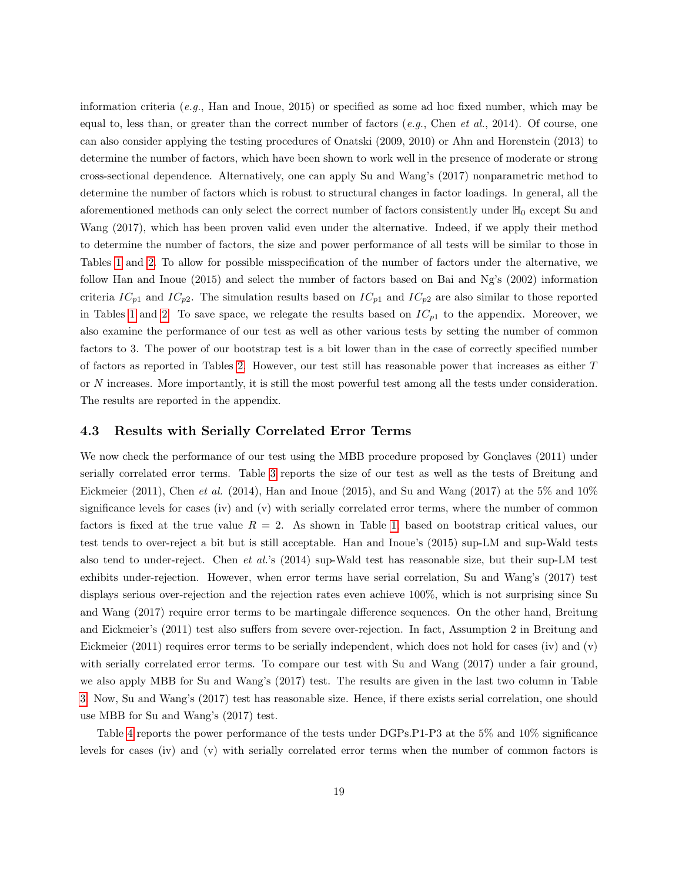information criteria (e.g., Han and Inoue, 2015) or specified as some ad hoc fixed number, which may be equal to, less than, or greater than the correct number of factors (e.g., Chen et al., 2014). Of course, one can also consider applying the testing procedures of Onatski (2009, 2010) or Ahn and Horenstein (2013) to determine the number of factors, which have been shown to work well in the presence of moderate or strong cross-sectional dependence. Alternatively, one can apply Su and Wang's (2017) nonparametric method to determine the number of factors which is robust to structural changes in factor loadings. In general, all the aforementioned methods can only select the correct number of factors consistently under  $\mathbb{H}_0$  except Su and Wang (2017), which has been proven valid even under the alternative. Indeed, if we apply their method to determine the number of factors, the size and power performance of all tests will be similar to those in Tables [1](#page-16-0) and [2](#page-17-0). To allow for possible misspecification of the number of factors under the alternative, we follow Han and Inoue (2015) and select the number of factors based on Bai and Ng's (2002) information criteria  $IC_{p1}$  and  $IC_{p2}$ . The simulation results based on  $IC_{p1}$  and  $IC_{p2}$  are also similar to those reported in Tables [1](#page-16-0) and [2.](#page-17-0) To save space, we relegate the results based on  $IC_{p1}$  to the appendix. Moreover, we also examine the performance of our test as well as other various tests by setting the number of common factors to 3. The power of our bootstrap test is a bit lower than in the case of correctly specified number of factors as reported in Tables [2.](#page-17-0) However, our test still has reasonable power that increases as either T or N increases. More importantly, it is still the most powerful test among all the tests under consideration. The results are reported in the appendix.

#### 4.3 Results with Serially Correlated Error Terms

We now check the performance of our test using the MBB procedure proposed by Gonçlaves (2011) under serially correlated error terms. Table [3](#page-19-0) reports the size of our test as well as the tests of Breitung and Eickmeier (2011), Chen et al. (2014), Han and Inoue (2015), and Su and Wang (2017) at the 5% and 10% significance levels for cases (iv) and (v) with serially correlated error terms, where the number of common factors is fixed at the true value  $R = 2$ . As shown in Table [1,](#page-16-0) based on bootstrap critical values, our test tends to over-reject a bit but is still acceptable. Han and Inoue's (2015) sup-LM and sup-Wald tests also tend to under-reject. Chen et al.'s (2014) sup-Wald test has reasonable size, but their sup-LM test exhibits under-rejection. However, when error terms have serial correlation, Su and Wang's (2017) test displays serious over-rejection and the rejection rates even achieve 100%, which is not surprising since Su and Wang (2017) require error terms to be martingale difference sequences. On the other hand, Breitung and Eickmeier's (2011) test also suffers from severe over-rejection. In fact, Assumption 2 in Breitung and Eickmeier (2011) requires error terms to be serially independent, which does not hold for cases (iv) and (v) with serially correlated error terms. To compare our test with Su and Wang (2017) under a fair ground, we also apply MBB for Su and Wang's (2017) test. The results are given in the last two column in Table [3.](#page-19-0) Now, Su and Wang's (2017) test has reasonable size. Hence, if there exists serial correlation, one should use MBB for Su and Wang's (2017) test.

Table [4](#page-20-0) reports the power performance of the tests under DGPs.P1-P3 at the 5% and 10% significance levels for cases (iv) and (v) with serially correlated error terms when the number of common factors is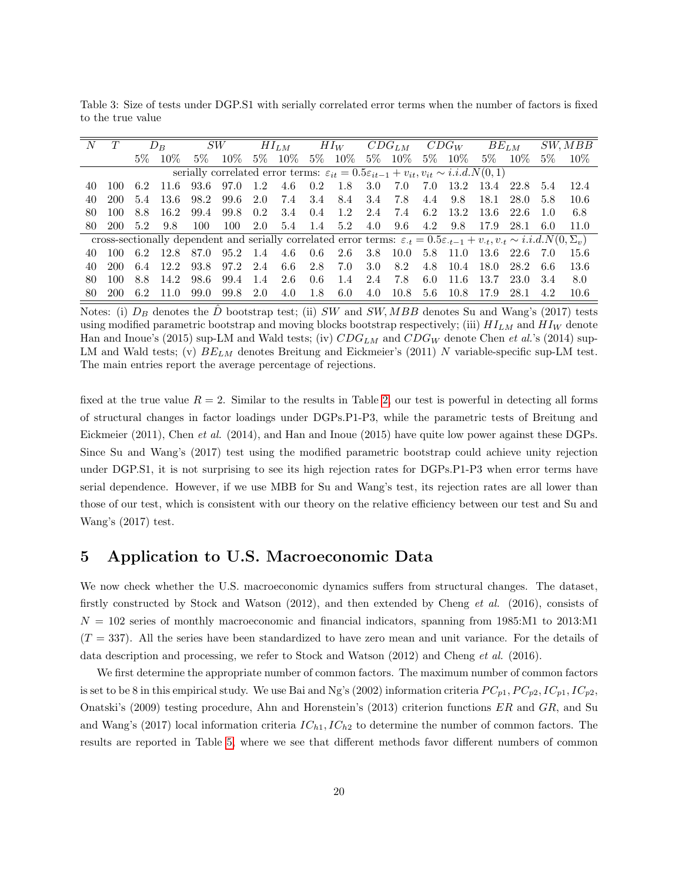<span id="page-19-0"></span>Table 3: Size of tests under DGP.S1 with serially correlated error terms when the number of factors is fixed to the true value

| N   |     |       | $D_{B}$ |       | SW                                                                                                                                            |       | $HI_{LM}$ |       | $HI_W$ |       | $CDG_{LM}$ |       | $CDG_W$ |       | $BE_{LM}$ |       | SW, MBB |
|-----|-----|-------|---------|-------|-----------------------------------------------------------------------------------------------------------------------------------------------|-------|-----------|-------|--------|-------|------------|-------|---------|-------|-----------|-------|---------|
|     |     | $5\%$ | $10\%$  | $5\%$ | $10\%$                                                                                                                                        | $5\%$ | $10\%$    | $5\%$ | $10\%$ | $5\%$ | $10\%$     | $5\%$ | $10\%$  | $5\%$ | $10\%$    | $5\%$ | $10\%$  |
|     |     |       |         |       | serially correlated error terms: $\varepsilon_{it} = 0.5\varepsilon_{it-1} + v_{it}, v_{it} \sim i.i.d.N(0,1)$                                |       |           |       |        |       |            |       |         |       |           |       |         |
| 40  |     | 6.2   | -11.6   | 93.6  | 97.0                                                                                                                                          | 1.2   | 4.6       | 0.2   | -1.8   | 3.0   | -7.0       | 7.0   | 13.2    | 13.4  | 22.8      | 5.4   | 12.4    |
| 40  | 200 | 5.4   | -13.6   | 98.2  | 99.6                                                                                                                                          | 2.0   | 7.4       | 3.4   | 8.4    | 3.4   | 7.8        | 4.4   | 9.8     | 18.1  | 28.0      | 5.8   | 10.6    |
| 80  | 100 | 8.8   | 16.2    | 99.4  | 99.8                                                                                                                                          | 0.2   | 3.4       | 0.4   | 1.2    | 2.4   | 7.4        | 6.2   | 13.2    | -13.6 | -22.6     | 1.0   | 6.8     |
| 80. | 200 | 5.2   | 9.8     | 100   | 100                                                                                                                                           | 2.0   | 5.4       | 1.4   | 5.2    | 4.0   | 9.6        | 4.2   | 9.8     | 17.9  | 28.1      | 6.0   | 11.0    |
|     |     |       |         |       | cross-sectionally dependent and serially correlated error terms: $\varepsilon_t = 0.5\varepsilon_{t-1} + v_t, v_t \sim i.i.d. N(0, \Sigma_v)$ |       |           |       |        |       |            |       |         |       |           |       |         |
| 40  |     | 6.2   | 12.8    | 87.0  | 95.2                                                                                                                                          | -1.4  | 4.6       | 0.6   | 2.6    | 3.8   | 10.0       | 5.8   | - 11.0  | -13.6 | -22.6     |       | 15.6    |
| 40  | 200 | 6.4   | 12.2    | 93.8  | 97.2                                                                                                                                          | 2.4   | 6.6       | 2.8   | 7.0    | 3.0   | 8.2        | 4.8   | 10.4    | 18.0  | 28.2      | -6.6  | 13.6    |
| 80  | 100 | 8.8   | 14.2    | 98.6  | 99.4                                                                                                                                          | 1.4   | 2.6       | 0.6   | 1.4    | 2.4   | 7.8        | 6.0   | 11.6    | 13.7  | 23.0      | 3.4   | 8.0     |
| 80  |     | 6.2   | 11 0    | 99.0  | 99.8                                                                                                                                          | 2.0   | 4.0       | 1.8   | 6.0    | 4.0   | 10.8       | 5.6   | 10.8    | 17.9  | 28.1      |       | 10.6    |

Notes: (i)  $D_B$  denotes the  $\hat{D}$  bootstrap test; (ii) SW and SW, MBB denotes Su and Wang's (2017) tests using modified parametric bootstrap and moving blocks bootstrap respectively; (iii)  $HI_{LM}$  and  $HI_W$  denote Han and Inoue's (2015) sup-LM and Wald tests; (iv)  $CDG_{LM}$  and  $CDG_W$  denote Chen et al.'s (2014) sup-LM and Wald tests; (v)  $BE_{LM}$  denotes Breitung and Eickmeier's (2011) N variable-specific sup-LM test. The main entries report the average percentage of rejections.

fixed at the true value  $R = 2$ . Similar to the results in Table [2,](#page-17-0) our test is powerful in detecting all forms of structural changes in factor loadings under DGPs.P1-P3, while the parametric tests of Breitung and Eickmeier (2011), Chen et al. (2014), and Han and Inoue (2015) have quite low power against these DGPs. Since Su and Wang's (2017) test using the modified parametric bootstrap could achieve unity rejection under DGP.S1, it is not surprising to see its high rejection rates for DGPs.P1-P3 when error terms have serial dependence. However, if we use MBB for Su and Wang's test, its rejection rates are all lower than those of our test, which is consistent with our theory on the relative efficiency between our test and Su and Wang's (2017) test.

## 5 Application to U.S. Macroeconomic Data

We now check whether the U.S. macroeconomic dynamics suffers from structural changes. The dataset, firstly constructed by Stock and Watson (2012), and then extended by Cheng et al. (2016), consists of  $N = 102$  series of monthly macroeconomic and financial indicators, spanning from 1985:M1 to 2013:M1  $(T = 337)$ . All the series have been standardized to have zero mean and unit variance. For the details of data description and processing, we refer to Stock and Watson (2012) and Cheng et al. (2016).

We first determine the appropriate number of common factors. The maximum number of common factors is set to be 8 in this empirical study. We use Bai and Ng's (2002) information criteria  $PC_{p1}$ ,  $PC_{p2}$ ,  $IC_{p1}$ ,  $IC_{p2}$ , Onatski's (2009) testing procedure, Ahn and Horenstein's (2013) criterion functions ER and GR, and Su and Wang's (2017) local information criteria  $IC_{h1}$ ,  $IC_{h2}$  to determine the number of common factors. The results are reported in Table [5,](#page-21-0) where we see that different methods favor different numbers of common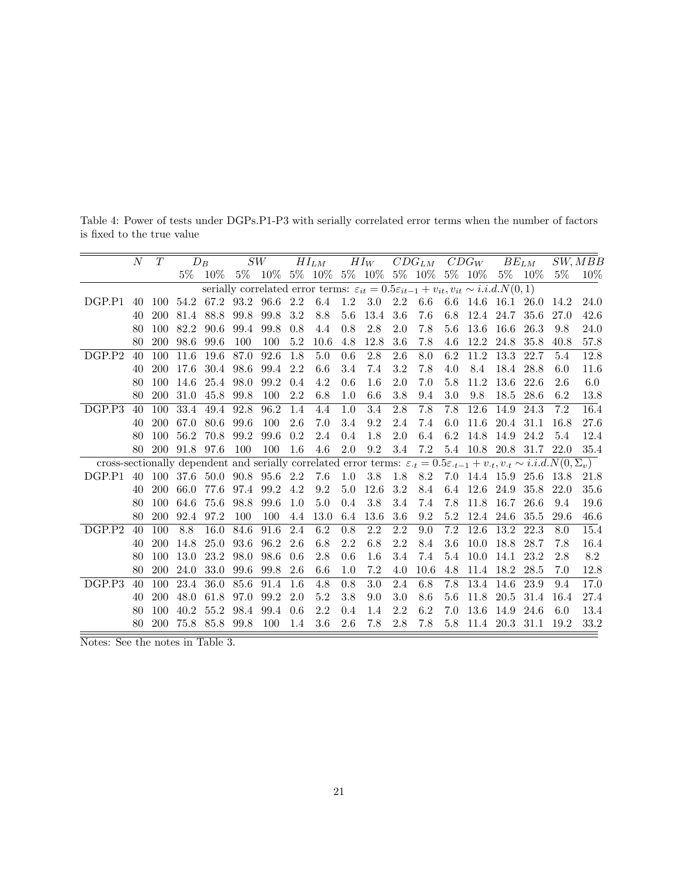|                                                                                                                                                      | $\overline{N}$ | T          |       | $D_B$                               |      | SW                 |                  | $HI_{LM}$                                                                                                                 |                  |                  |         | $HI_W$ $CDG_{LM}$ $CDG_W$ $BE_{LM}$ |         |               |           |                             |       | SW, MBB  |
|------------------------------------------------------------------------------------------------------------------------------------------------------|----------------|------------|-------|-------------------------------------|------|--------------------|------------------|---------------------------------------------------------------------------------------------------------------------------|------------------|------------------|---------|-------------------------------------|---------|---------------|-----------|-----------------------------|-------|----------|
|                                                                                                                                                      |                |            | $5\%$ | $10\%$                              |      |                    |                  | $5\% \quad 10\% \quad 5\% \quad 10\% \quad 5\% \quad 10\% \quad 5\% \quad 10\% \quad 5\% \quad 10\% \quad 5\% \quad 10\%$ |                  |                  |         |                                     |         |               |           |                             | $5\%$ | $10\%$   |
|                                                                                                                                                      |                |            |       |                                     |      |                    |                  | serially correlated error terms: $\varepsilon_{it} = 0.5\varepsilon_{it-1} + v_{it}, v_{it} \sim i.i.d.N(0,1)$            |                  |                  |         |                                     |         |               |           |                             |       |          |
| DGP.P1                                                                                                                                               |                | 40 100     |       | 54.2 67.2 93.2 96.6 2.2 6.4 1.2 3.0 |      |                    |                  |                                                                                                                           |                  |                  | 2.2     |                                     |         |               |           | 6.6 6.6 14.6 16.1 26.0 14.2 |       | 24.0     |
|                                                                                                                                                      | 40             | 200        | 81.4  | 88.8 99.8                           |      | 99.8               | 3.2              | 8.8                                                                                                                       | $5.6\,$          | 13.4             | $3.6\,$ | 7.6                                 | $6.8\,$ | 12.4 24.7     |           | 35.6                        | 27.0  | $42.6\,$ |
|                                                                                                                                                      | 80             | 100        | 82.2  | 90.6                                | 99.4 | 99.8               | 0.8              | 4.4                                                                                                                       | 0.8              | 2.8              | 2.0     | 7.8                                 |         | 5.6 13.6 16.6 |           | 26.3                        | 9.8   | 24.0     |
|                                                                                                                                                      | 80             | <b>200</b> | 98.6  | 99.6                                | 100  | 100                | $5.2\,$          | 10.6                                                                                                                      | 4.8              | 12.8             | $3.6\,$ | 7.8                                 | 4.6     | 12.2 24.8     |           | 35.8                        | 40.8  | 57.8     |
| DGP.P2                                                                                                                                               | 40             | 100        | 11.6  | 19.6                                | 87.0 | 92.6               | $\overline{1.8}$ | 5.0                                                                                                                       | $\overline{0.6}$ | $\overline{2.8}$ | 2.6     | $\overline{8.0}$                    | 6.2     | 11.2          | 13.3      | 22.7                        | 5.4   | 12.8     |
|                                                                                                                                                      | 40             | 200        | 17.6  | 30.4                                | 98.6 | 99.4               | 2.2              | $6.6\,$                                                                                                                   | 3.4              | 7.4              | $3.2\,$ | 7.8                                 | 4.0     | 8.4           | 18.4      | 28.8                        | 6.0   | 11.6     |
|                                                                                                                                                      | 80             | 100        | 14.6  | 25.4 98.0                           |      | 99.2               | 0.4              | 4.2                                                                                                                       | 0.6              | 1.6              | 2.0     | 7.0                                 | 5.8     | 11.2          | 13.6      | 22.6                        | 2.6   | $6.0\,$  |
|                                                                                                                                                      | 80             | <b>200</b> | 31.0  | 45.8 99.8                           |      | 100                | 2.2              | $6.8\,$                                                                                                                   | $1.0\,$          | 6.6              | 3.8     | 9.4                                 | 3.0     | 9.8           | 18.5      | 28.6                        | 6.2   | 13.8     |
| DGP.P3                                                                                                                                               | 40             | 100        | 33.4  | 49.4                                | 92.8 | 96.2               | 1.4              | 4.4                                                                                                                       | 1.0              | 3.4              | 2.8     | 7.8                                 | 7.8     | 12.6          | 14.9      | 24.3                        | 7.2   | 16.4     |
|                                                                                                                                                      | 40             | 200        | 67.0  | 80.6                                | 99.6 | 100                | 2.6              | 7.0                                                                                                                       | 3.4              | $\,9.2$          | 2.4     | 7.4                                 | 6.0     | 11.6          |           | 20.4 31.1                   | 16.8  | 27.6     |
|                                                                                                                                                      | 80             | 100        | 56.2  | 70.8                                | 99.2 | 99.6               | $0.2\,$          | 2.4                                                                                                                       | 0.4              | 1.8              | $2.0\,$ | 6.4                                 |         | 6.2 14.8 14.9 |           | 24.2                        | 5.4   | 12.4     |
|                                                                                                                                                      | 80             | <b>200</b> |       | 91.8 97.6                           | 100  | 100                | $1.6\,$          | 4.6                                                                                                                       | $2.0\,$          | 9.2              | 3.4     | 7.2                                 |         |               |           | 5.4 10.8 20.8 31.7 22.0     |       | 35.4     |
| cross-sectionally dependent and serially correlated error terms: $\varepsilon_{t} = 0.5\varepsilon_{t-1} + v_{t}, v_{t} \sim i.i.d.N(0, \Sigma_{v})$ |                |            |       |                                     |      |                    |                  |                                                                                                                           |                  |                  |         |                                     |         |               |           |                             |       |          |
| DGP.P1                                                                                                                                               | 40             |            |       | 100 37.6 50.0 90.8 95.6 2.2         |      |                    |                  | 7.6                                                                                                                       | $1.0\,$          | 3.8              |         | 1.8 8.2 7.0 14.4 15.9 25.6 13.8     |         |               |           |                             |       | 21.8     |
|                                                                                                                                                      | 40             | 200        | 66.0  |                                     |      | 77.6 97.4 99.2 4.2 |                  | 9.2                                                                                                                       | 5.0              | 12.6             | $3.2\,$ | 8.4                                 |         | 6.4 12.6 24.9 |           | 35.8                        | 22.0  | 35.6     |
|                                                                                                                                                      | 80             | 100        | 64.6  | 75.6                                | 98.8 | 99.6               | 1.0              | $5.0\,$                                                                                                                   | 0.4              | $3.8\,$          | 3.4     | 7.4                                 | 7.8     | 11.8 16.7     |           | 26.6                        | 9.4   | 19.6     |
|                                                                                                                                                      | 80             | <b>200</b> | 92.4  | 97.2                                | 100  | 100                | 4.4              | 13.0                                                                                                                      | 6.4              | 13.6             | 3.6     | 9.2                                 | 5.2     | 12.4 24.6     |           | 35.5                        | 29.6  | 46.6     |
| DGP.P2                                                                                                                                               | 40             | 100        | 8.8   | 16.0                                | 84.6 | $91.6\,$           | 2.4              | 6.2                                                                                                                       | $0.8\,$          | 2.2              | 2.2     | 9.0                                 | 7.2     | 12.6          | 13.2      | 22.3                        | 8.0   | 15.4     |
|                                                                                                                                                      | 40             | 200        | 14.8  | 25.0                                | 93.6 | 96.2               | 2.6              | 6.8                                                                                                                       | 2.2              | $6.8\,$          | $2.2\,$ | 8.4                                 | 3.6     | 10.0          | 18.8      | 28.7                        | 7.8   | 16.4     |
|                                                                                                                                                      | 80             | 100        | 13.0  | 23.2                                | 98.0 | 98.6               | 0.6              | $2.8\,$                                                                                                                   | 0.6              | 1.6              | 3.4     | 7.4                                 | 5.4     | 10.0          | 14.1      | 23.2                        | 2.8   | $8.2\,$  |
|                                                                                                                                                      | 80             | 200        | 24.0  | 33.0                                | 99.6 | 99.8               | 2.6              | 6.6                                                                                                                       | 1.0              | 7.2              | 4.0     | 10.6                                | 4.8     |               | 11.4 18.2 | 28.5                        | 7.0   | 12.8     |
| DGP.P.3                                                                                                                                              | 40             | 100        | 23.4  | 36.0                                | 85.6 | 91.4               | 1.6              | 4.8                                                                                                                       | 0.8              | $3.0\,$          | 2.4     | 6.8                                 | 7.8     | 13.4          | 14.6      | 23.9                        | 9.4   | 17.0     |
|                                                                                                                                                      | 40             | 200        | 48.0  | 61.8                                | 97.0 | 99.2               | 2.0              | 5.2                                                                                                                       | $3.8\,$          | 9.0              | 3.0     | 8.6                                 | 5.6     |               | 11.8 20.5 | 31.4                        | 16.4  | 27.4     |
|                                                                                                                                                      | 80             | 100        | 40.2  | 55.2                                | 98.4 | 99.4               | 0.6              | 2.2                                                                                                                       | 0.4              | 1.4              | $2.2\,$ | 6.2                                 | 7.0     | 13.6          | 14.9      | 24.6                        | 6.0   | 13.4     |
|                                                                                                                                                      | 80             | 200        |       | 75.8 85.8 99.8                      |      | 100                | 1.4              | 3.6                                                                                                                       | 2.6              | 7.8              | 2.8     | 7.8                                 | 5.8     |               |           | 11.4 20.3 31.1 19.2         |       | 33.2     |

<span id="page-20-0"></span>Table 4: Power of tests under DGPs.P1-P3 with serially correlated error terms when the number of factors is fixed to the true value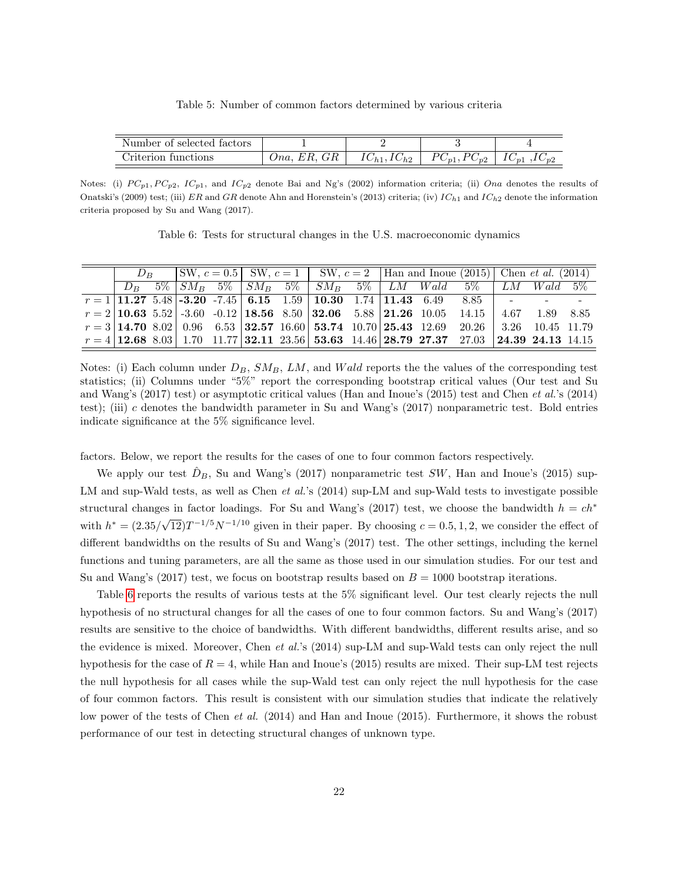Table 5: Number of common factors determined by various criteria

<span id="page-21-0"></span>

| Number of selected factors |                                                        |                             |                                           |                          |
|----------------------------|--------------------------------------------------------|-----------------------------|-------------------------------------------|--------------------------|
| riterion in<br>tunctions   | <b>H</b><br>. н<br>$m$ a<br>տո<br>$\cup$ 100.<br>1.10, | $1\cup_{h1}$ , $1\cup_{h2}$ | $\cup_{p2}$<br>$\mathbf{I}$<br>$\cup_{p}$ | $\cup_{n}$<br>$\cup_{p}$ |

Notes: (i)  $PC_{p1}$ ,  $PC_{p2}$ ,  $IC_{p1}$ , and  $IC_{p2}$  denote Bai and Ng's (2002) information criteria; (ii) Ona denotes the results of Onatski's (2009) test; (iii) ER and GR denote Ahn and Horenstein's (2013) criteria; (iv)  $IC_{h1}$  and  $IC_{h2}$  denote the information criteria proposed by Su and Wang (2017).

Table 6: Tests for structural changes in the U.S. macroeconomic dynamics

<span id="page-21-1"></span>

| $D_{\mathcal{P}}$ | $\vert SW, c = 0.5 \vert SW, c = 1 \vert SW, c = 2 \vert Ham \text{ and Inoue (2015)} \vert Chem et al. (2014)$ |  |  |  |  |  |                                                                                                                      |  |  |
|-------------------|-----------------------------------------------------------------------------------------------------------------|--|--|--|--|--|----------------------------------------------------------------------------------------------------------------------|--|--|
|                   |                                                                                                                 |  |  |  |  |  | $D_B$ 5% $SM_B$ 5% $SM_B$ 5% $SM_B$ 5% $LM_B$ 5% $LM$ Wald 5% $LM$ Wald 5%                                           |  |  |
|                   |                                                                                                                 |  |  |  |  |  | $r = 1   11.27 5.48   -3.20 -7.45   6.15 1.59   10.30 1.74   11.43 6.49 8.85   -$                                    |  |  |
|                   |                                                                                                                 |  |  |  |  |  | $r = 2  10.63 \t 5.52  -3.60 \t -0.12  18.56 \t 8.50  32.06 \t 5.88  21.26 \t 10.05 \t 14.15   4.67 \t 1.89 \t 8.85$ |  |  |
|                   |                                                                                                                 |  |  |  |  |  | $r = 3   14.70   8.02   0.96   6.53   32.57   16.60   53.74   10.70   25.43   12.69   20.26   3.26   10.45   11.79$  |  |  |
|                   |                                                                                                                 |  |  |  |  |  | $r = 4 12.68 8.03 1.70 11.77 32.11 23.56 53.63 14.46 28.79 27.37 27.03 24.39 24.13 14.15$                            |  |  |

Notes: (i) Each column under  $D_B$ ,  $SM_B$ ,  $LM$ , and  $Wald$  reports the the values of the corresponding test statistics; (ii) Columns under "5%" report the corresponding bootstrap critical values (Our test and Su and Wang's (2017) test) or asymptotic critical values (Han and Inoue's (2015) test and Chen et al.'s (2014) test); (iii) c denotes the bandwidth parameter in Su and Wang's (2017) nonparametric test. Bold entries indicate significance at the 5% significance level.

factors. Below, we report the results for the cases of one to four common factors respectively.

We apply our test  $D_B$ , Su and Wang's (2017) nonparametric test SW, Han and Inoue's (2015) sup-LM and sup-Wald tests, as well as Chen et al.'s (2014) sup-LM and sup-Wald tests to investigate possible structural changes in factor loadings. For Su and Wang's (2017) test, we choose the bandwidth  $h = ch^*$ with  $h^* = (2.35/\sqrt{2})$  $\overline{12}$ )T<sup>-1/5</sup>N<sup>-1/10</sup> given in their paper. By choosing  $c = 0.5, 1, 2$ , we consider the effect of different bandwidths on the results of Su and Wang's (2017) test. The other settings, including the kernel functions and tuning parameters, are all the same as those used in our simulation studies. For our test and Su and Wang's (2017) test, we focus on bootstrap results based on  $B = 1000$  bootstrap iterations.

Table [6](#page-21-1) reports the results of various tests at the 5% significant level. Our test clearly rejects the null hypothesis of no structural changes for all the cases of one to four common factors. Su and Wang's (2017) results are sensitive to the choice of bandwidths. With different bandwidths, different results arise, and so the evidence is mixed. Moreover, Chen et al.'s (2014) sup-LM and sup-Wald tests can only reject the null hypothesis for the case of  $R = 4$ , while Han and Inoue's (2015) results are mixed. Their sup-LM test rejects the null hypothesis for all cases while the sup-Wald test can only reject the null hypothesis for the case of four common factors. This result is consistent with our simulation studies that indicate the relatively low power of the tests of Chen *et al.* (2014) and Han and Inoue (2015). Furthermore, it shows the robust performance of our test in detecting structural changes of unknown type.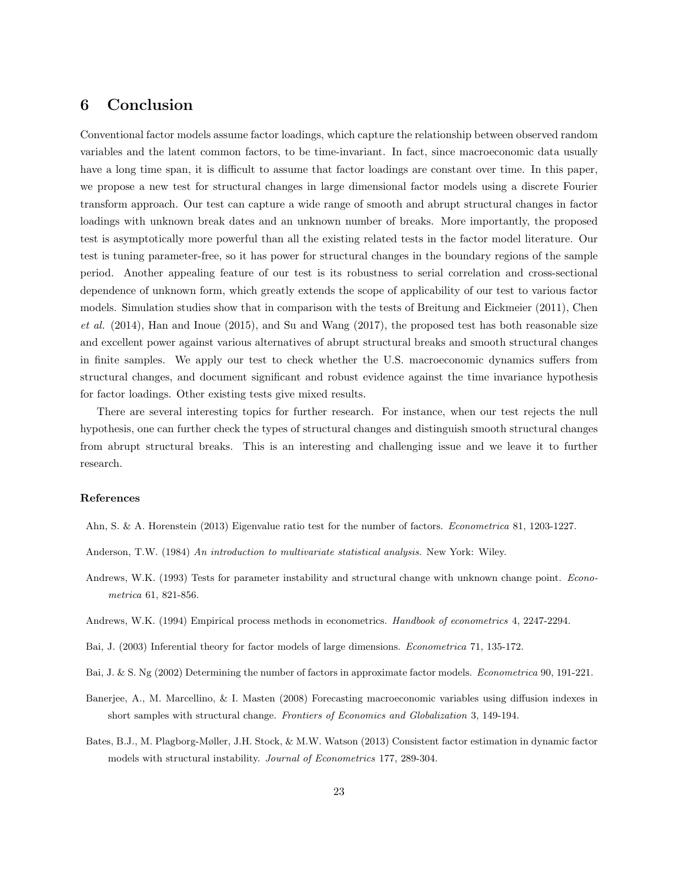# 6 Conclusion

Conventional factor models assume factor loadings, which capture the relationship between observed random variables and the latent common factors, to be time-invariant. In fact, since macroeconomic data usually have a long time span, it is difficult to assume that factor loadings are constant over time. In this paper, we propose a new test for structural changes in large dimensional factor models using a discrete Fourier transform approach. Our test can capture a wide range of smooth and abrupt structural changes in factor loadings with unknown break dates and an unknown number of breaks. More importantly, the proposed test is asymptotically more powerful than all the existing related tests in the factor model literature. Our test is tuning parameter-free, so it has power for structural changes in the boundary regions of the sample period. Another appealing feature of our test is its robustness to serial correlation and cross-sectional dependence of unknown form, which greatly extends the scope of applicability of our test to various factor models. Simulation studies show that in comparison with the tests of Breitung and Eickmeier (2011), Chen  $et al.$  (2014), Han and Inoue (2015), and Su and Wang (2017), the proposed test has both reasonable size and excellent power against various alternatives of abrupt structural breaks and smooth structural changes in finite samples. We apply our test to check whether the U.S. macroeconomic dynamics suffers from structural changes, and document significant and robust evidence against the time invariance hypothesis for factor loadings. Other existing tests give mixed results.

There are several interesting topics for further research. For instance, when our test rejects the null hypothesis, one can further check the types of structural changes and distinguish smooth structural changes from abrupt structural breaks. This is an interesting and challenging issue and we leave it to further research.

#### References

Ahn, S. & A. Horenstein (2013) Eigenvalue ratio test for the number of factors. Econometrica 81, 1203-1227.

- Anderson, T.W. (1984) An introduction to multivariate statistical analysis. New York: Wiley.
- Andrews, W.K. (1993) Tests for parameter instability and structural change with unknown change point. *Econo*metrica 61, 821-856.
- Andrews, W.K. (1994) Empirical process methods in econometrics. Handbook of econometrics 4, 2247-2294.
- Bai, J. (2003) Inferential theory for factor models of large dimensions. Econometrica 71, 135-172.
- Bai, J. & S. Ng (2002) Determining the number of factors in approximate factor models. Econometrica 90, 191-221.
- Banerjee, A., M. Marcellino, & I. Masten (2008) Forecasting macroeconomic variables using diffusion indexes in short samples with structural change. Frontiers of Economics and Globalization 3, 149-194.
- Bates, B.J., M. Plagborg-Møller, J.H. Stock, & M.W. Watson (2013) Consistent factor estimation in dynamic factor models with structural instability. Journal of Econometrics 177, 289-304.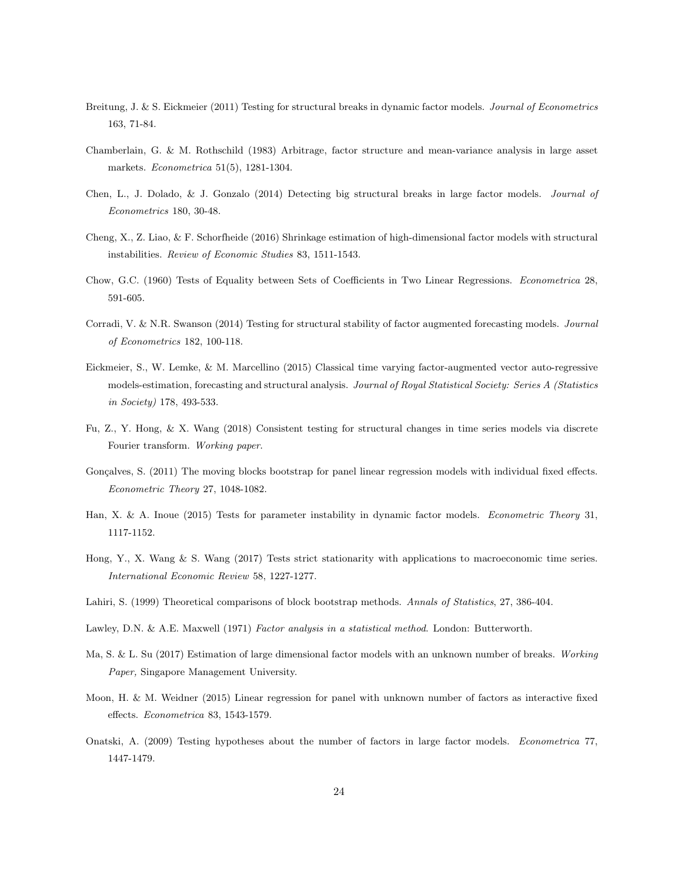- Breitung, J. & S. Eickmeier (2011) Testing for structural breaks in dynamic factor models. Journal of Econometrics 163, 71-84.
- Chamberlain, G. & M. Rothschild (1983) Arbitrage, factor structure and mean-variance analysis in large asset markets. Econometrica 51(5), 1281-1304.
- Chen, L., J. Dolado, & J. Gonzalo (2014) Detecting big structural breaks in large factor models. Journal of Econometrics 180, 30-48.
- Cheng, X., Z. Liao, & F. Schorfheide (2016) Shrinkage estimation of high-dimensional factor models with structural instabilities. Review of Economic Studies 83, 1511-1543.
- Chow, G.C. (1960) Tests of Equality between Sets of Coefficients in Two Linear Regressions. Econometrica 28, 591-605.
- Corradi, V. & N.R. Swanson (2014) Testing for structural stability of factor augmented forecasting models. Journal of Econometrics 182, 100-118.
- Eickmeier, S., W. Lemke, & M. Marcellino (2015) Classical time varying factor-augmented vector auto-regressive models-estimation, forecasting and structural analysis. Journal of Royal Statistical Society: Series A (Statistics in Society) 178, 493-533.
- Fu, Z., Y. Hong, & X. Wang (2018) Consistent testing for structural changes in time series models via discrete Fourier transform. Working paper.
- Gonçalves, S. (2011) The moving blocks bootstrap for panel linear regression models with individual fixed effects. Econometric Theory 27, 1048-1082.
- Han, X. & A. Inoue (2015) Tests for parameter instability in dynamic factor models. Econometric Theory 31, 1117-1152.
- Hong, Y., X. Wang & S. Wang (2017) Tests strict stationarity with applications to macroeconomic time series. International Economic Review 58, 1227-1277.
- Lahiri, S. (1999) Theoretical comparisons of block bootstrap methods. Annals of Statistics, 27, 386-404.
- Lawley, D.N. & A.E. Maxwell (1971) Factor analysis in a statistical method. London: Butterworth.
- Ma, S. & L. Su (2017) Estimation of large dimensional factor models with an unknown number of breaks. Working Paper, Singapore Management University.
- Moon, H. & M. Weidner (2015) Linear regression for panel with unknown number of factors as interactive fixed effects. Econometrica 83, 1543-1579.
- Onatski, A. (2009) Testing hypotheses about the number of factors in large factor models. Econometrica 77, 1447-1479.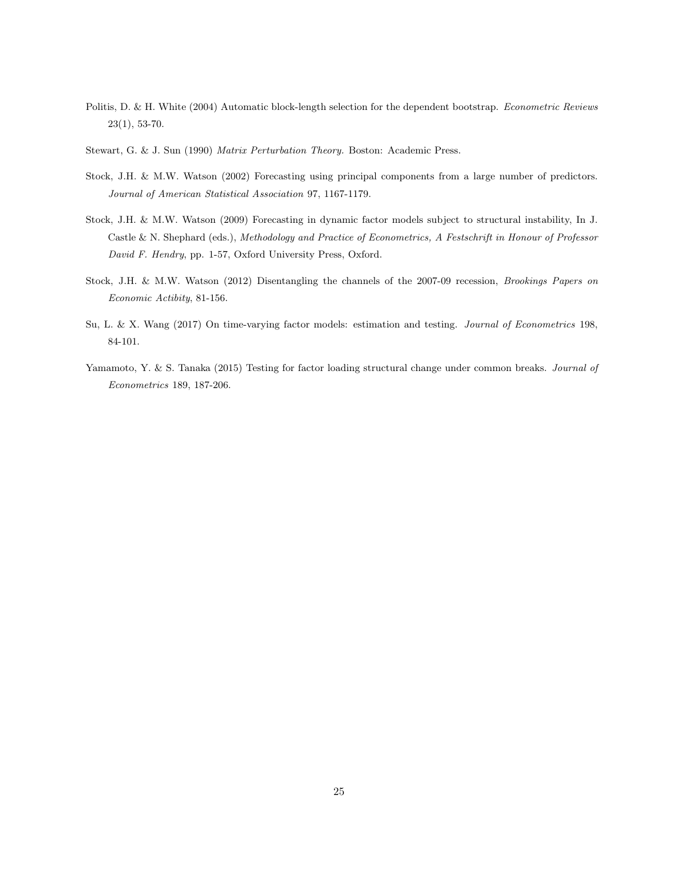- Politis, D. & H. White (2004) Automatic block-length selection for the dependent bootstrap. Econometric Reviews 23(1), 53-70.
- Stewart, G. & J. Sun (1990) Matrix Perturbation Theory. Boston: Academic Press.
- Stock, J.H. & M.W. Watson (2002) Forecasting using principal components from a large number of predictors. Journal of American Statistical Association 97, 1167-1179.
- Stock, J.H. & M.W. Watson (2009) Forecasting in dynamic factor models subject to structural instability, In J. Castle & N. Shephard (eds.), Methodology and Practice of Econometrics, A Festschrift in Honour of Professor David F. Hendry, pp. 1-57, Oxford University Press, Oxford.
- Stock, J.H. & M.W. Watson (2012) Disentangling the channels of the 2007-09 recession, Brookings Papers on Economic Actibity, 81-156.
- Su, L. & X. Wang (2017) On time-varying factor models: estimation and testing. Journal of Econometrics 198, 84-101.
- Yamamoto, Y. & S. Tanaka (2015) Testing for factor loading structural change under common breaks. Journal of Econometrics 189, 187-206.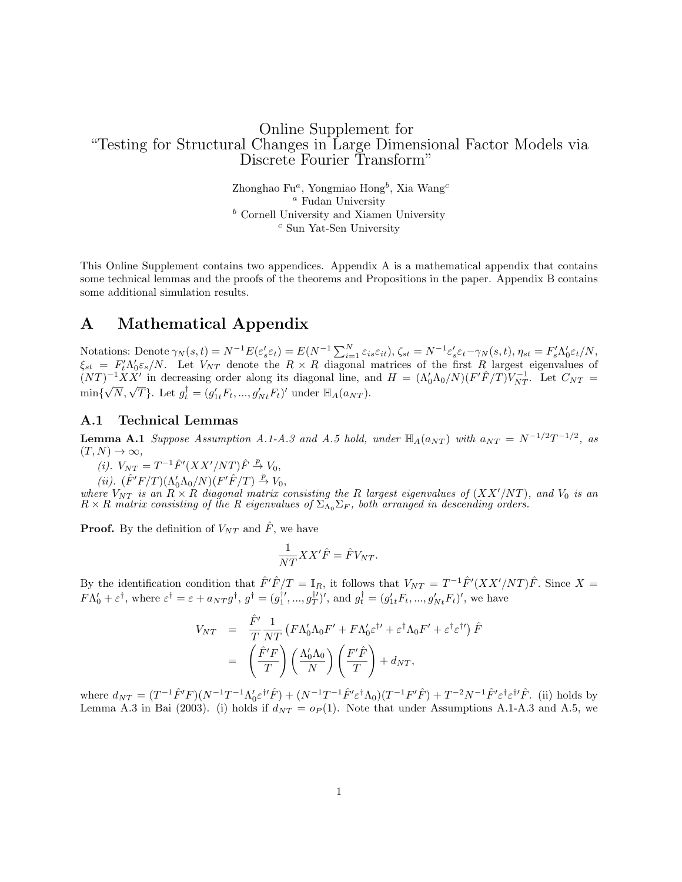## Online Supplement for "Testing for Structural Changes in Large Dimensional Factor Models via Discrete Fourier Transform"

Zhonghao Fu<sup>a</sup>, Yongmiao Hong<sup>b</sup>, Xia Wang<sup>c</sup> <sup>a</sup> Fudan University  $<sup>b</sup>$  Cornell University and Xiamen University</sup> <sup>c</sup> Sun Yat-Sen University

This Online Supplement contains two appendices. Appendix A is a mathematical appendix that contains some technical lemmas and the proofs of the theorems and Propositions in the paper. Appendix B contains some additional simulation results.

# A Mathematical Appendix

Notations: Denote  $\gamma_N(s,t) = N^{-1}E(\varepsilon_s' \varepsilon_t) = E(N^{-1} \sum_{i=1}^N \varepsilon_{is} \varepsilon_{it}), \zeta_{st} = N^{-1} \varepsilon_s' \varepsilon_t - \gamma_N(s,t), \eta_{st} = F_s' \Lambda_0' \varepsilon_t / N,$  $\xi_{st} = F_t' \Lambda_0' \varepsilon_s/N$ . Let  $V_{NT}$  denote the  $R \times R$  diagonal matrices of the first  $R$  largest eigenvalues of  $(NT)^{-1}XX'$  in decreasing order along its diagonal line, and  $H = (\Lambda_0'\Lambda_0/N)(F'\hat{F}/T)\hat{V}_{NT}^{-1}$ . Let  $C_{NT} =$  $(NI)$   $AX$  in decreasing order along its diagonal line, as<br>min{ $\sqrt{N}$ ,  $\sqrt{T}$ }. Let  $g_t^{\dagger} = (g'_{1t}F_t, ..., g'_{Nt}F_t)'$  under  $\mathbb{H}_A(a_{NT})$ .

#### A.1 Technical Lemmas

<span id="page-25-0"></span>**Lemma A.1** Suppose Assumption A.1-A.3 and A.5 hold, under  $\mathbb{H}_A(a_{NT})$  with  $a_{NT} = N^{-1/2}T^{-1/2}$ , as  $(T, N) \rightarrow \infty$ ,

- (i).  $V_{NT} = T^{-1} \hat{F}'(XX'/NT) \hat{F} \stackrel{p}{\rightarrow} V_0$ ,
- (*ii*).  $(\hat{F}'F/T)(\Lambda_0'\Lambda_0/N)(F'\hat{F}/T) \stackrel{p}{\to} V_0$ ,

where  $V_{NT}$  is an  $R \times R$  diagonal matrix consisting the R largest eigenvalues of  $(XX'/NT)$ , and  $V_0$  is an  $R \times R$  matrix consisting of the R eigenvalues of  $\Sigma_{\Lambda_0} \Sigma_F$ , both arranged in descending orders.

**Proof.** By the definition of  $V_{NT}$  and  $\hat{F}$ , we have

$$
\frac{1}{NT}XX'\hat{F} = \hat{F}V_{NT}.
$$

By the identification condition that  $\hat{F}'\hat{F}/T = \mathbb{I}_R$ , it follows that  $V_{NT} = T^{-1}\hat{F}'(XX'/NT)\hat{F}$ . Since  $X =$  $F\Lambda_0' + \varepsilon^{\dagger}$ , where  $\varepsilon^{\dagger} = \varepsilon + a_{NT}g^{\dagger}$ ,  $g^{\dagger} = (g_1^{\dagger\prime}, ..., g_T^{\dagger\prime})'$ , and  $g_t^{\dagger} = (g_{1t}'F_t, ..., g_{Nt}'F_t)'$ , we have

$$
V_{NT} = \frac{\hat{F}'}{T} \frac{1}{NT} \left( F \Lambda'_0 \Lambda_0 F' + F \Lambda'_0 \varepsilon^{\dagger \prime} + \varepsilon^{\dagger} \Lambda_0 F' + \varepsilon^{\dagger} \varepsilon^{\dagger \prime} \right) \hat{F}
$$
  
=  $\left( \frac{\hat{F}'F}{T} \right) \left( \frac{\Lambda'_0 \Lambda_0}{N} \right) \left( \frac{F'\hat{F}}{T} \right) + d_{NT},$ 

where  $d_{NT} = (T^{-1}\hat{F}'F)(N^{-1}T^{-1}\Lambda_0'\varepsilon^{\dagger\prime}\hat{F}) + (N^{-1}T^{-1}\hat{F}'\varepsilon^{\dagger}\Lambda_0)(T^{-1}F'\hat{F}) + T^{-2}N^{-1}\hat{F}'\varepsilon^{\dagger}\varepsilon^{\dagger\prime}\hat{F}$ . (ii) holds by Lemma A.3 in Bai (2003). (i) holds if  $d_{NT} = o_P(1)$ . Note that under Assumptions A.1-A.3 and A.5, we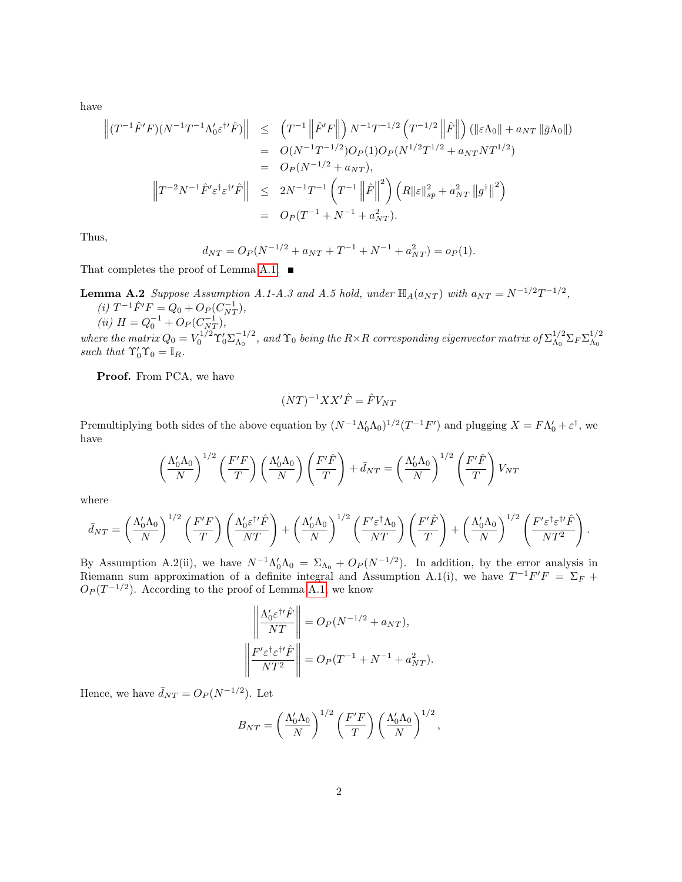have

$$
\begin{aligned}\n\left\| (T^{-1}\hat{F}'F)(N^{-1}T^{-1}\Lambda_0'\varepsilon^{\dagger\prime}\hat{F}) \right\| &\leq \left( T^{-1} \left\| \hat{F}'F \right\| \right) N^{-1}T^{-1/2} \left( T^{-1/2} \left\| \hat{F} \right\| \right) \left( \|\varepsilon\Lambda_0\| + a_{NT} \|\bar{g}\Lambda_0\| \right) \\
&= O(N^{-1}T^{-1/2})O_P(1)O_P(N^{1/2}T^{1/2} + a_{NT}NT^{1/2}) \\
&= O_P(N^{-1/2} + a_{NT}), \\
\left\| T^{-2}N^{-1}\hat{F}'\varepsilon^{\dagger}\varepsilon^{\dagger\prime}\hat{F} \right\| &\leq 2N^{-1}T^{-1} \left( T^{-1} \left\| \hat{F} \right\|^2 \right) \left( R\|\varepsilon\|_{sp}^2 + a_{NT}^2 \left\| g^{\dagger} \right\|^2 \right) \\
&= O_P(T^{-1} + N^{-1} + a_{NT}^2).\n\end{aligned}
$$

Thus,

$$
d_{NT} = O_P(N^{-1/2} + a_{NT} + T^{-1} + N^{-1} + a_{NT}^2) = o_P(1).
$$

<span id="page-26-0"></span>That completes the proof of Lemma [A.1.](#page-25-0)  $\blacksquare$ 

**Lemma A.2** Suppose Assumption A.1-A.3 and A.5 hold, under  $\mathbb{H}_A(a_{NT})$  with  $a_{NT} = N^{-1/2}T^{-1/2}$ ,

(i) 
$$
T^{-1}\hat{F}'F = Q_0 + O_P(C_{NT}^{-1}),
$$
  
(ii)  $H = Q_0^{-1} + O_P(C_{NT}^{-1}),$ 

where the matrix  $Q_0 = V_0^{1/2} \Upsilon_0' \Sigma_{\Lambda_0}^{-1/2}$  $^{+1/2}_{\Lambda_0}$  , and  $\Upsilon_0$  being the  $R{\times}R$  corresponding eigenvector matrix of  $\Sigma^{1/2}_{\Lambda_0}$  $\frac{1/2}{\Lambda_0} \Sigma_F \Sigma_{\Lambda_0}^{1/2}$  $\Lambda_0$ such that  $\Upsilon'_0 \Upsilon_0 = \mathbb{I}_R$ .

Proof. From PCA, we have

$$
(NT)^{-1}XX'\hat{F} = \hat{F}V_{NT}
$$

Premultiplying both sides of the above equation by  $(N^{-1}\Lambda_0'\Lambda_0)^{1/2}(T^{-1}F')$  and plugging  $X = F\Lambda_0' + \varepsilon^{\dagger}$ , we have

$$
\left(\frac{\Lambda_0'\Lambda_0}{N}\right)^{1/2}\left(\frac{F'F}{T}\right)\left(\frac{\Lambda_0'\Lambda_0}{N}\right)\left(\frac{F'\hat{F}}{T}\right) + \bar{d}_{NT} = \left(\frac{\Lambda_0'\Lambda_0}{N}\right)^{1/2}\left(\frac{F'\hat{F}}{T}\right)V_{NT}
$$

where

$$
\bar{d}_{NT} = \left(\frac{\Lambda_0'\Lambda_0}{N}\right)^{1/2} \left(\frac{F'F}{T}\right) \left(\frac{\Lambda_0'\varepsilon^{\dagger\prime}\hat{F}}{NT}\right) + \left(\frac{\Lambda_0'\Lambda_0}{N}\right)^{1/2} \left(\frac{F'\varepsilon^{\dagger}\Lambda_0}{NT}\right) \left(\frac{F'\hat{F}}{T}\right) + \left(\frac{\Lambda_0'\Lambda_0}{N}\right)^{1/2} \left(\frac{F'\varepsilon^{\dagger}\varepsilon^{\dagger\prime}\hat{F}}{NT^2}\right).
$$

By Assumption A.2(ii), we have  $N^{-1}\Lambda'_0\Lambda_0 = \Sigma_{\Lambda_0} + O_P(N^{-1/2})$ . In addition, by the error analysis in Riemann sum approximation of a definite integral and Assumption A.1(i), we have  $T^{-1}F'F = \Sigma_F +$  $O_P(T^{-1/2})$ . According to the proof of Lemma [A.1,](#page-25-0) we know

$$
\left\| \frac{\Lambda_0' \varepsilon^{\dagger \prime} \hat{F}}{NT} \right\| = O_P(N^{-1/2} + a_{NT}),
$$
  

$$
\left\| \frac{F' \varepsilon^{\dagger} \varepsilon^{\dagger \prime} \hat{F}}{NT^2} \right\| = O_P(T^{-1} + N^{-1} + a_{NT}^2).
$$

Hence, we have  $\bar{d}_{NT} = O_P(N^{-1/2})$ . Let

$$
B_{NT} = \left(\frac{\Lambda'_0 \Lambda_0}{N}\right)^{1/2} \left(\frac{F'F}{T}\right) \left(\frac{\Lambda'_0 \Lambda_0}{N}\right)^{1/2},
$$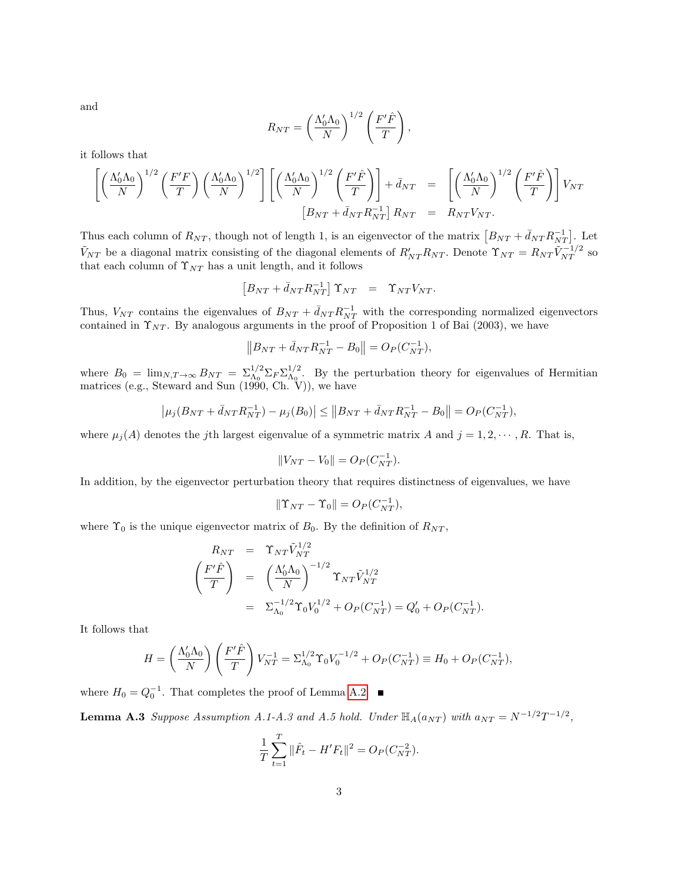and

$$
R_{NT} = \left(\frac{\Lambda'_0 \Lambda_0}{N}\right)^{1/2} \left(\frac{F'\hat{F}}{T}\right),\,
$$

it follows that

$$
\left[ \left( \frac{\Lambda_0' \Lambda_0}{N} \right)^{1/2} \left( \frac{F'F}{T} \right) \left( \frac{\Lambda_0' \Lambda_0}{N} \right)^{1/2} \right] \left[ \left( \frac{\Lambda_0' \Lambda_0}{N} \right)^{1/2} \left( \frac{F' \hat{F}}{T} \right) \right] + \bar{d}_{NT} = \left[ \left( \frac{\Lambda_0' \Lambda_0}{N} \right)^{1/2} \left( \frac{F' \hat{F}}{T} \right) \right] V_{NT}
$$
  
\n
$$
\left[ B_{NT} + \bar{d}_{NT} R_{NT}^{-1} \right] R_{NT} = R_{NT} V_{NT}.
$$

Thus each column of  $R_{NT}$ , though not of length 1, is an eigenvector of the matrix  $[B_{NT} + \bar{d}_{NT} R_{NT}^{-1}]$ . Let  $\tilde{V}_{NT}$  be a diagonal matrix consisting of the diagonal elements of  $R'_{NT}R_{NT}$ . Denote  $\Upsilon_{NT} = R_{NT} \tilde{V}_{NT}^{-1/2}$  so that each column of  $\Upsilon_{NT}$  has a unit length, and it follows

$$
\left[ B_{NT} + \bar d_{NT} R_{NT}^{-1} \right] \Upsilon_{NT} \quad = \quad \Upsilon_{NT} V_{NT}.
$$

Thus,  $V_{NT}$  contains the eigenvalues of  $B_{NT} + \bar{d}_{NT} R_{NT}^{-1}$  with the corresponding normalized eigenvectors contained in  $\Upsilon_{NT}$ . By analogous arguments in the proof of Proposition 1 of Bai (2003), we have

$$
||B_{NT} + \bar{d}_{NT} R_{NT}^{-1} - B_0|| = O_P(C_{NT}^{-1}),
$$

where  $B_0 = \lim_{N,T \to \infty} B_{NT} = \sum_{\Lambda_0}^{1/2} \sum_F \sum_{\Lambda_0}^{1/2}$  $\Lambda_0^{1/2}$ . By the perturbation theory for eigenvalues of Hermitian matrices (e.g., Steward and Sun (1990, Ch. V)), we have

$$
\left|\mu_j(B_{NT} + \bar{d}_{NT}R_{NT}^{-1}) - \mu_j(B_0)\right| \leq \left\|B_{NT} + \bar{d}_{NT}R_{NT}^{-1} - B_0\right\| = O_P(C_{NT}^{-1}),
$$

where  $\mu_j(A)$  denotes the jth largest eigenvalue of a symmetric matrix A and  $j = 1, 2, \dots, R$ . That is,

$$
||V_{NT} - V_0|| = O_P(C_{NT}^{-1}).
$$

In addition, by the eigenvector perturbation theory that requires distinctness of eigenvalues, we have

$$
\|\Upsilon_{NT} - \Upsilon_0\| = O_P(C_{NT}^{-1}),
$$

where  $\Upsilon_0$  is the unique eigenvector matrix of  $B_0$ . By the definition of  $R_{NT}$ ,

$$
R_{NT} = \Upsilon_{NT} \tilde{V}_{NT}^{1/2}
$$
  
\n
$$
\left(\frac{F'\hat{F}}{T}\right) = \left(\frac{\Lambda_0'\Lambda_0}{N}\right)^{-1/2} \Upsilon_{NT} \tilde{V}_{NT}^{1/2}
$$
  
\n
$$
= \Sigma_{\Lambda_0}^{-1/2} \Upsilon_0 V_0^{1/2} + O_P(C_{NT}^{-1}) = Q_0' + O_P(C_{NT}^{-1}).
$$

It follows that

$$
H = \left(\frac{\Lambda_0'\Lambda_0}{N}\right)\left(\frac{F'\hat{F}}{T}\right)V_{NT}^{-1} = \Sigma_{\Lambda_0}^{1/2}\Upsilon_0V_0^{-1/2} + O_P(C_{NT}^{-1}) \equiv H_0 + O_P(C_{NT}^{-1}),
$$

where  $H_0 = Q_0^{-1}$ . That completes the proof of Lemma [A.2.](#page-26-0)

**Lemma A.3** Suppose Assumption A.1-A.3 and A.5 hold. Under  $\mathbb{H}_{A}(a_{NT})$  with  $a_{NT} = N^{-1/2}T^{-1/2}$ ,

$$
\frac{1}{T} \sum_{t=1}^{T} ||\hat{F}_t - H'F_t||^2 = O_P(C_{NT}^{-2}).
$$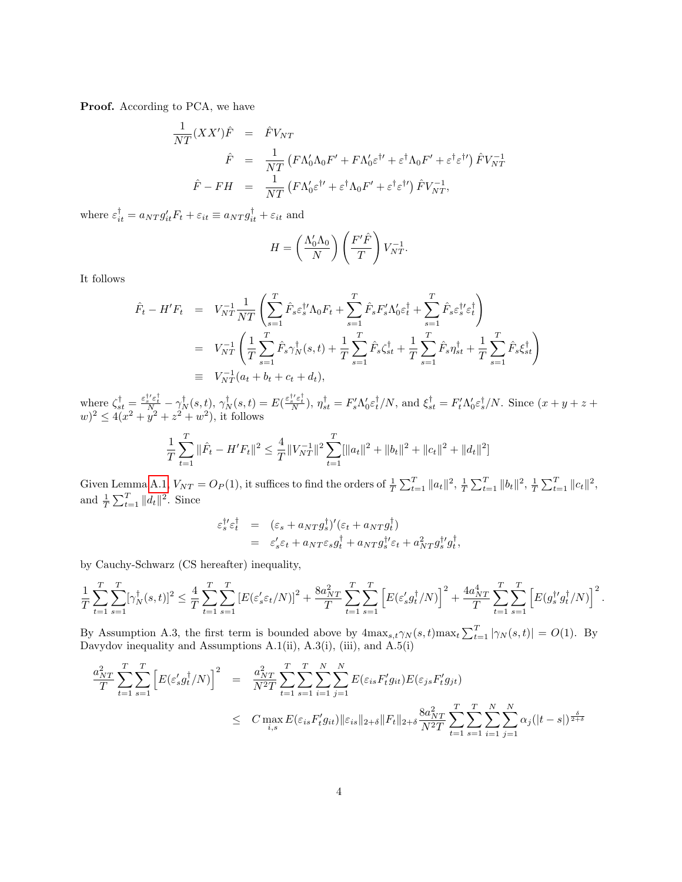Proof. According to PCA, we have

$$
\frac{1}{NT}(XX')\hat{F} = \hat{F}V_{NT}
$$
\n
$$
\hat{F} = \frac{1}{NT}(F\Lambda'_0\Lambda_0F' + F\Lambda'_0\varepsilon^{\dagger\prime} + \varepsilon^{\dagger}\Lambda_0F' + \varepsilon^{\dagger}\varepsilon^{\dagger\prime})\hat{F}V_{NT}^{-1}
$$
\n
$$
\hat{F} - FH = \frac{1}{NT}(F\Lambda'_0\varepsilon^{\dagger\prime} + \varepsilon^{\dagger}\Lambda_0F' + \varepsilon^{\dagger}\varepsilon^{\dagger\prime})\hat{F}V_{NT}^{-1},
$$

where  $\varepsilon_{it}^{\dagger} = a_{NT} g'_{it} F_t + \varepsilon_{it} \equiv a_{NT} g_{it}^{\dagger} + \varepsilon_{it}$  and

$$
H = \left(\frac{\Lambda_0'\Lambda_0}{N}\right)\left(\frac{F'\hat{F}}{T}\right)V_{NT}^{-1}.
$$

It follows

$$
\hat{F}_t - H'F_t = V_{NT}^{-1} \frac{1}{NT} \left( \sum_{s=1}^T \hat{F}_s \varepsilon_s^{\dagger} \Lambda_0 F_t + \sum_{s=1}^T \hat{F}_s F_s' \Lambda_0' \varepsilon_t^{\dagger} + \sum_{s=1}^T \hat{F}_s \varepsilon_s^{\dagger} \varepsilon_t^{\dagger} \right)
$$
\n
$$
= V_{NT}^{-1} \left( \frac{1}{T} \sum_{s=1}^T \hat{F}_s \gamma_N^{\dagger}(s, t) + \frac{1}{T} \sum_{s=1}^T \hat{F}_s \zeta_{st}^{\dagger} + \frac{1}{T} \sum_{s=1}^T \hat{F}_s \eta_{st}^{\dagger} + \frac{1}{T} \sum_{s=1}^T \hat{F}_s \xi_{st}^{\dagger} \right)
$$
\n
$$
\equiv V_{NT}^{-1} (a_t + b_t + c_t + d_t),
$$

where  $\zeta_{st}^{\dagger} = \frac{\varepsilon_s^{\dagger\prime}\varepsilon_t^{\dagger}}{N_a} - \gamma_N^{\dagger}(s,t)$ ,  $\gamma_N^{\dagger}(s,t) = E(\frac{\varepsilon_s^{\dagger\prime}\varepsilon_t^{\dagger}}{N})$ ,  $\eta_{st}^{\dagger} = F_s^{\prime}\Lambda_0^{\prime}\varepsilon_t^{\dagger}/N$ , and  $\xi_{st}^{\dagger} = F_t^{\prime}\Lambda_0^{\prime}\varepsilon_s^{\dagger}/N$ . Since  $(x+y+z+z)$  $(w)^2 \leq 4(x^2 + y^2 + z^2 + w^2)$ , it follows

$$
\frac{1}{T} \sum_{t=1}^{T} \|\hat{F}_t - H'F_t\|^2 \le \frac{4}{T} \|V_{NT}^{-1}\|^2 \sum_{t=1}^{T} [\|a_t\|^2 + \|b_t\|^2 + \|c_t\|^2 + \|d_t\|^2]
$$

Given Lemma [A.1,](#page-25-0)  $V_{NT} = O_P(1)$ , it suffices to find the orders of  $\frac{1}{T} \sum_{t=1}^{T} ||a_t||^2$ ,  $\frac{1}{T} \sum_{t=1}^{T} ||b_t||^2$ ,  $\frac{1}{T} \sum_{t=1}^{T} ||c_t||^2$ , and  $\frac{1}{T} \sum_{t=1}^T ||d_t||^2$ . Since

$$
\varepsilon_s^{\dagger\prime} \varepsilon_t^{\dagger} = (\varepsilon_s + a_{NT} g_s^{\dagger})' (\varepsilon_t + a_{NT} g_t^{\dagger}) \n= \varepsilon_s' \varepsilon_t + a_{NT} \varepsilon_s g_t^{\dagger} + a_{NT} g_s^{\dagger\prime} \varepsilon_t + a_{NT}^2 g_s^{\dagger\prime} g_t^{\dagger},
$$

by Cauchy-Schwarz (CS hereafter) inequality,

$$
\frac{1}{T} \sum_{t=1}^T \sum_{s=1}^T [\gamma_N^{\dagger}(s,t)]^2 \leq \frac{4}{T} \sum_{t=1}^T \sum_{s=1}^T \left[ E(\varepsilon_s' \varepsilon_t/N) \right]^2 + \frac{8a_{NT}^2}{T} \sum_{t=1}^T \sum_{s=1}^T \left[ E(\varepsilon_s' g_t^{\dagger}/N) \right]^2 + \frac{4a_{NT}^4}{T} \sum_{t=1}^T \sum_{s=1}^T \left[ E(g_s^{\dagger \prime} g_t^{\dagger}/N) \right]^2.
$$

By Assumption A.3, the first term is bounded above by  $4\max_{s,t}\gamma_N(s,t)\max_t\sum_{t=1}^T|\gamma_N(s,t)| = O(1)$ . By Davydov inequality and Assumptions  $A.1(ii)$ ,  $A.3(i)$ ,  $(iii)$ , and  $A.5(i)$ 

$$
\frac{a_{NT}^2}{T} \sum_{t=1}^T \sum_{s=1}^T \left[ E(\varepsilon_s' g_t^{\dagger} / N) \right]^2 = \frac{a_{NT}^2}{N^2 T} \sum_{t=1}^T \sum_{s=1}^T \sum_{i=1}^N \sum_{j=1}^N E(\varepsilon_{is} F_t' g_{it}) E(\varepsilon_{js} F_t' g_{jt})
$$
\n
$$
\leq C \max_{i,s} E(\varepsilon_{is} F_t' g_{it}) \|\varepsilon_{is}\|_{2+\delta} \|F_t\|_{2+\delta} \frac{8a_{NT}^2}{N^2 T} \sum_{t=1}^T \sum_{s=1}^N \sum_{i=1}^N \sum_{j=1}^N \alpha_j (|t-s|)^{\frac{\delta}{2+\delta}}
$$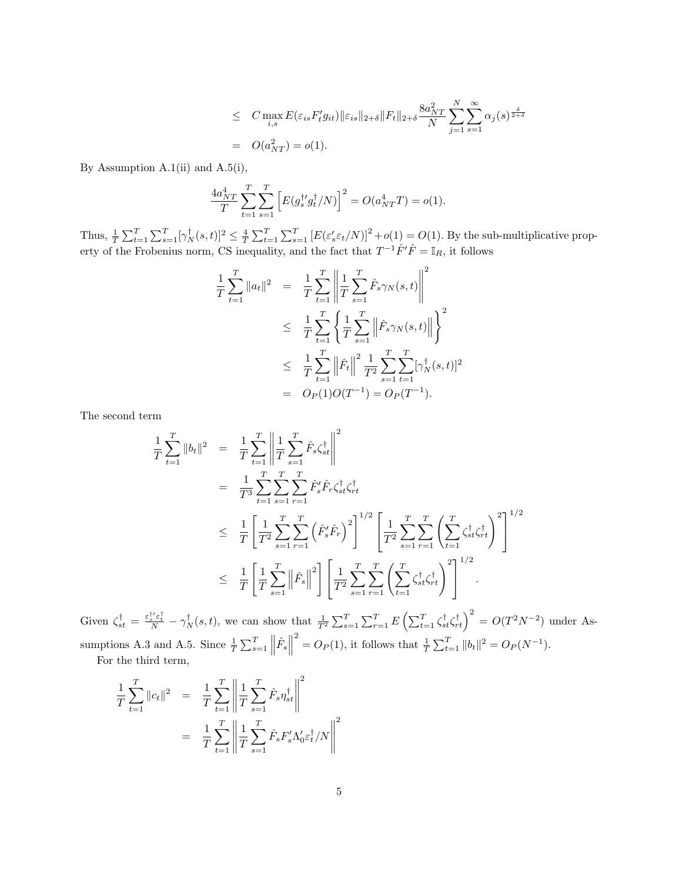$$
\leq C \max_{i,s} E(\varepsilon_{is} F'_t g_{it}) \|\varepsilon_{is}\|_{2+\delta} \|F_t\|_{2+\delta} \frac{8a_{NT}^2}{N} \sum_{j=1}^N \sum_{s=1}^\infty \alpha_j(s)^{\frac{\delta}{2+\delta}}
$$
  
=  $O(a_{NT}^2) = o(1).$ 

By Assumption A.1(ii) and  $A.5(i)$ ,

$$
\frac{4a_{NT}^4}{T} \sum_{t=1}^T \sum_{s=1}^T \left[ E(g_s^{\dagger \prime} g_t^{\dagger} / N) \right]^2 = O(a_{NT}^4 T) = o(1).
$$

Thus,  $\frac{1}{T} \sum_{t=1}^T \sum_{s=1}^T [\gamma_N^{\dagger}(s,t)]^2 \leq \frac{4}{T} \sum_{t=1}^T \sum_{s=1}^T [E(\varepsilon_s' \varepsilon_t/N)]^2 + o(1) = O(1)$ . By the sub-multiplicative property of the Frobenius norm, CS inequality, and the fact that  $T^{-1}\hat{F}'\hat{F} = \mathbb{I}_R$ , it follows

$$
\frac{1}{T} \sum_{t=1}^{T} \|a_t\|^2 = \frac{1}{T} \sum_{t=1}^{T} \left\| \frac{1}{T} \sum_{s=1}^{T} \hat{F}_s \gamma_N(s, t) \right\|^2
$$
\n
$$
\leq \frac{1}{T} \sum_{t=1}^{T} \left\{ \frac{1}{T} \sum_{s=1}^{T} \left\| \hat{F}_s \gamma_N(s, t) \right\| \right\}^2
$$
\n
$$
\leq \frac{1}{T} \sum_{t=1}^{T} \left\| \hat{F}_t \right\|^2 \frac{1}{T^2} \sum_{s=1}^{T} \sum_{t=1}^{T} [\gamma_N^{\dagger}(s, t)]^2
$$
\n
$$
= O_P(1)O(T^{-1}) = O_P(T^{-1}).
$$

The second term

$$
\frac{1}{T} \sum_{t=1}^{T} \|b_t\|^2 = \frac{1}{T} \sum_{t=1}^{T} \left\| \frac{1}{T} \sum_{s=1}^{T} \hat{F}_s \zeta_{st}^{\dagger} \right\|^2
$$
\n
$$
= \frac{1}{T^3} \sum_{t=1}^{T} \sum_{s=1}^{T} \sum_{r=1}^{T} \hat{F}_s' \hat{F}_r \zeta_{st}^{\dagger} \zeta_{rt}^{\dagger}
$$
\n
$$
\leq \frac{1}{T} \left[ \frac{1}{T^2} \sum_{s=1}^{T} \sum_{r=1}^{T} \left( \hat{F}_s' \hat{F}_r \right)^2 \right]^{1/2} \left[ \frac{1}{T^2} \sum_{s=1}^{T} \sum_{r=1}^{T} \left( \sum_{t=1}^{T} \zeta_{st}^{\dagger} \zeta_{rt}^{\dagger} \right)^2 \right]^{1/2}
$$
\n
$$
\leq \frac{1}{T} \left[ \frac{1}{T} \sum_{s=1}^{T} \left\| \hat{F}_s \right\|^2 \right] \left[ \frac{1}{T^2} \sum_{s=1}^{T} \sum_{r=1}^{T} \left( \sum_{t=1}^{T} \zeta_{st}^{\dagger} \zeta_{rt}^{\dagger} \right)^2 \right]^{1/2}.
$$

Given  $\zeta_{st}^{\dagger} = \frac{\varepsilon_{s}^{\dagger\prime}\varepsilon_{t}^{\dagger}}{N} - \gamma_{N}^{\dagger}(s,t)$ , we can show that  $\frac{1}{T^{2}}\sum_{s=1}^{T}\sum_{r=1}^{T}E\left(\sum_{t=1}^{T}\zeta_{st}^{\dagger}\zeta_{rt}^{\dagger}\right)^{2} = O(T^{2}N^{-2})$  under Assumptions A.3 and A.5. Since  $\frac{1}{T} \sum_{s=1}^{T} ||\hat{F}_s||$  $\sum_{t=1}^{2} |b_t|^2 = O_P(N^{-1}).$ For the third term,

$$
\frac{1}{T} \sum_{t=1}^{T} \|c_t\|^2 = \frac{1}{T} \sum_{t=1}^{T} \left\| \frac{1}{T} \sum_{s=1}^{T} \hat{F}_s \eta_{st}^{\dagger} \right\|^2
$$
\n
$$
= \frac{1}{T} \sum_{t=1}^{T} \left\| \frac{1}{T} \sum_{s=1}^{T} \hat{F}_s F_s' \Lambda_0' \varepsilon_t^{\dagger} / N \right\|^2
$$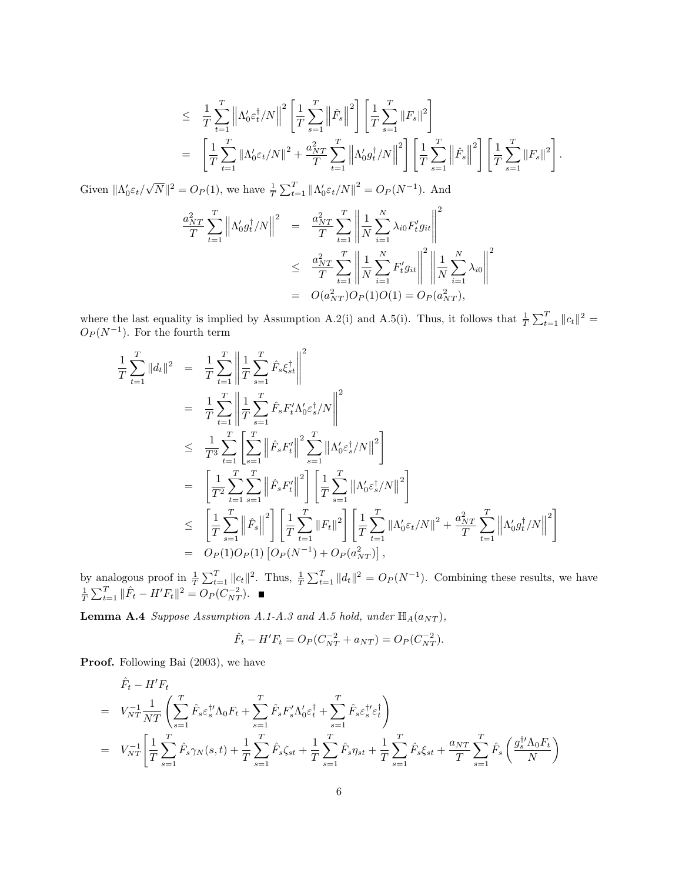$$
\leq \frac{1}{T} \sum_{t=1}^{T} \left\| \Lambda_0' \varepsilon_t^{\dagger} / N \right\|^2 \left[ \frac{1}{T} \sum_{s=1}^{T} \left\| \hat{F}_s \right\|^2 \right] \left[ \frac{1}{T} \sum_{s=1}^{T} \left\| F_s \right\|^2 \right] \n= \left[ \frac{1}{T} \sum_{t=1}^{T} \left\| \Lambda_0' \varepsilon_t / N \right\|^2 + \frac{a_{NT}^2}{T} \sum_{t=1}^{T} \left\| \Lambda_0' g_t^{\dagger} / N \right\|^2 \right] \left[ \frac{1}{T} \sum_{s=1}^{T} \left\| \hat{F}_s \right\|^2 \right] \left[ \frac{1}{T} \sum_{s=1}^{T} \left\| F_s \right\|^2 \right].
$$

Given  $\|\Lambda_0' \varepsilon_t/$ √  $\overline{N} \|^{2} = O_{P}(1)$ , we have  $\frac{1}{T} \sum_{t=1}^{T} \| \Lambda_{0}^{\prime} \varepsilon_{t} / N \|^{2} = O_{P}(N^{-1})$ . And

$$
\frac{a_{NT}^2}{T} \sum_{t=1}^T \left\| \Lambda'_0 g_t^{\dagger} / N \right\|^2 = \frac{a_{NT}^2}{T} \sum_{t=1}^T \left\| \frac{1}{N} \sum_{i=1}^N \lambda_{i0} F_t' g_{it} \right\|^2
$$
  

$$
\leq \frac{a_{NT}^2}{T} \sum_{t=1}^T \left\| \frac{1}{N} \sum_{i=1}^N F_t' g_{it} \right\|^2 \left\| \frac{1}{N} \sum_{i=1}^N \lambda_{i0} \right\|^2
$$
  

$$
= O(a_{NT}^2) O_P(1) O(1) = O_P(a_{NT}^2),
$$

where the last equality is implied by Assumption A.2(i) and A.5(i). Thus, it follows that  $\frac{1}{T} \sum_{t=1}^{T} ||c_t||^2 =$  $O_P(N^{-1})$ . For the fourth term

$$
\frac{1}{T} \sum_{t=1}^{T} ||d_t||^2 = \frac{1}{T} \sum_{t=1}^{T} \left\| \frac{1}{T} \sum_{s=1}^{T} \hat{F}_s \xi_{st}^{\dagger} \right\|^2
$$
\n
$$
= \frac{1}{T} \sum_{t=1}^{T} \left\| \frac{1}{T} \sum_{s=1}^{T} \hat{F}_s F_t' \Lambda_0 \varepsilon_s^{\dagger} / N \right\|^2
$$
\n
$$
\leq \frac{1}{T^3} \sum_{t=1}^{T} \left\| \sum_{s=1}^{T} \left\| \hat{F}_s F_t' \right\|^2 \sum_{s=1}^{T} ||\Lambda_0 \varepsilon_s^{\dagger} / N||^2 \right\}
$$
\n
$$
= \left[ \frac{1}{T^2} \sum_{t=1}^{T} \sum_{s=1}^{T} \left\| \hat{F}_s F_t' \right\|^2 \right] \left[ \frac{1}{T} \sum_{s=1}^{T} ||\Lambda_0 \varepsilon_s^{\dagger} / N||^2 \right]
$$
\n
$$
\leq \left[ \frac{1}{T} \sum_{s=1}^{T} \left\| \hat{F}_s \right\|^2 \right] \left[ \frac{1}{T} \sum_{t=1}^{T} ||F_t||^2 \right] \left[ \frac{1}{T} \sum_{t=1}^{T} ||\Lambda_0 \varepsilon_t / N||^2 + \frac{a_{NT}^2}{T} \sum_{t=1}^{T} \left\| \Lambda_0 g_t^{\dagger} / N \right\|^2 \right]
$$
\n
$$
= O_P(1)O_P(1) \left[ O_P(N^{-1}) + O_P(a_{NT}^2) \right],
$$

by analogous proof in  $\frac{1}{T} \sum_{t=1}^T ||c_t||^2$ . Thus,  $\frac{1}{T} \sum_{t=1}^T ||d_t||^2 = O_P(N^{-1})$ . Combining these results, we have  $\frac{1}{T} \sum_{t=1}^{T} ||\hat{F}_t - H'F_t||^2 = O_P(C_{NT}^{-2}).$ 

<span id="page-30-0"></span>**Lemma A.4** Suppose Assumption A.1-A.3 and A.5 hold, under  $\mathbb{H}_{A}(a_{NT})$ ,

$$
\hat{F}_t - H'F_t = O_P(C_{NT}^{-2} + a_{NT}) = O_P(C_{NT}^{-2}).
$$

Proof. Following Bai  $(2003)$ , we have

$$
\hat{F}_t - H'F_t \n= V_{NT}^{-1} \frac{1}{NT} \left( \sum_{s=1}^T \hat{F}_s \varepsilon_s^{\dagger \prime} \Lambda_0 F_t + \sum_{s=1}^T \hat{F}_s F_s' \Lambda_0' \varepsilon_t^{\dagger} + \sum_{s=1}^T \hat{F}_s \varepsilon_s^{\dagger \prime} \varepsilon_t^{\dagger} \right) \n= V_{NT}^{-1} \left[ \frac{1}{T} \sum_{s=1}^T \hat{F}_s \gamma_N(s, t) + \frac{1}{T} \sum_{s=1}^T \hat{F}_s \zeta_{st} + \frac{1}{T} \sum_{s=1}^T \hat{F}_s \eta_{st} + \frac{1}{T} \sum_{s=1}^T \hat{F}_s \xi_{st} + \frac{a_{NT}}{T} \sum_{s=1}^T \hat{F}_s \left( \frac{g_s^{\dagger \prime} \Lambda_0 F_t}{N} \right) \right]
$$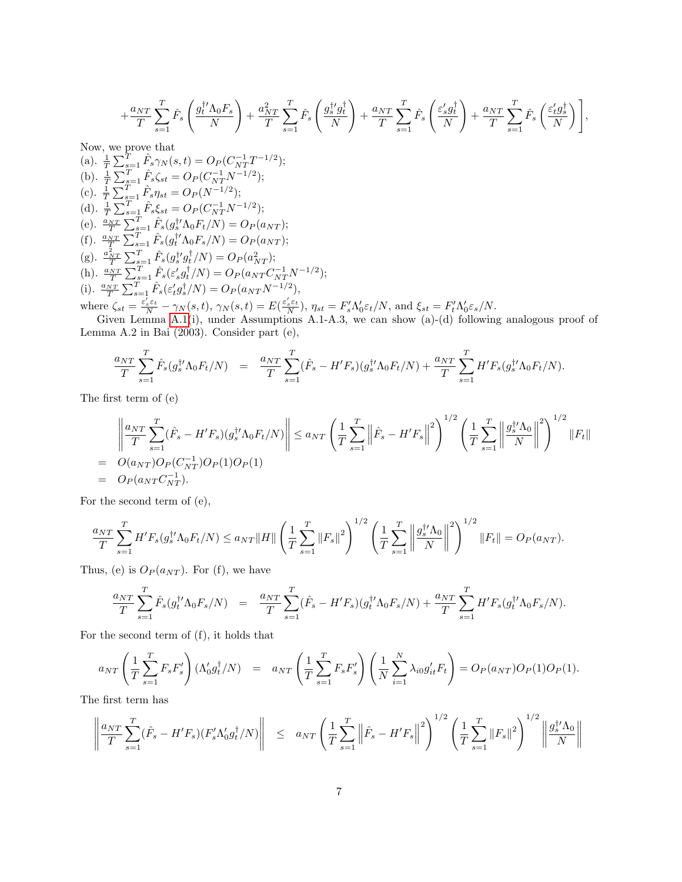$$
+\frac{a_{NT}}{T}\sum_{s=1}^T \hat{F}_s\left(\frac{g_t^{\dagger\prime}\Lambda_0F_s}{N}\right)+\frac{a_{NT}^2}{T}\sum_{s=1}^T \hat{F}_s\left(\frac{g_s^{\dagger\prime}g_t^{\dagger}}{N}\right)+\frac{a_{NT}}{T}\sum_{s=1}^T \hat{F}_s\left(\frac{\varepsilon_s^{\prime}g_t^{\dagger}}{N}\right)+\frac{a_{NT}}{T}\sum_{s=1}^T \hat{F}_s\left(\frac{\varepsilon_t^{\prime}g_s^{\dagger}}{N}\right)\Bigg],
$$

Now, we prove that (a).  $\frac{1}{T} \sum_{s=1}^{T} \hat{F}_s \gamma_N(s,t) = O_P(C_{NT}^{-1}T^{-1/2});$ (b).  $\frac{1}{T} \sum_{s=1}^{T} \hat{F}_s \zeta_{st} = O_P(C_{NT}^{-1} N^{-1/2});$ (c).  $\frac{1}{T} \sum_{s=1}^{T} \hat{F}_s \eta_{st} = O_P(N^{-1/2});$ (d).  $\frac{1}{T} \sum_{s=1}^{T} \hat{F}_s \xi_{st} = O_P(C_{NT}^{-1} N^{-1/2});$ (e).  $\frac{a_{NT}}{T} \sum_{s=1}^{T} \hat{F}_s(g_s^{\dagger'} \Lambda_0 F_t/N) = O_P(a_{NT});$ (f).  $\frac{a_{NT}}{T} \sum_{s=1}^{T} \hat{F}_s(g_t^{\dagger'} \Lambda_0 F_s/N) = O_P(a_{NT});$ (g).  $\frac{a_{NT}^2}{T} \sum_{s=1}^T \hat{F}_s(g_s^{\dagger} g_t^{\dagger}/N) = O_P(a_{NT}^2);$ (h).  $\frac{a_{NT}}{T} \sum_{s=1}^{T} \hat{F}_s(\varepsilon_s' g_t^{\dagger}/N) = O_P(a_{NT} C_{NT}^{-1} N^{-1/2});$ (i).  $\frac{a_{NT}}{T} \sum_{s=1}^{T} \hat{F}_s(\varepsilon'_t g_s^{\dagger}/N) = O_P(a_{NT} N^{-1/2}),$ where  $\zeta_{st} = \frac{\varepsilon_s'\varepsilon_t}{N} - \gamma_N(s,t)$ ,  $\gamma_N(s,t) = E(\frac{\varepsilon_s'\varepsilon_t}{N})$ ,  $\eta_{st} = F_s' \Lambda_0' \varepsilon_t/N$ , and  $\xi_{st} = F_t' \Lambda_0' \varepsilon_s/N$ .  $\frac{\varepsilon_s' \varepsilon_t}{\varepsilon_s} = \gamma_{\mathcal{M}}(s,t)$   $\gamma_{\mathcal{M}}(s,t) = E(\frac{\varepsilon_s' \varepsilon_t}{\varepsilon_s})$ 

Given Lemma  $A(1(i))$ , under Assumptions  $A(1-A.3)$ , we can show  $(a)-(d)$  following analogous proof of Lemma A.2 in Bai (2003). Consider part (e),

$$
\frac{a_{NT}}{T} \sum_{s=1}^{T} \hat{F}_s(g_s^{\dagger t} \Lambda_0 F_t / N) = \frac{a_{NT}}{T} \sum_{s=1}^{T} (\hat{F}_s - H'F_s)(g_s^{\dagger t} \Lambda_0 F_t / N) + \frac{a_{NT}}{T} \sum_{s=1}^{T} H'F_s(g_s^{\dagger t} \Lambda_0 F_t / N).
$$

The first term of (e)

$$
\left\| \frac{a_{NT}}{T} \sum_{s=1}^{T} (\hat{F}_s - H'F_s)(g_s^{\dagger \prime} \Lambda_0 F_t/N) \right\| \le a_{NT} \left( \frac{1}{T} \sum_{s=1}^{T} \left\| \hat{F}_s - H'F_s \right\|^2 \right)^{1/2} \left( \frac{1}{T} \sum_{s=1}^{T} \left\| \frac{g_s^{\dagger \prime} \Lambda_0}{N} \right\|^2 \right)^{1/2} \|F_t\|
$$
\n
$$
= O(a_{NT}) O_P(C_{NT}^{-1}) O_P(1) O_P(1)
$$
\n
$$
= O_P(a_{NT} C_{NT}^{-1}).
$$

For the second term of (e),

$$
\frac{a_{NT}}{T} \sum_{s=1}^T H'F_s(g_s^{\dagger\prime} \Lambda_0 F_t/N) \le a_{NT} \|H\| \left(\frac{1}{T} \sum_{s=1}^T \|F_s\|^2\right)^{1/2} \left(\frac{1}{T} \sum_{s=1}^T \left\|\frac{g_s^{\dagger\prime} \Lambda_0}{N}\right\|^2\right)^{1/2} \|F_t\| = O_P(a_{NT}).
$$

Thus, (e) is  $O_P(a_{NT})$ . For (f), we have

$$
\frac{a_{NT}}{T} \sum_{s=1}^{T} \hat{F}_s(g_t^{\dagger \prime} \Lambda_0 F_s / N) = \frac{a_{NT}}{T} \sum_{s=1}^{T} (\hat{F}_s - H'F_s)(g_t^{\dagger \prime} \Lambda_0 F_s / N) + \frac{a_{NT}}{T} \sum_{s=1}^{T} H'F_s(g_t^{\dagger \prime} \Lambda_0 F_s / N).
$$

For the second term of (f), it holds that

$$
a_{NT} \left( \frac{1}{T} \sum_{s=1}^T F_s F_s' \right) (\Lambda_0' g_t^{\dagger} / N) = a_{NT} \left( \frac{1}{T} \sum_{s=1}^T F_s F_s' \right) \left( \frac{1}{N} \sum_{i=1}^N \lambda_{i0} g_{it}' F_t \right) = O_P(a_{NT}) O_P(1) O_P(1).
$$

The first term has

$$
\left\| \frac{a_{NT}}{T} \sum_{s=1}^T (\hat{F}_s - H'F_s)(F'_s \Lambda'_0 g_t^{\dagger}/N) \right\| \leq a_{NT} \left( \frac{1}{T} \sum_{s=1}^T \left\| \hat{F}_s - H'F_s \right\|^2 \right)^{1/2} \left( \frac{1}{T} \sum_{s=1}^T \left\| F_s \right\|^2 \right)^{1/2} \left\| \frac{g_s^{\dagger} \Lambda_0}{N} \right\|
$$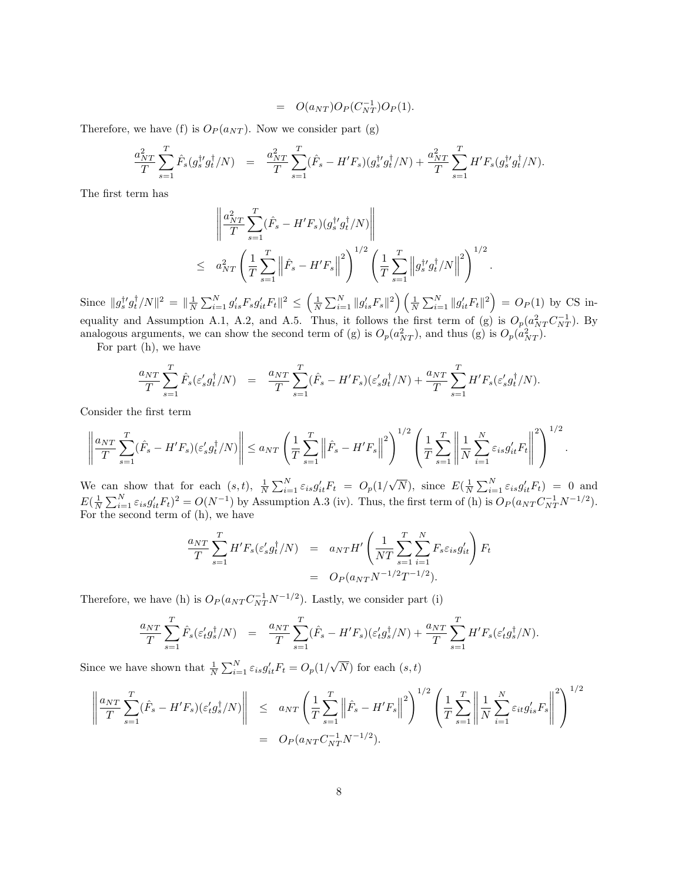$$
= O(a_{NT})O_P(C_{NT}^{-1})O_P(1).
$$

Therefore, we have (f) is  $O_P(a_{NT})$ . Now we consider part (g)

$$
\frac{a_{NT}^2}{T} \sum_{s=1}^T \hat{F}_s(g_s^{\dagger \prime} g_t^{\dagger}/N) = \frac{a_{NT}^2}{T} \sum_{s=1}^T (\hat{F}_s - H'F_s)(g_s^{\dagger \prime} g_t^{\dagger}/N) + \frac{a_{NT}^2}{T} \sum_{s=1}^T H'F_s(g_s^{\dagger \prime} g_t^{\dagger}/N).
$$

The first term has

$$
\left\| \frac{a_{NT}^2}{T} \sum_{s=1}^T (\hat{F}_s - H'F_s)(g_s^{\dagger \prime} g_t^{\dagger} / N) \right\|
$$
  
 
$$
\leq a_{NT}^2 \left( \frac{1}{T} \sum_{s=1}^T \left\| \hat{F}_s - H'F_s \right\|^2 \right)^{1/2} \left( \frac{1}{T} \sum_{s=1}^T \left\| g_s^{\dagger \prime} g_t^{\dagger} / N \right\|^2 \right)^{1/2}.
$$

Since  $||g_s^{\dagger t} g_t^{\dagger} / N||^2 = ||\frac{1}{N} \sum_{i=1}^N g'_{is} F_s g'_{it} F_t ||^2 \le \left(\frac{1}{N} \sum_{i=1}^N ||g'_{is} F_s||^2\right) \left(\frac{1}{N} \sum_{i=1}^N ||g'_{it} F_t||^2\right) = O_P(1)$  by CS inequality and Assumption A.1, A.2, and A.5. Thus, it follows the first term of (g) is  $O_p(a_{NT}^2C_{NT}^{-1})$ . By analogous arguments, we can show the second term of (g) is  $O_p(a_{NT}^2)$ , and thus (g) is  $O_p(a_{NT}^2)$ .

For part (h), we have

$$
\frac{a_{NT}}{T} \sum_{s=1}^T \hat{F}_s(\varepsilon_s' g_t^\dagger/N) = \frac{a_{NT}}{T} \sum_{s=1}^T (\hat{F}_s - H'F_s)(\varepsilon_s' g_t^\dagger/N) + \frac{a_{NT}}{T} \sum_{s=1}^T H'F_s(\varepsilon_s' g_t^\dagger/N).
$$

Consider the first term

$$
\left\| \frac{a_{NT}}{T} \sum_{s=1}^T (\hat{F}_s - H'F_s)(\varepsilon'_s g_t^{\dagger}/N) \right\| \le a_{NT} \left( \frac{1}{T} \sum_{s=1}^T \left\| \hat{F}_s - H'F_s \right\|^2 \right)^{1/2} \left( \frac{1}{T} \sum_{s=1}^T \left\| \frac{1}{N} \sum_{i=1}^N \varepsilon_{is} g_{it}' F_t \right\|^2 \right)^{1/2}.
$$

We can show that for each  $(s,t)$ ,  $\frac{1}{N} \sum_{i=1}^{N} \varepsilon_{is} g'_{it} F_t = O_p(1)$  $\overline{N}$ ), since  $E(\frac{1}{N}\sum_{i=1}^{N}\varepsilon_{is}g'_{it}F_t) = 0$  and  $E(\frac{1}{N}\sum_{i=1}^{N}\varepsilon_{is}g'_{it}F_t)^2 = O(N^{-1})$  by Assumption A.3 (iv). Thus, the first term of (h) is  $O_P(a_{NT}C_{NT}^{-1}N^{-1/2})$ . For the second term of (h), we have

$$
\frac{a_{NT}}{T} \sum_{s=1}^{T} H' F_s(\varepsilon'_s g_t^{\dagger}/N) = a_{NT} H' \left( \frac{1}{NT} \sum_{s=1}^{T} \sum_{i=1}^{N} F_s \varepsilon_{is} g_{it}' \right) F_t
$$
  
= 
$$
O_P(a_{NT} N^{-1/2} T^{-1/2}).
$$

Therefore, we have (h) is  $O_P(a_{NT}C_{NT}^{-1}N^{-1/2})$ . Lastly, we consider part (i)

$$
\frac{a_{NT}}{T} \sum_{s=1}^{T} \hat{F}_s(\varepsilon'_t g_s^{\dagger}/N) = \frac{a_{NT}}{T} \sum_{s=1}^{T} (\hat{F}_s - H'F_s)(\varepsilon'_t g_s^{\dagger}/N) + \frac{a_{NT}}{T} \sum_{s=1}^{T} H'F_s(\varepsilon'_t g_s^{\dagger}/N).
$$

Since we have shown that  $\frac{1}{N} \sum_{i=1}^{N} \varepsilon_{is} g'_{it} F_t = O_p(1)$  $(N)$  for each  $(s, t)$ 

$$
\left\| \frac{a_{NT}}{T} \sum_{s=1}^{T} (\hat{F}_s - H'F_s)(\varepsilon_t' g_s^{\dagger}/N) \right\| \leq a_{NT} \left( \frac{1}{T} \sum_{s=1}^{T} \left\| \hat{F}_s - H'F_s \right\|^2 \right)^{1/2} \left( \frac{1}{T} \sum_{s=1}^{T} \left\| \frac{1}{N} \sum_{i=1}^{N} \varepsilon_{it} g_{is}' F_s \right\|^2 \right)^{1/2}
$$
  
=  $O_P(a_{NT} C_{NT}^{-1} N^{-1/2}).$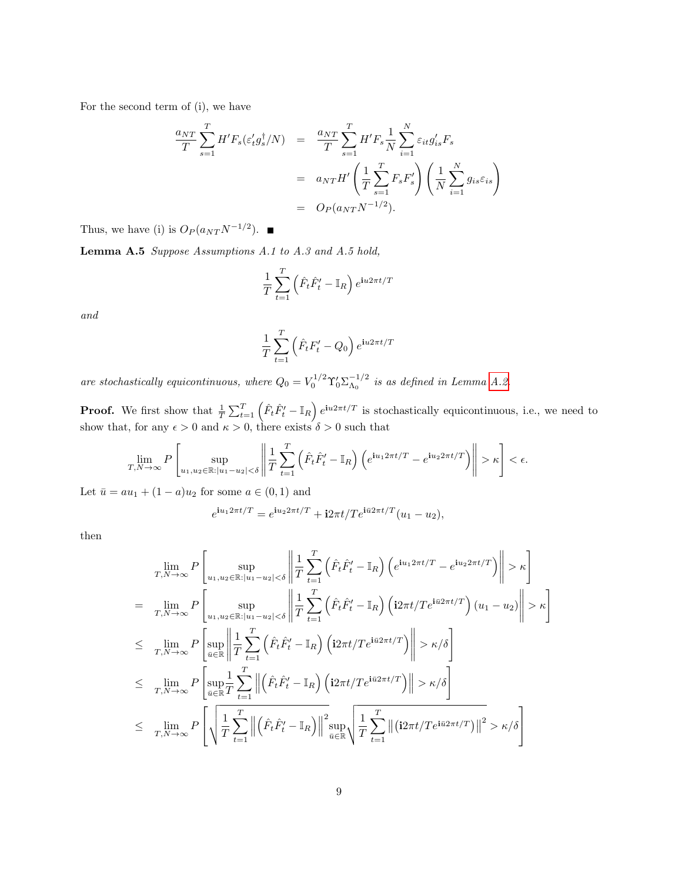For the second term of (i), we have

$$
\frac{a_{NT}}{T} \sum_{s=1}^{T} H' F_s(\varepsilon'_t g_s^{\dagger}/N) = \frac{a_{NT}}{T} \sum_{s=1}^{T} H' F_s \frac{1}{N} \sum_{i=1}^{N} \varepsilon_{it} g'_{is} F_s
$$
\n
$$
= a_{NT} H' \left(\frac{1}{T} \sum_{s=1}^{T} F_s F'_s\right) \left(\frac{1}{N} \sum_{i=1}^{N} g_{is} \varepsilon_{is}\right)
$$
\n
$$
= O_P(a_{NT} N^{-1/2}).
$$

Thus, we have (i) is  $O_P(a_{NT}N^{-1/2})$ .

<span id="page-33-0"></span>Lemma A.5 Suppose Assumptions A.1 to A.3 and A.5 hold,

$$
\frac{1}{T} \sum_{t=1}^{T} \left( \hat{F}_t \hat{F}'_t - \mathbb{I}_R \right) e^{\mathbf{i}u 2\pi t/T}
$$

and

$$
\frac{1}{T} \sum_{t=1}^{T} \left( \hat{F}_t F'_t - Q_0 \right) e^{\mathbf{i}u 2\pi t/T}
$$

are stochastically equicontinuous, where  $Q_0 = V_0^{1/2} \Upsilon_0' \Sigma_{\Lambda_0}^{-1/2}$  $\frac{1}{\Lambda_0}$  is as defined in Lemma [A.2.](#page-26-0)

**Proof.** We first show that  $\frac{1}{T} \sum_{t=1}^{T} (\hat{F}_t \hat{F}'_t - \mathbb{I}_R) e^{i u 2\pi t/T}$  is stochastically equicontinuous, i.e., we need to show that, for any  $\epsilon > 0$  and  $\kappa > 0$ , there exists  $\delta > 0$  such that

$$
\lim_{T,N\to\infty}P\left[\sup_{u_1,u_2\in\mathbb{R}:|u_1-u_2|<\delta}\left\|\frac{1}{T}\sum_{t=1}^T\left(\hat{F}_t\hat{F}_t'-\mathbb{I}_R\right)\left(e^{\mathbf{i}u_12\pi t/T}-e^{\mathbf{i}u_22\pi t/T}\right)\right\|>\kappa\right]<\epsilon.
$$

Let  $\bar{u} = au_1 + (1 - a)u_2$  for some  $a \in (0, 1)$  and

$$
e^{i u_1 2\pi t/T} = e^{i u_2 2\pi t/T} + i 2\pi t/T e^{i\bar{u}2\pi t/T} (u_1 - u_2),
$$

then

$$
\lim_{T,N\to\infty} P\left[\sup_{u_1,u_2\in\mathbb{R}:|u_1-u_2|<\delta}\left\|\frac{1}{T}\sum_{t=1}^T\left(\hat{F}_t\hat{F}'_t-\mathbb{I}_R\right)\left(e^{\mathbf{i}u_12\pi t/T}-e^{\mathbf{i}u_22\pi t/T}\right)\right\|>\kappa\right]
$$
\n
$$
=\lim_{T,N\to\infty} P\left[\sup_{u_1,u_2\in\mathbb{R}:|u_1-u_2|<\delta}\left\|\frac{1}{T}\sum_{t=1}^T\left(\hat{F}_t\hat{F}'_t-\mathbb{I}_R\right)\left(\mathbf{i}2\pi t/Te^{\mathbf{i}\vec{u}2\pi t/T}\right)(u_1-u_2)\right\|>\kappa\right]
$$
\n
$$
\leq \lim_{T,N\to\infty} P\left[\sup_{\vec{u}\in\mathbb{R}}\left\|\frac{1}{T}\sum_{t=1}^T\left(\hat{F}_t\hat{F}'_t-\mathbb{I}_R\right)\left(\mathbf{i}2\pi t/Te^{\mathbf{i}\vec{u}2\pi t/T}\right)\right\|>\kappa/\delta\right]
$$
\n
$$
\leq \lim_{T,N\to\infty} P\left[\sup_{\vec{u}\in\mathbb{R}}\frac{1}{T}\sum_{t=1}^T\left\|\left(\hat{F}_t\hat{F}'_t-\mathbb{I}_R\right)\left(\mathbf{i}2\pi t/Te^{\mathbf{i}\vec{u}2\pi t/T}\right)\right\|>\kappa/\delta\right]
$$
\n
$$
\leq \lim_{T,N\to\infty} P\left[\sqrt{\frac{1}{T}\sum_{t=1}^T\left\|\left(\hat{F}_t\hat{F}'_t-\mathbb{I}_R\right)\right\|_{\vec{u}\in\mathbb{R}}^2}\sqrt{\frac{1}{T}\sum_{t=1}^T\left\|\left(\mathbf{i}2\pi t/Te^{\mathbf{i}\vec{u}2\pi t/T}\right)\right\|^2>\kappa/\delta\right]
$$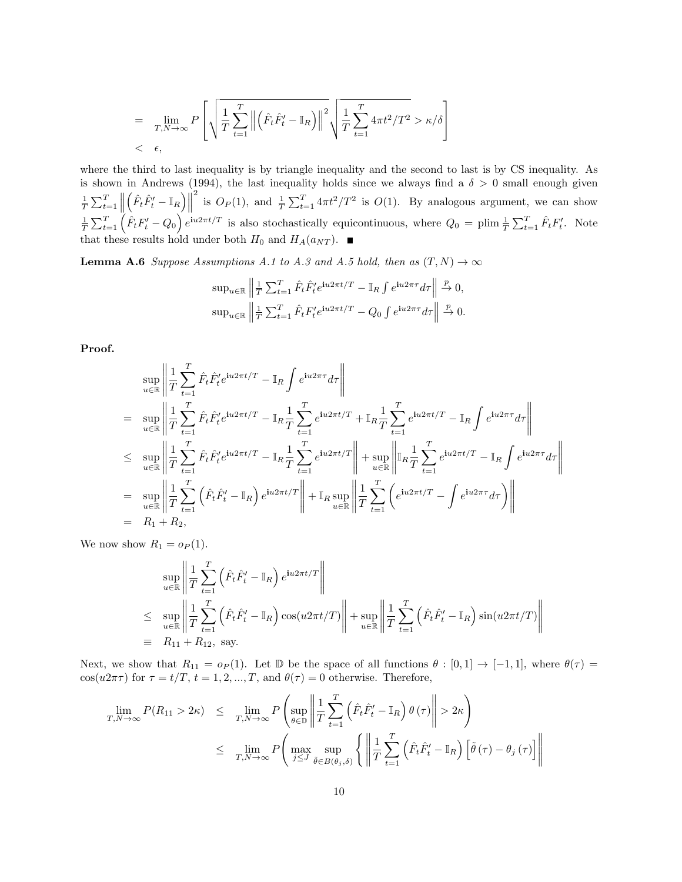$$
= \lim_{T,N\to\infty} P\left[\sqrt{\frac{1}{T}\sum_{t=1}^T \left\|\left(\hat{F}_t\hat{F}'_t - \mathbb{I}_R\right)\right\|^2} \sqrt{\frac{1}{T}\sum_{t=1}^T 4\pi t^2/T^2} > \kappa/\delta\right]\right]
$$
  
<  $\epsilon$ ,

where the third to last inequality is by triangle inequality and the second to last is by CS inequality. As is shown in Andrews (1994), the last inequality holds since we always find a  $\delta > 0$  small enough given  $\frac{1}{T}\sum_{t=1}^T\left\|\right\|$  $\left\| \left( \hat{F}_t \hat{F}_t' - \mathbb{I}_R \right) \right\|$ <sup>2</sup> is  $O_P(1)$ , and  $\frac{1}{T} \sum_{t=1}^T 4\pi t^2/T^2$  is  $O(1)$ . By analogous argument, we can show  $\frac{1}{T}\sum_{t=1}^{T}(\hat{F}_{t}F'_{t}-Q_{0})e^{\mathbf{i}u2\pi t/T}$  is also stochastically equicontinuous, where  $Q_{0}=\text{plim }\frac{1}{T}\sum_{t=1}^{T}\hat{F}_{t}F'_{t}$ . Note that these results hold under both  $H_0$  and  $H_A(a_{NT})$ .

<span id="page-34-0"></span>**Lemma A.6** Suppose Assumptions A.1 to A.3 and A.5 hold, then as  $(T, N) \rightarrow \infty$ 

$$
\sup_{u \in \mathbb{R}} \left\| \frac{1}{T} \sum_{t=1}^T \hat{F}_t \hat{F}_t' e^{iu2\pi t/T} - \mathbb{I}_R \int e^{iu2\pi \tau} d\tau \right\| \xrightarrow{p} 0,
$$
  

$$
\sup_{u \in \mathbb{R}} \left\| \frac{1}{T} \sum_{t=1}^T \hat{F}_t F_t' e^{iu2\pi t/T} - Q_0 \int e^{iu2\pi \tau} d\tau \right\| \xrightarrow{p} 0.
$$

Proof.

$$
\sup_{u \in \mathbb{R}} \left\| \frac{1}{T} \sum_{t=1}^{T} \hat{F}_{t} \hat{F}_{t}' e^{i u 2\pi t/T} - \mathbb{I}_{R} \int e^{i u 2\pi \tau} d\tau \right\|
$$
\n
$$
= \sup_{u \in \mathbb{R}} \left\| \frac{1}{T} \sum_{t=1}^{T} \hat{F}_{t} \hat{F}_{t}' e^{i u 2\pi t/T} - \mathbb{I}_{R} \frac{1}{T} \sum_{t=1}^{T} e^{i u 2\pi t/T} + \mathbb{I}_{R} \frac{1}{T} \sum_{t=1}^{T} e^{i u 2\pi t/T} - \mathbb{I}_{R} \int e^{i u 2\pi \tau} d\tau \right\|
$$
\n
$$
\leq \sup_{u \in \mathbb{R}} \left\| \frac{1}{T} \sum_{t=1}^{T} \hat{F}_{t} \hat{F}_{t}' e^{i u 2\pi t/T} - \mathbb{I}_{R} \frac{1}{T} \sum_{t=1}^{T} e^{i u 2\pi t/T} \right\| + \sup_{u \in \mathbb{R}} \left\| \mathbb{I}_{R} \frac{1}{T} \sum_{t=1}^{T} e^{i u 2\pi t/T} - \mathbb{I}_{R} \int e^{i u 2\pi \tau} d\tau \right\|
$$
\n
$$
= \sup_{u \in \mathbb{R}} \left\| \frac{1}{T} \sum_{t=1}^{T} \left( \hat{F}_{t} \hat{F}_{t}' - \mathbb{I}_{R} \right) e^{i u 2\pi t/T} \right\| + \mathbb{I}_{R} \sup_{u \in \mathbb{R}} \left\| \frac{1}{T} \sum_{t=1}^{T} \left( e^{i u 2\pi t/T} - \int e^{i u 2\pi \tau} d\tau \right) \right\|
$$
\n
$$
= R_{1} + R_{2},
$$

We now show  $R_1 = o_P(1)$ .

$$
\sup_{u \in \mathbb{R}} \left\| \frac{1}{T} \sum_{t=1}^T \left( \hat{F}_t \hat{F}'_t - \mathbb{I}_R \right) e^{i u 2 \pi t/T} \right\|
$$
\n
$$
\leq \sup_{u \in \mathbb{R}} \left\| \frac{1}{T} \sum_{t=1}^T \left( \hat{F}_t \hat{F}'_t - \mathbb{I}_R \right) \cos(u 2 \pi t/T) \right\| + \sup_{u \in \mathbb{R}} \left\| \frac{1}{T} \sum_{t=1}^T \left( \hat{F}_t \hat{F}'_t - \mathbb{I}_R \right) \sin(u 2 \pi t/T) \right\|
$$
\n
$$
\equiv R_{11} + R_{12}, \text{ say.}
$$

Next, we show that  $R_{11} = o_P(1)$ . Let D be the space of all functions  $\theta : [0,1] \rightarrow [-1,1]$ , where  $\theta(\tau) =$ cos(u2πτ) for  $\tau = t/T$ ,  $t = 1, 2, ..., T$ , and  $\theta(\tau) = 0$  otherwise. Therefore,

$$
\lim_{T,N\to\infty} P(R_{11} > 2\kappa) \leq \lim_{T,N\to\infty} P\left(\sup_{\theta\in\mathbb{D}} \left\| \frac{1}{T} \sum_{t=1}^T \left(\hat{F}_t \hat{F}'_t - \mathbb{I}_R\right) \theta\left(\tau\right) \right\| > 2\kappa\right)
$$
\n
$$
\leq \lim_{T,N\to\infty} P\left(\max_{j\leq J} \sup_{\tilde{\theta}\in B(\theta_j,\delta)} \left\{ \left\|\frac{1}{T} \sum_{t=1}^T \left(\hat{F}_t \hat{F}'_t - \mathbb{I}_R\right) \left[\tilde{\theta}\left(\tau\right) - \theta_j\left(\tau\right)\right] \right\| \right.
$$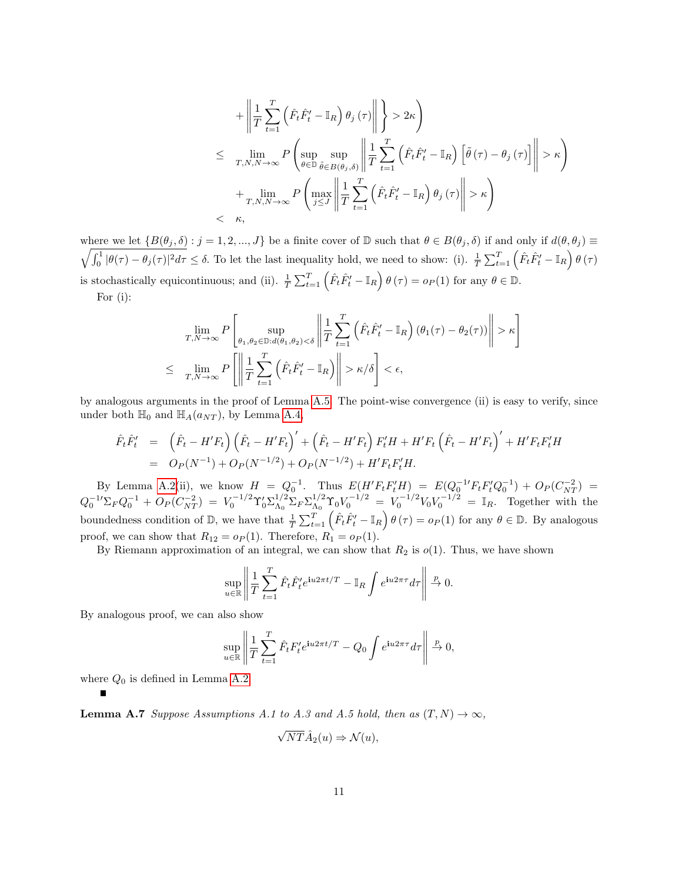$$
+\left\|\frac{1}{T}\sum_{t=1}^{T}\left(\hat{F}_{t}\hat{F}_{t}'-\mathbb{I}_{R}\right)\theta_{j}\left(\tau\right)\right\| \geq 2\kappa\right\}\leq \lim_{T,N,N\to\infty}P\left(\sup_{\theta\in\mathbb{D}}\sup_{\tilde{\theta}\in B(\theta_{j},\delta)}\left\|\frac{1}{T}\sum_{t=1}^{T}\left(\hat{F}_{t}\hat{F}_{t}'-\mathbb{I}_{R}\right)\left[\tilde{\theta}\left(\tau\right)-\theta_{j}\left(\tau\right)\right]\right\| > \kappa\right)+\lim_{T,N,N\to\infty}P\left(\max_{j\leq J}\left\|\frac{1}{T}\sum_{t=1}^{T}\left(\hat{F}_{t}\hat{F}_{t}'-\mathbb{I}_{R}\right)\theta_{j}\left(\tau\right)\right\| > \kappa\right)< \kappa,
$$

 $\sqrt{\int_0^1 |\theta(\tau) - \theta_j(\tau)|^2 d\tau} \leq \delta$ . To let the last inequality hold, we need to show: (i).  $\frac{1}{T} \sum_{t=1}^T (\hat{F}_t \hat{F}_t' - \mathbb{I}_R) \theta(\tau)$ where we let  $\{B(\theta_j, \delta) : j = 1, 2, ..., J\}$  be a finite cover of D such that  $\theta \in B(\theta_j, \delta)$  if and only if  $d(\theta, \theta_j) \equiv$ is stochastically equicontinuous; and (ii).  $\frac{1}{T} \sum_{t=1}^{T} (\hat{F}_t \hat{F}'_t - \mathbb{I}_R) \theta(\tau) = o_P(1)$  for any  $\theta \in \mathbb{D}$ . For (i):

$$
\lim_{T,N\to\infty} P\left[\sup_{\theta_1,\theta_2\in\mathbb{D}:d(\theta_1,\theta_2)<\delta}\left\|\frac{1}{T}\sum_{t=1}^T\left(\hat{F}_t\hat{F}'_t-\mathbb{I}_R\right)(\theta_1(\tau)-\theta_2(\tau))\right\|>\kappa\right]
$$
\n
$$
\leq \lim_{T,N\to\infty} P\left[\left\|\frac{1}{T}\sum_{t=1}^T\left(\hat{F}_t\hat{F}'_t-\mathbb{I}_R\right)\right\|>\kappa/\delta\right]<\epsilon,
$$

by analogous arguments in the proof of Lemma [A.5.](#page-33-0) The point-wise convergence (ii) is easy to verify, since under both  $\mathbb{H}_0$  and  $\mathbb{H}_A(a_{NT})$ , by Lemma [A.4,](#page-30-0)

$$
\hat{F}_t \hat{F}'_t = (\hat{F}_t - H'F_t) (\hat{F}_t - H'F_t)' + (\hat{F}_t - H'F_t) F'_t H + H'F_t (\hat{F}_t - H'F_t)' + H'F_t F'_t H \n= O_P(N^{-1}) + O_P(N^{-1/2}) + O_P(N^{-1/2}) + H'F_t F'_t H.
$$

By Lemma [A.2\(](#page-26-0)ii), we know  $H = Q_0^{-1}$ . Thus  $E(H'F_tF_t'H) = E(Q_0^{-1}F_tF_t'Q_0^{-1}) + O_P(C_{NT}^{-2})$  $Q_0^{-1}\Sigma_F Q_0^{-1} + O_P(C_{NT}^{-2}) = V_0^{-1/2} \Upsilon_0' \Sigma_{\Lambda_0}^{1/2}$  ${}^{1/2}_{\Lambda_0}\Sigma_F\Sigma_{\Lambda_0}^{1/2}$  $N_0^{1/2} \Upsilon_0 V_0^{-1/2} = V_0^{-1/2} V_0 V_0^{-1/2} = \mathbb{I}_R$ . Together with the boundedness condition of D, we have that  $\frac{1}{T} \sum_{t=1}^{T} (\hat{F}_t \hat{F}'_t - \mathbb{I}_R) \theta(\tau) = o_P(1)$  for any  $\theta \in \mathbb{D}$ . By analogous proof, we can show that  $R_{12} = o_P(1)$ . Therefore,  $R_1 = o_P(1)$ .

By Riemann approximation of an integral, we can show that  $R_2$  is  $o(1)$ . Thus, we have shown

$$
\sup_{u \in \mathbb{R}} \left\| \frac{1}{T} \sum_{t=1}^T \hat{F}_t \hat{F}_t' e^{i u 2\pi t/T} - \mathbb{I}_R \int e^{i u 2\pi \tau} d\tau \right\| \xrightarrow{p} 0.
$$

By analogous proof, we can also show

$$
\sup_{u \in \mathbb{R}} \left\| \frac{1}{T} \sum_{t=1}^T \hat{F}_t F'_t e^{iu2\pi t/T} - Q_0 \int e^{iu2\pi \tau} d\tau \right\| \xrightarrow{p} 0,
$$

where  $Q_0$  is defined in Lemma [A.2.](#page-26-0)

**Lemma A.7** Suppose Assumptions A.1 to A.3 and A.5 hold, then as  $(T, N) \rightarrow \infty$ ,

$$
\sqrt{NT}\hat{A}_2(u) \Rightarrow \mathcal{N}(u),
$$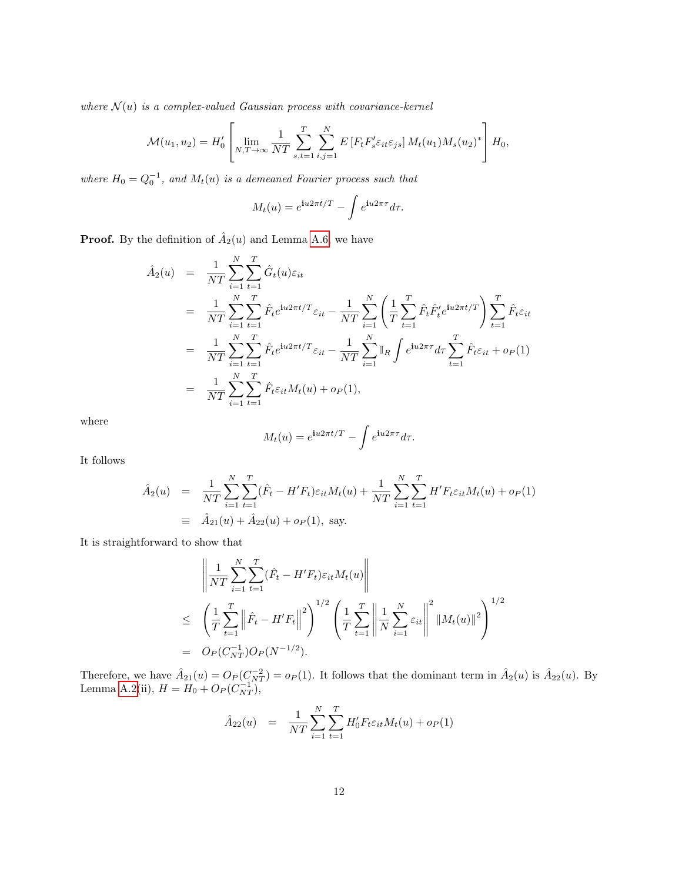where  $\mathcal{N}(u)$  is a complex-valued Gaussian process with covariance-kernel

$$
\mathcal{M}(u_1, u_2) = H'_0 \left[ \lim_{N, T \to \infty} \frac{1}{NT} \sum_{s, t=1}^T \sum_{i,j=1}^N E\left[F_t F'_s \varepsilon_{it} \varepsilon_{js}\right] M_t(u_1) M_s(u_2)^* \right] H_0,
$$

where  $H_0 = Q_0^{-1}$ , and  $M_t(u)$  is a demeaned Fourier process such that

$$
M_t(u) = e^{\mathbf{i}u 2\pi t/T} - \int e^{\mathbf{i}u 2\pi\tau} d\tau.
$$

**Proof.** By the definition of  $\hat{A}_2(u)$  and Lemma [A.6,](#page-34-0) we have

$$
\hat{A}_2(u) = \frac{1}{NT} \sum_{i=1}^N \sum_{t=1}^T \hat{G}_t(u) \varepsilon_{it} \n= \frac{1}{NT} \sum_{i=1}^N \sum_{t=1}^T \hat{F}_t e^{iu2\pi t/T} \varepsilon_{it} - \frac{1}{NT} \sum_{i=1}^N \left( \frac{1}{T} \sum_{t=1}^T \hat{F}_t \hat{F}_t' e^{iu2\pi t/T} \right) \sum_{t=1}^T \hat{F}_t \varepsilon_{it} \n= \frac{1}{NT} \sum_{i=1}^N \sum_{t=1}^T \hat{F}_t e^{iu2\pi t/T} \varepsilon_{it} - \frac{1}{NT} \sum_{i=1}^N \mathbb{I}_R \int e^{iu2\pi \tau} d\tau \sum_{t=1}^T \hat{F}_t \varepsilon_{it} + o_P(1) \n= \frac{1}{NT} \sum_{i=1}^N \sum_{t=1}^T \hat{F}_t \varepsilon_{it} M_t(u) + o_P(1),
$$

where

$$
M_t(u) = e^{\mathbf{i}u 2\pi t/T} - \int e^{\mathbf{i}u 2\pi\tau} d\tau.
$$

It follows

$$
\hat{A}_2(u) = \frac{1}{NT} \sum_{i=1}^N \sum_{t=1}^T (\hat{F}_t - H'F_t) \varepsilon_{it} M_t(u) + \frac{1}{NT} \sum_{i=1}^N \sum_{t=1}^T H'F_t \varepsilon_{it} M_t(u) + o_P(1)
$$
\n
$$
\equiv \hat{A}_{21}(u) + \hat{A}_{22}(u) + o_P(1), \text{ say.}
$$

It is straightforward to show that

$$
\left\| \frac{1}{NT} \sum_{i=1}^{N} \sum_{t=1}^{T} (\hat{F}_t - H'F_t) \varepsilon_{it} M_t(u) \right\|
$$
  
\n
$$
\leq \left( \frac{1}{T} \sum_{t=1}^{T} \left\| \hat{F}_t - H'F_t \right\|^2 \right)^{1/2} \left( \frac{1}{T} \sum_{t=1}^{T} \left\| \frac{1}{N} \sum_{i=1}^{N} \varepsilon_{it} \right\|^2 \|M_t(u)\|^2 \right)^{1/2}
$$
  
\n
$$
= O_P(C_{NT}^{-1}) O_P(N^{-1/2}).
$$

Therefore, we have  $\hat{A}_{21}(u) = O_P(C_{NT}^{-2}) = o_P(1)$ . It follows that the dominant term in  $\hat{A}_2(u)$  is  $\hat{A}_{22}(u)$ . By Lemma [A.2\(](#page-26-0)ii),  $H = H_0 + O_P(C_{NT}^{-1}),$ 

$$
\hat{A}_{22}(u) = \frac{1}{NT} \sum_{i=1}^{N} \sum_{t=1}^{T} H'_0 F_t \varepsilon_{it} M_t(u) + o_P(1)
$$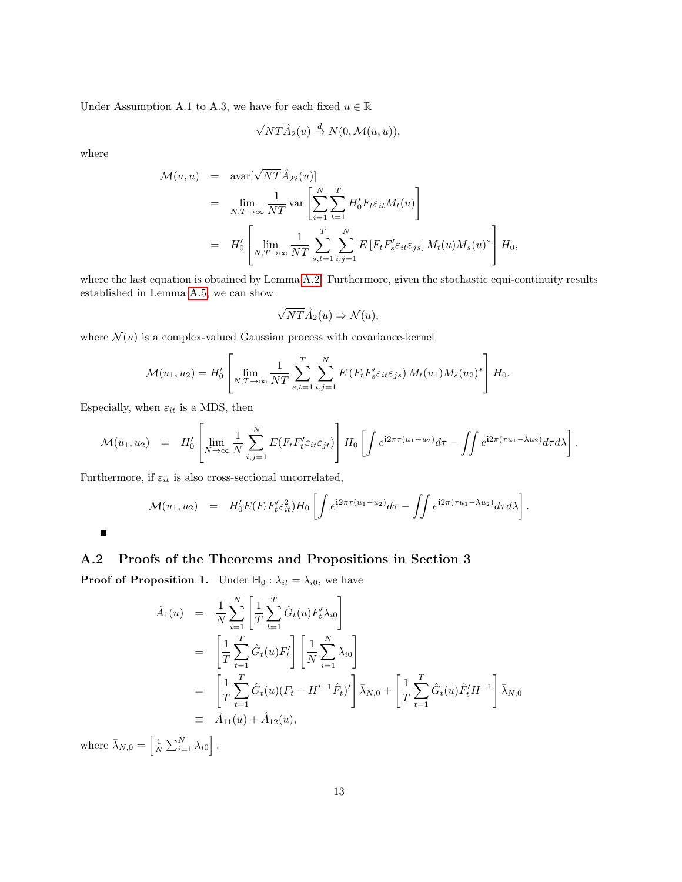Under Assumption A.1 to A.3, we have for each fixed  $u \in \mathbb{R}$ 

$$
\sqrt{NT}\hat{A}_2(u) \stackrel{d}{\rightarrow} N(0, \mathcal{M}(u, u)),
$$

where

Ē

$$
\mathcal{M}(u, u) = \text{avar}[\sqrt{NT}\hat{A}_{22}(u)]
$$
  
\n
$$
= \lim_{N,T \to \infty} \frac{1}{NT} \text{var}\left[\sum_{i=1}^{N} \sum_{t=1}^{T} H_0' F_t \varepsilon_{it} M_t(u)\right]
$$
  
\n
$$
= H_0' \left[\lim_{N,T \to \infty} \frac{1}{NT} \sum_{s,t=1}^{T} \sum_{i,j=1}^{N} E\left[F_t F_s' \varepsilon_{it} \varepsilon_{js}\right] M_t(u) M_s(u)^* \right] H_0,
$$

where the last equation is obtained by Lemma [A.2.](#page-26-0) Furthermore, given the stochastic equi-continuity results established in Lemma [A.5,](#page-33-0) we can show

$$
\sqrt{NT}\hat{A}_2(u) \Rightarrow \mathcal{N}(u),
$$

where  $\mathcal{N}(u)$  is a complex-valued Gaussian process with covariance-kernel

$$
\mathcal{M}(u_1, u_2) = H'_0 \left[ \lim_{N, T \to \infty} \frac{1}{NT} \sum_{s,t=1}^T \sum_{i,j=1}^N E\left(F_t F'_s \varepsilon_{it} \varepsilon_{js}\right) M_t(u_1) M_s(u_2)^* \right] H_0.
$$

Especially, when  $\varepsilon_{it}$  is a MDS, then

$$
\mathcal{M}(u_1, u_2) = H'_0 \left[ \lim_{N \to \infty} \frac{1}{N} \sum_{i,j=1}^N E(F_t F'_t \varepsilon_{it} \varepsilon_{jt}) \right] H_0 \left[ \int e^{i2\pi \tau (u_1 - u_2)} d\tau - \iint e^{i2\pi (\tau u_1 - \lambda u_2)} d\tau d\lambda \right].
$$

Furthermore, if  $\varepsilon_{it}$  is also cross-sectional uncorrelated,

$$
\mathcal{M}(u_1, u_2) = H'_0 E(F_t F'_t \varepsilon_{it}^2) H_0 \left[ \int e^{i2\pi \tau (u_1 - u_2)} d\tau - \int \int e^{i2\pi (\tau u_1 - \lambda u_2)} d\tau d\lambda \right].
$$

### A.2 Proofs of the Theorems and Propositions in Section 3

**Proof of Proposition 1.** Under  $\mathbb{H}_0 : \lambda_{it} = \lambda_{i0}$ , we have

$$
\hat{A}_1(u) = \frac{1}{N} \sum_{i=1}^N \left[ \frac{1}{T} \sum_{t=1}^T \hat{G}_t(u) F_t' \lambda_{i0} \right]
$$
\n
$$
= \left[ \frac{1}{T} \sum_{t=1}^T \hat{G}_t(u) F_t' \right] \left[ \frac{1}{N} \sum_{i=1}^N \lambda_{i0} \right]
$$
\n
$$
= \left[ \frac{1}{T} \sum_{t=1}^T \hat{G}_t(u) (F_t - H'^{-1} \hat{F}_t)' \right] \bar{\lambda}_{N,0} + \left[ \frac{1}{T} \sum_{t=1}^T \hat{G}_t(u) \hat{F}_t' H^{-1} \right] \bar{\lambda}_{N,0}
$$
\n
$$
\equiv \hat{A}_{11}(u) + \hat{A}_{12}(u),
$$

where  $\bar{\lambda}_{N,0} = \left[\frac{1}{N} \sum_{i=1}^{N} \lambda_{i0}\right]$ .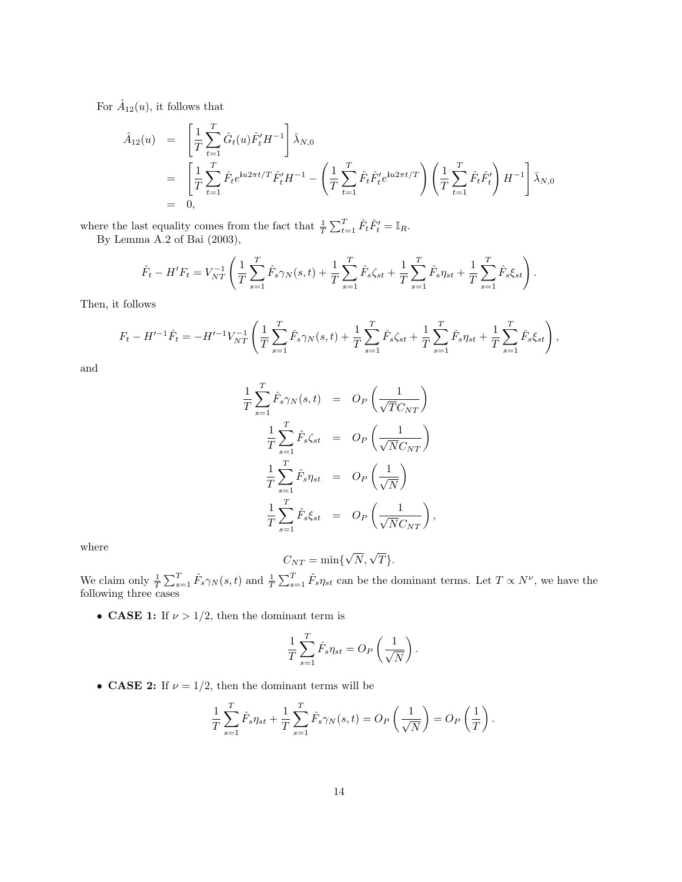For  $\hat{A}_{12}(u)$ , it follows that

$$
\hat{A}_{12}(u) = \left[ \frac{1}{T} \sum_{t=1}^{T} \hat{G}_t(u) \hat{F}_t' H^{-1} \right] \bar{\lambda}_{N,0} \n= \left[ \frac{1}{T} \sum_{t=1}^{T} \hat{F}_t e^{iu2\pi t/T} \hat{F}_t' H^{-1} - \left( \frac{1}{T} \sum_{t=1}^{T} \hat{F}_t \hat{F}_t' e^{iu2\pi t/T} \right) \left( \frac{1}{T} \sum_{t=1}^{T} \hat{F}_t \hat{F}_t' \right) H^{-1} \right] \bar{\lambda}_{N,0} \n= 0,
$$

where the last equality comes from the fact that  $\frac{1}{T} \sum_{t=1}^{T} \hat{F}_t \hat{F}'_t = \mathbb{I}_R$ . By Lemma A.2 of Bai (2003),

$$
\hat{F}_t - H'F_t = V_{NT}^{-1} \left( \frac{1}{T} \sum_{s=1}^T \hat{F}_s \gamma_N(s, t) + \frac{1}{T} \sum_{s=1}^T \hat{F}_s \zeta_{st} + \frac{1}{T} \sum_{s=1}^T \hat{F}_s \eta_{st} + \frac{1}{T} \sum_{s=1}^T \hat{F}_s \zeta_{st} \right).
$$

Then, it follows

$$
F_t - H'^{-1}\hat{F}_t = -H'^{-1}V_{NT}^{-1}\left(\frac{1}{T}\sum_{s=1}^T \hat{F}_s\gamma_N(s,t) + \frac{1}{T}\sum_{s=1}^T \hat{F}_s\zeta_{st} + \frac{1}{T}\sum_{s=1}^T \hat{F}_s\eta_{st} + \frac{1}{T}\sum_{s=1}^T \hat{F}_s\zeta_{st}\right),
$$

and

$$
\frac{1}{T} \sum_{s=1}^{T} \hat{F}_s \gamma_N(s,t) = O_P\left(\frac{1}{\sqrt{T}C_{NT}}\right)
$$
\n
$$
\frac{1}{T} \sum_{s=1}^{T} \hat{F}_s \zeta_{st} = O_P\left(\frac{1}{\sqrt{N}C_{NT}}\right)
$$
\n
$$
\frac{1}{T} \sum_{s=1}^{T} \hat{F}_s \eta_{st} = O_P\left(\frac{1}{\sqrt{N}}\right)
$$
\n
$$
\frac{1}{T} \sum_{s=1}^{T} \hat{F}_s \zeta_{st} = O_P\left(\frac{1}{\sqrt{N}C_{NT}}\right),
$$

where

$$
C_{NT} = \min\{\sqrt{N}, \sqrt{T}\}.
$$

We claim only  $\frac{1}{T} \sum_{s=1}^{T} \hat{F}_s \gamma_N(s,t)$  and  $\frac{1}{T} \sum_{s=1}^{T} \hat{F}_s \eta_{st}$  can be the dominant terms. Let  $T \propto N^{\nu}$ , we have the following three cases

• CASE 1: If  $\nu > 1/2$ , then the dominant term is

$$
\frac{1}{T} \sum_{s=1}^{T} \hat{F}_s \eta_{st} = O_P\left(\frac{1}{\sqrt{N}}\right).
$$

• **CASE 2:** If  $\nu = 1/2$ , then the dominant terms will be

$$
\frac{1}{T} \sum_{s=1}^T \hat{F}_s \eta_{st} + \frac{1}{T} \sum_{s=1}^T \hat{F}_s \gamma_N(s,t) = O_P\left(\frac{1}{\sqrt{N}}\right) = O_P\left(\frac{1}{T}\right).
$$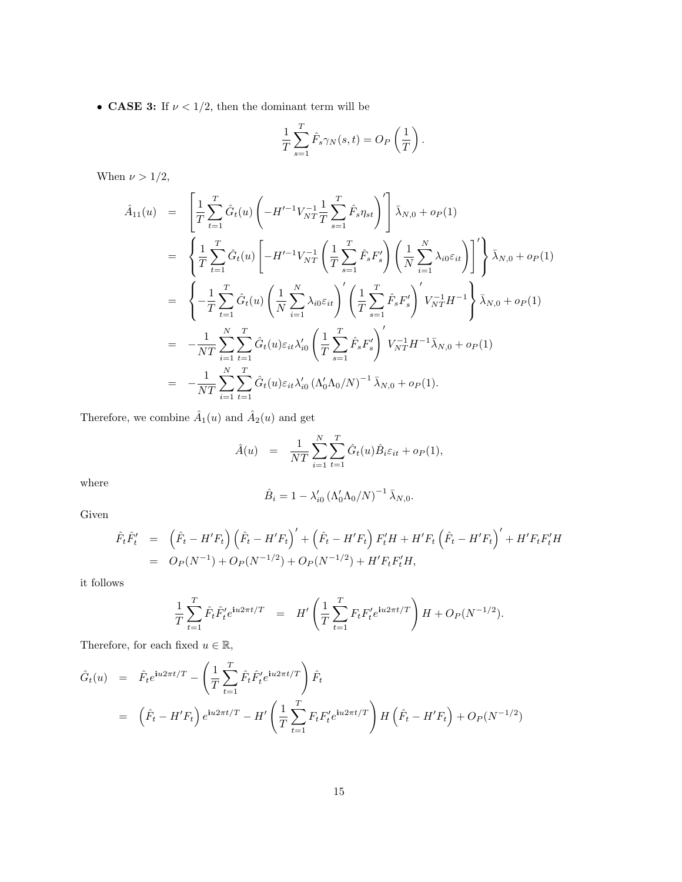$\bullet\,$  CASE 3: If  $\nu<1/2,$  then the dominant term will be

$$
\frac{1}{T} \sum_{s=1}^{T} \hat{F}_s \gamma_N(s, t) = O_P\left(\frac{1}{T}\right).
$$

When  $\nu > 1/2$ ,

$$
\hat{A}_{11}(u) = \left[ \frac{1}{T} \sum_{t=1}^{T} \hat{G}_{t}(u) \left( -H'^{-1} V_{NT}^{-1} \frac{1}{T} \sum_{s=1}^{T} \hat{F}_{s} \eta_{st} \right)^{\prime} \right] \bar{\lambda}_{N,0} + o_{P}(1)
$$
\n
$$
= \left\{ \frac{1}{T} \sum_{t=1}^{T} \hat{G}_{t}(u) \left[ -H'^{-1} V_{NT}^{-1} \left( \frac{1}{T} \sum_{s=1}^{T} \hat{F}_{s} F'_{s} \right) \left( \frac{1}{N} \sum_{i=1}^{N} \lambda_{i0} \varepsilon_{it} \right) \right]^{\prime} \right\} \bar{\lambda}_{N,0} + o_{P}(1)
$$
\n
$$
= \left\{ -\frac{1}{T} \sum_{t=1}^{T} \hat{G}_{t}(u) \left( \frac{1}{N} \sum_{i=1}^{N} \lambda_{i0} \varepsilon_{it} \right)^{\prime} \left( \frac{1}{T} \sum_{s=1}^{T} \hat{F}_{s} F'_{s} \right)^{\prime} V_{NT}^{-1} H^{-1} \right\} \bar{\lambda}_{N,0} + o_{P}(1)
$$
\n
$$
= -\frac{1}{NT} \sum_{i=1}^{N} \sum_{t=1}^{T} \hat{G}_{t}(u) \varepsilon_{it} \lambda_{i0}^{\prime} \left( \frac{1}{T} \sum_{s=1}^{T} \hat{F}_{s} F'_{s} \right)^{\prime} V_{NT}^{-1} H^{-1} \bar{\lambda}_{N,0} + o_{P}(1)
$$
\n
$$
= -\frac{1}{NT} \sum_{i=1}^{N} \sum_{t=1}^{T} \hat{G}_{t}(u) \varepsilon_{it} \lambda_{i0}^{\prime} (\Lambda_{0}^{\prime} \Lambda_{0} / N)^{-1} \bar{\lambda}_{N,0} + o_{P}(1).
$$

Therefore, we combine  $\hat{A}_1(u)$  and  $\hat{A}_2(u)$  and get

$$
\hat{A}(u) = \frac{1}{NT} \sum_{i=1}^{N} \sum_{t=1}^{T} \hat{G}_t(u) \hat{B}_i \varepsilon_{it} + o_P(1),
$$

where

$$
\hat{B}_i = 1 - \lambda'_{i0} (\Lambda'_0 \Lambda_0 / N)^{-1} \bar{\lambda}_{N,0}.
$$

Given

$$
\hat{F}_t \hat{F}'_t = (\hat{F}_t - H'F_t) (\hat{F}_t - H'F_t)' + (\hat{F}_t - H'F_t) F'_t H + H'F_t (\hat{F}_t - H'F_t)' + H'F_t F'_t H
$$
\n
$$
= O_P(N^{-1}) + O_P(N^{-1/2}) + O_P(N^{-1/2}) + H'F_t F'_t H,
$$

it follows

$$
\frac{1}{T} \sum_{t=1}^{T} \hat{F}_t \hat{F}'_t e^{i\omega 2\pi t/T} = H' \left( \frac{1}{T} \sum_{t=1}^{T} F_t F'_t e^{i\omega 2\pi t/T} \right) H + O_P(N^{-1/2}).
$$

Therefore, for each fixed  $u \in \mathbb{R}$ ,

$$
\hat{G}_t(u) = \hat{F}_t e^{iu2\pi t/T} - \left(\frac{1}{T} \sum_{t=1}^T \hat{F}_t \hat{F}'_t e^{iu2\pi t/T}\right) \hat{F}_t
$$
\n
$$
= \left(\hat{F}_t - H'F_t\right) e^{iu2\pi t/T} - H' \left(\frac{1}{T} \sum_{t=1}^T F_t F'_t e^{iu2\pi t/T}\right) H \left(\hat{F}_t - H'F_t\right) + O_P(N^{-1/2})
$$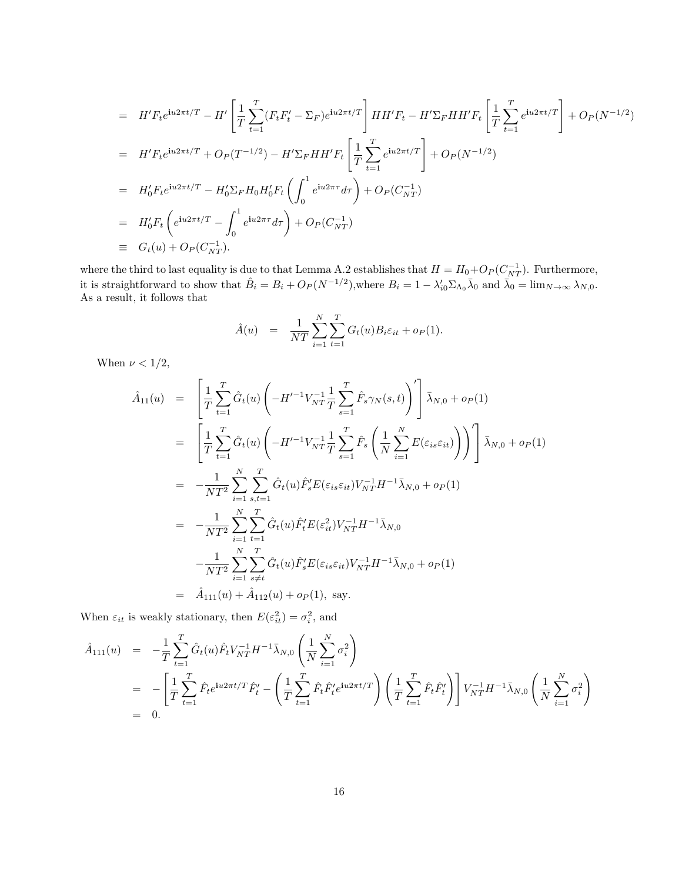$$
= H'F_t e^{iu2\pi t/T} - H' \left[ \frac{1}{T} \sum_{t=1}^T (F_t F_t' - \Sigma_F) e^{iu2\pi t/T} \right] HH' F_t - H' \Sigma_F HH' F_t \left[ \frac{1}{T} \sum_{t=1}^T e^{iu2\pi t/T} \right] + O_P(N^{-1/2})
$$
  
\n
$$
= H'F_t e^{iu2\pi t/T} + O_P(T^{-1/2}) - H' \Sigma_F HH' F_t \left[ \frac{1}{T} \sum_{t=1}^T e^{iu2\pi t/T} \right] + O_P(N^{-1/2})
$$
  
\n
$$
= H'_0 F_t e^{iu2\pi t/T} - H'_0 \Sigma_F H_0 H'_0 F_t \left( \int_0^1 e^{iu2\pi \tau} d\tau \right) + O_P(C_{NT}^{-1})
$$
  
\n
$$
= H'_0 F_t \left( e^{iu2\pi t/T} - \int_0^1 e^{iu2\pi \tau} d\tau \right) + O_P(C_{NT}^{-1})
$$
  
\n
$$
\equiv G_t(u) + O_P(C_{NT}^{-1}).
$$

where the third to last equality is due to that Lemma A.2 establishes that  $H = H_0 + O_P(C_{NT}^{-1})$ . Furthermore, it is straightforward to show that  $\hat{B}_i = B_i + O_P(N^{-1/2})$ , where  $B_i = 1 - \lambda'_{i0} \Sigma_{\Lambda_0} \bar{\lambda}_0$  and  $\bar{\lambda}_0 = \lim_{N \to \infty} \lambda_{N,0}$ . As a result, it follows that

$$
\hat{A}(u) = \frac{1}{NT} \sum_{i=1}^{N} \sum_{t=1}^{T} G_t(u) B_i \varepsilon_{it} + o_P(1).
$$

When  $\nu < 1/2$ ,

$$
\hat{A}_{11}(u) = \left[ \frac{1}{T} \sum_{t=1}^{T} \hat{G}_{t}(u) \left( -H'^{-1} V_{NT}^{-1} \frac{1}{T} \sum_{s=1}^{T} \hat{F}_{s} \gamma_{N}(s, t) \right)^{\prime} \right] \bar{\lambda}_{N,0} + o_{P}(1)
$$
\n
$$
= \left[ \frac{1}{T} \sum_{t=1}^{T} \hat{G}_{t}(u) \left( -H'^{-1} V_{NT}^{-1} \frac{1}{T} \sum_{s=1}^{T} \hat{F}_{s} \left( \frac{1}{N} \sum_{i=1}^{N} E(\varepsilon_{is} \varepsilon_{it}) \right) \right)^{\prime} \right] \bar{\lambda}_{N,0} + o_{P}(1)
$$
\n
$$
= -\frac{1}{NT^{2}} \sum_{i=1}^{N} \sum_{s,t=1}^{T} \hat{G}_{t}(u) \hat{F}_{s}^{\prime} E(\varepsilon_{is} \varepsilon_{it}) V_{NT}^{-1} H^{-1} \bar{\lambda}_{N,0} + o_{P}(1)
$$
\n
$$
= -\frac{1}{NT^{2}} \sum_{i=1}^{N} \sum_{t=1}^{T} \hat{G}_{t}(u) \hat{F}_{t}^{\prime} E(\varepsilon_{it}^{2}) V_{NT}^{-1} H^{-1} \bar{\lambda}_{N,0}
$$
\n
$$
- \frac{1}{NT^{2}} \sum_{i=1}^{N} \sum_{s \neq t}^{T} \hat{G}_{t}(u) \hat{F}_{s}^{\prime} E(\varepsilon_{is} \varepsilon_{it}) V_{NT}^{-1} H^{-1} \bar{\lambda}_{N,0} + o_{P}(1)
$$
\n
$$
= \hat{A}_{111}(u) + \hat{A}_{112}(u) + o_{P}(1), \text{ say.}
$$

When  $\varepsilon_{it}$  is weakly stationary, then  $E(\varepsilon_{it}^2) = \sigma_i^2$ , and

$$
\hat{A}_{111}(u) = -\frac{1}{T} \sum_{t=1}^{T} \hat{G}_t(u) \hat{F}_t V_{NT}^{-1} H^{-1} \bar{\lambda}_{N,0} \left( \frac{1}{N} \sum_{i=1}^{N} \sigma_i^2 \right)
$$
\n
$$
= -\left[ \frac{1}{T} \sum_{t=1}^{T} \hat{F}_t e^{i u 2\pi t/T} \hat{F}_t' - \left( \frac{1}{T} \sum_{t=1}^{T} \hat{F}_t \hat{F}_t' e^{i u 2\pi t/T} \right) \left( \frac{1}{T} \sum_{t=1}^{T} \hat{F}_t \hat{F}_t' \right) \right] V_{NT}^{-1} H^{-1} \bar{\lambda}_{N,0} \left( \frac{1}{N} \sum_{i=1}^{N} \sigma_i^2 \right)
$$
\n
$$
= 0.
$$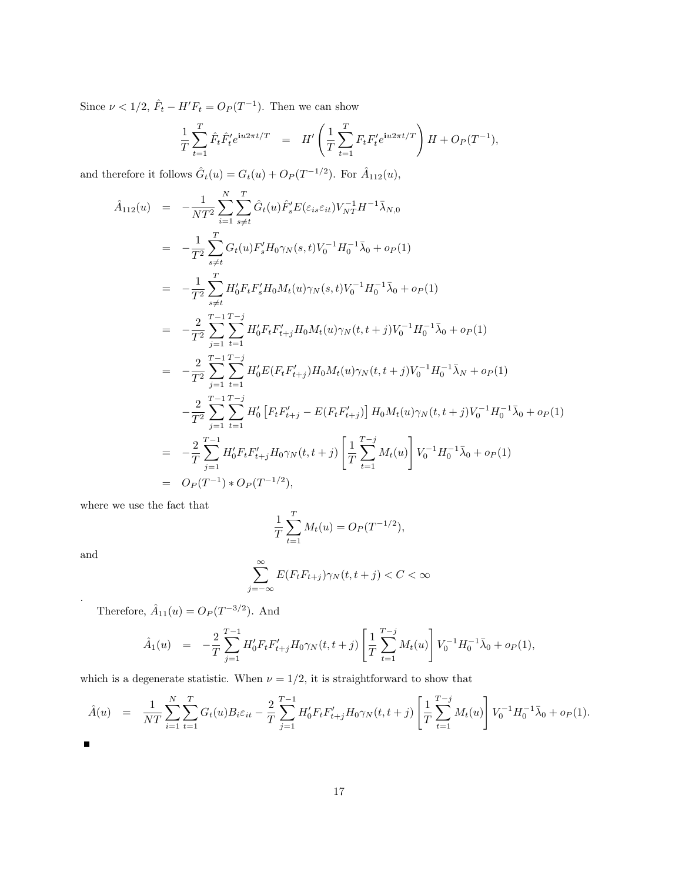Since  $\nu < 1/2$ ,  $\hat{F}_t - H'F_t = O_P(T^{-1})$ . Then we can show

$$
\frac{1}{T} \sum_{t=1}^{T} \hat{F}_t \hat{F}'_t e^{\mathbf{i}u 2\pi t/T} = H' \left( \frac{1}{T} \sum_{t=1}^{T} F_t F'_t e^{\mathbf{i}u 2\pi t/T} \right) H + O_P(T^{-1}),
$$

and therefore it follows  $\hat{G}_t(u) = G_t(u) + O_P(T^{-1/2})$ . For  $\hat{A}_{112}(u)$ ,

$$
\hat{A}_{112}(u) = -\frac{1}{NT^2} \sum_{i=1}^{N} \sum_{s \neq t}^{T} \hat{G}_t(u) \hat{F}_s' E(\varepsilon_{is} \varepsilon_{it}) V_{NT}^{-1} H^{-1} \bar{\lambda}_{N,0} \n= -\frac{1}{T^2} \sum_{s \neq t}^{T} G_t(u) F_s' H_0 \gamma_N(s, t) V_0^{-1} H_0^{-1} \bar{\lambda}_0 + o_P(1) \n= -\frac{1}{T^2} \sum_{s \neq t}^{T} H_0' F_t F_s' H_0 M_t(u) \gamma_N(s, t) V_0^{-1} H_0^{-1} \bar{\lambda}_0 + o_P(1) \n= -\frac{2}{T^2} \sum_{j=1}^{T-1} \sum_{t=1}^{T-j} H_0' F_t F_{t+j}' H_0 M_t(u) \gamma_N(t, t+j) V_0^{-1} H_0^{-1} \bar{\lambda}_0 + o_P(1) \n= -\frac{2}{T^2} \sum_{j=1}^{T-1} \sum_{t=1}^{T-j} H_0' E(F_t F_{t+j}') H_0 M_t(u) \gamma_N(t, t+j) V_0^{-1} H_0^{-1} \bar{\lambda}_N + o_P(1) \n- \frac{2}{T^2} \sum_{j=1}^{T-1} \sum_{t=1}^{T-j} H_0' [F_t F_{t+j}' - E(F_t F_{t+j}')] H_0 M_t(u) \gamma_N(t, t+j) V_0^{-1} H_0^{-1} \bar{\lambda}_0 + o_P(1) \n= -\frac{2}{T} \sum_{j=1}^{T-1} H_0' F_t F_{t+j}' H_0 \gamma_N(t, t+j) \left[ \frac{1}{T} \sum_{t=1}^{T-j} M_t(u) \right] V_0^{-1} H_0^{-1} \bar{\lambda}_0 + o_P(1) \n= O_P(T^{-1}) * O_P(T^{-1/2}),
$$

where we use the fact that

$$
\frac{1}{T} \sum_{t=1}^{T} M_t(u) = O_P(T^{-1/2}),
$$

and

.

$$
\sum_{j=-\infty}^{\infty} E(F_t F_{t+j}) \gamma_N(t, t+j) < C < \infty
$$

Therefore,  $\hat{A}_{11}(u) = O_P(T^{-3/2})$ . And

$$
\hat{A}_1(u) = -\frac{2}{T} \sum_{j=1}^{T-1} H'_0 F_t F'_{t+j} H_0 \gamma_N(t, t+j) \left[ \frac{1}{T} \sum_{t=1}^{T-j} M_t(u) \right] V_0^{-1} H_0^{-1} \bar{\lambda}_0 + o_P(1),
$$

which is a degenerate statistic. When  $\nu = 1/2$ , it is straightforward to show that

$$
\hat{A}(u) = \frac{1}{NT} \sum_{i=1}^{N} \sum_{t=1}^{T} G_t(u) B_i \varepsilon_{it} - \frac{2}{T} \sum_{j=1}^{T-1} H'_0 F_t F'_{t+j} H_0 \gamma_N(t, t+j) \left[ \frac{1}{T} \sum_{t=1}^{T-j} M_t(u) \right] V_0^{-1} H_0^{-1} \bar{\lambda}_0 + o_P(1).
$$

 $\blacksquare$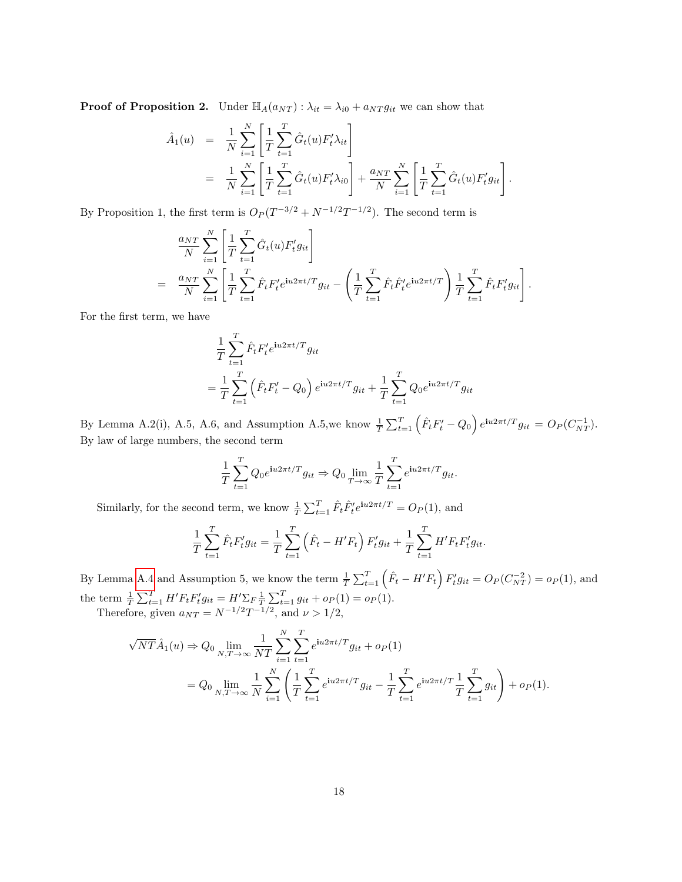**Proof of Proposition 2.** Under  $\mathbb{H}_{A}(a_{NT}): \lambda_{it} = \lambda_{i0} + a_{NT} g_{it}$  we can show that

$$
\hat{A}_1(u) = \frac{1}{N} \sum_{i=1}^N \left[ \frac{1}{T} \sum_{t=1}^T \hat{G}_t(u) F_t' \lambda_{it} \right] \n= \frac{1}{N} \sum_{i=1}^N \left[ \frac{1}{T} \sum_{t=1}^T \hat{G}_t(u) F_t' \lambda_{i0} \right] + \frac{a_{NT}}{N} \sum_{i=1}^N \left[ \frac{1}{T} \sum_{t=1}^T \hat{G}_t(u) F_t' g_{it} \right].
$$

By Proposition 1, the first term is  $O_P(T^{-3/2} + N^{-1/2}T^{-1/2})$ . The second term is

$$
\frac{a_{NT}}{N} \sum_{i=1}^{N} \left[ \frac{1}{T} \sum_{t=1}^{T} \hat{G}_t(u) F_t' g_{it} \right]
$$
\n
$$
= \frac{a_{NT}}{N} \sum_{i=1}^{N} \left[ \frac{1}{T} \sum_{t=1}^{T} \hat{F}_t F_t' e^{iu2\pi t/T} g_{it} - \left( \frac{1}{T} \sum_{t=1}^{T} \hat{F}_t \hat{F}_t' e^{iu2\pi t/T} \right) \frac{1}{T} \sum_{t=1}^{T} \hat{F}_t F_t' g_{it} \right].
$$

For the first term, we have

$$
\frac{1}{T} \sum_{t=1}^{T} \hat{F}_t F'_t e^{iu2\pi t/T} g_{it}
$$
\n
$$
= \frac{1}{T} \sum_{t=1}^{T} (\hat{F}_t F'_t - Q_0) e^{iu2\pi t/T} g_{it} + \frac{1}{T} \sum_{t=1}^{T} Q_0 e^{iu2\pi t/T} g_{it}
$$

By Lemma A.2(i), A.5, A.6, and Assumption A.5, we know  $\frac{1}{T} \sum_{t=1}^{T} (\hat{F}_t F'_t - Q_0) e^{i u 2\pi t/T} g_{it} = O_P(C_{NT}^{-1})$ . By law of large numbers, the second term

$$
\frac{1}{T} \sum_{t=1}^{T} Q_0 e^{i u 2\pi t/T} g_{it} \Rightarrow Q_0 \lim_{T \to \infty} \frac{1}{T} \sum_{t=1}^{T} e^{i u 2\pi t/T} g_{it}.
$$

Similarly, for the second term, we know  $\frac{1}{T} \sum_{t=1}^{T} \hat{F}_t \hat{F}'_t e^{i\omega 2\pi t/T} = O_P(1)$ , and

$$
\frac{1}{T} \sum_{t=1}^{T} \hat{F}_t F'_t g_{it} = \frac{1}{T} \sum_{t=1}^{T} \left( \hat{F}_t - H' F_t \right) F'_t g_{it} + \frac{1}{T} \sum_{t=1}^{T} H' F_t F'_t g_{it}.
$$

By Lemma [A.4](#page-30-0) and Assumption 5, we know the term  $\frac{1}{T} \sum_{t=1}^{T} (\hat{F}_t - H'F_t) F'_t g_{it} = O_P(C_{NT}^{-2}) = o_P(1)$ , and the term  $\frac{1}{T} \sum_{t=1}^{T} H' F_t F_t' g_{it} = H' \sum_{F} \frac{1}{T} \sum_{t=1}^{T} g_{it} + o_P(1) = o_P(1)$ . Therefore, given  $a_{NT} = N^{-1/2}T^{-1/2}$ , and  $\nu > 1/2$ ,

 $\sqrt{NT}\hat{A}_1(u) \Rightarrow Q_0 \lim_{N,T \to \infty}$ 1  $_{NT}$  $\sum_{i=1}^{N}$  $i=1$  $\sum_{i=1}^{T}$  $t=1$  $e^{\mathbf{i}u2\pi t/T}g_{it} + o_P(1)$  $= Q_0 \lim_{N,T \to \infty}$ 1  $\sum_{i=1}^N \left(\frac{1}{T}\right)$  $\sum_{i=1}^{T}$  $e^{\mathbf{i}u2\pi t/T}g_{it}-\frac{1}{\tau}$  $\sum_{i=1}^{T}$  $e^{i u 2\pi t/T} \frac{1}{\pi}$  $\sum_{i=1}^{T}$  $g_{it}$  +  $o_P(1)$ .

T

 $t=1$ 

N

T

 $t=1$ 

T

 $t=1$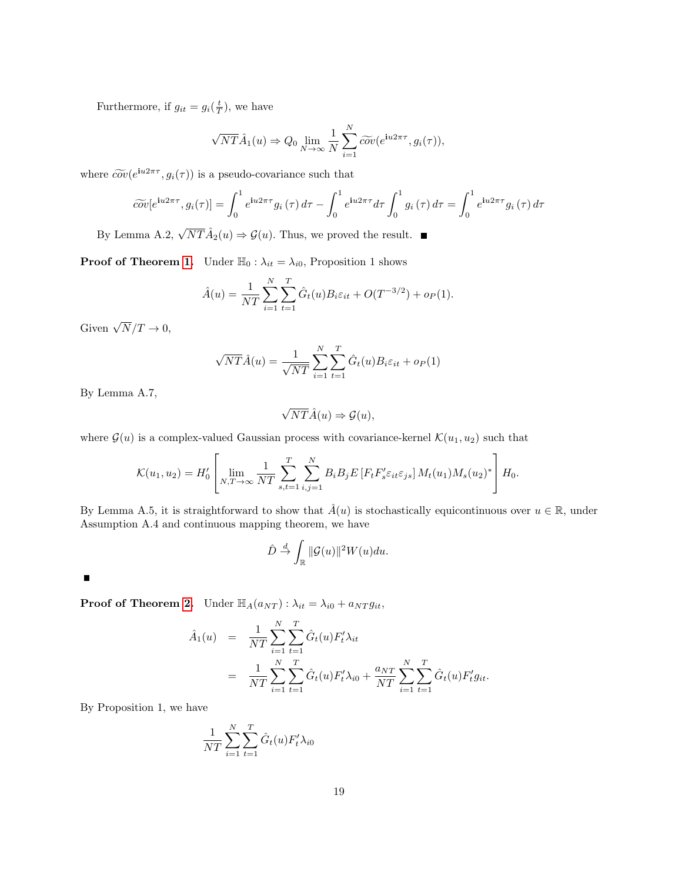Furthermore, if  $g_{it} = g_i(\frac{t}{T})$ , we have

$$
\sqrt{NT}\hat{A}_1(u) \Rightarrow Q_0 \lim_{N \to \infty} \frac{1}{N} \sum_{i=1}^N \widetilde{cov}(e^{\mathbf{i}u2\pi\tau}, g_i(\tau)),
$$

where  $\widetilde{cov}(e^{i\omega_2 \pi \tau}, g_i(\tau))$  is a pseudo-covariance such that

$$
\widetilde{cov}[e^{\mathbf{i}u2\pi\tau}, g_i(\tau)] = \int_0^1 e^{\mathbf{i}u2\pi\tau} g_i(\tau) d\tau - \int_0^1 e^{\mathbf{i}u2\pi\tau} d\tau \int_0^1 g_i(\tau) d\tau = \int_0^1 e^{\mathbf{i}u2\pi\tau} g_i(\tau) d\tau
$$

By Lemma A.2,  $\sqrt{NT}\hat{A}_2(u) \Rightarrow \mathcal{G}(u)$ . Thus, we proved the result.

**Proof of Theorem [1.](#page-9-0)** Under  $\mathbb{H}_0 : \lambda_{it} = \lambda_{i0}$ , Proposition 1 shows

$$
\hat{A}(u) = \frac{1}{NT} \sum_{i=1}^{N} \sum_{t=1}^{T} \hat{G}_t(u) B_i \varepsilon_{it} + O(T^{-3/2}) + o_P(1).
$$

Given  $\sqrt{N}/T \to 0$ ,

$$
\sqrt{NT}\hat{A}(u) = \frac{1}{\sqrt{NT}}\sum_{i=1}^{N}\sum_{t=1}^{T}\hat{G}_t(u)B_i\varepsilon_{it} + o_P(1)
$$

By Lemma A.7,

$$
\sqrt{NT}\hat{A}(u) \Rightarrow \mathcal{G}(u),
$$

where  $\mathcal{G}(u)$  is a complex-valued Gaussian process with covariance-kernel  $\mathcal{K}(u_1, u_2)$  such that

$$
\mathcal{K}(u_1, u_2) = H'_0 \left[ \lim_{N, T \to \infty} \frac{1}{NT} \sum_{s, t=1}^T \sum_{i, j=1}^N B_i B_j E \left[ F_t F'_s \varepsilon_{it} \varepsilon_{js} \right] M_t(u_1) M_s(u_2)^* \right] H_0.
$$

By Lemma A.5, it is straightforward to show that  $\hat{A}(u)$  is stochastically equicontinuous over  $u \in \mathbb{R}$ , under Assumption A.4 and continuous mapping theorem, we have

$$
\hat{D} \stackrel{d}{\to} \int_{\mathbb{R}} \|\mathcal{G}(u)\|^2 W(u) du.
$$

 $\blacksquare$ 

**Proof of Theorem [2.](#page-11-0)** Under  $\mathbb{H}_A(a_{NT})$  :  $\lambda_{it} = \lambda_{i0} + a_{NT} g_{it}$ ,

$$
\hat{A}_1(u) = \frac{1}{NT} \sum_{i=1}^N \sum_{t=1}^T \hat{G}_t(u) F'_t \lambda_{it}
$$
  
\n
$$
= \frac{1}{NT} \sum_{i=1}^N \sum_{t=1}^T \hat{G}_t(u) F'_t \lambda_{i0} + \frac{a_{NT}}{NT} \sum_{i=1}^N \sum_{t=1}^T \hat{G}_t(u) F'_t g_{it}.
$$

By Proposition 1, we have

$$
\frac{1}{NT} \sum_{i=1}^{N} \sum_{t=1}^{T} \hat{G}_t(u) F'_t \lambda_{i0}
$$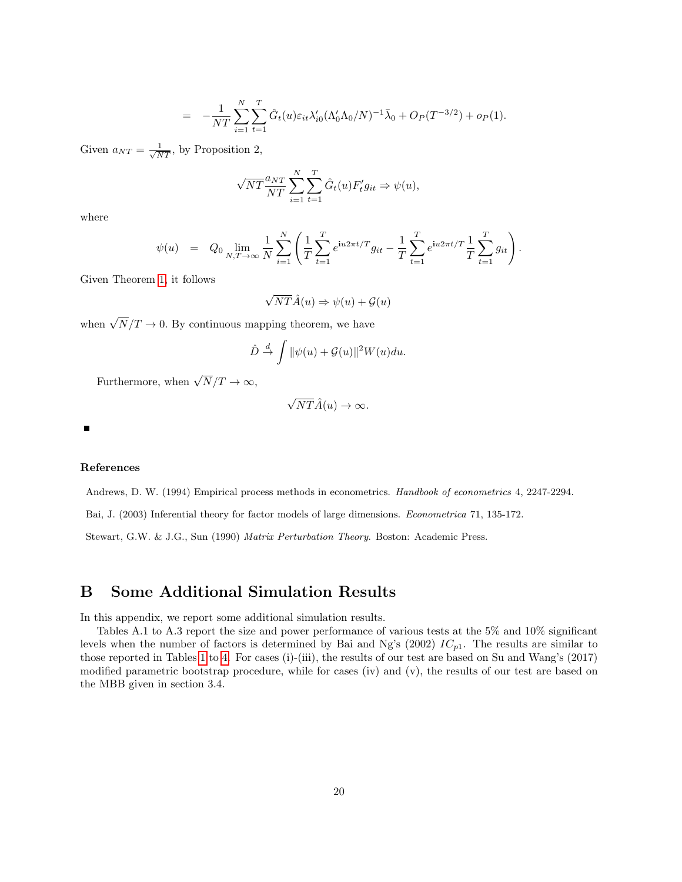$$
= -\frac{1}{NT} \sum_{i=1}^{N} \sum_{t=1}^{T} \hat{G}_t(u) \varepsilon_{it} \lambda'_{i0} (\Lambda'_0 \Lambda_0/N)^{-1} \bar{\lambda}_0 + O_P(T^{-3/2}) + o_P(1).
$$

Given  $a_{NT} = \frac{1}{\sqrt{NT}}$ , by Proposition 2,

$$
\sqrt{NT} \frac{a_{NT}}{NT} \sum_{i=1}^{N} \sum_{t=1}^{T} \hat{G}_t(u) F'_t g_{it} \Rightarrow \psi(u),
$$

where

$$
\psi(u) = Q_0 \lim_{N,T \to \infty} \frac{1}{N} \sum_{i=1}^N \left( \frac{1}{T} \sum_{t=1}^T e^{iu2\pi t/T} g_{it} - \frac{1}{T} \sum_{t=1}^T e^{iu2\pi t/T} \frac{1}{T} \sum_{t=1}^T g_{it} \right).
$$

Given Theorem [1,](#page-9-0) it follows

$$
\sqrt{NT}\hat{A}(u) \Rightarrow \psi(u) + \mathcal{G}(u)
$$

when  $\sqrt{N}/T \to 0$ . By continuous mapping theorem, we have

$$
\hat{D} \stackrel{d}{\rightarrow} \int \|\psi(u) + \mathcal{G}(u)\|^2 W(u) du.
$$

Furthermore, when  $\sqrt{N}/T \to \infty$ ,

$$
\sqrt{NT}\hat{A}(u) \to \infty.
$$

Е

#### References

Andrews, D. W. (1994) Empirical process methods in econometrics. Handbook of econometrics 4, 2247-2294.

Bai, J. (2003) Inferential theory for factor models of large dimensions. Econometrica 71, 135-172.

Stewart, G.W. & J.G., Sun (1990) Matrix Perturbation Theory. Boston: Academic Press.

# B Some Additional Simulation Results

In this appendix, we report some additional simulation results.

Tables A.1 to A.3 report the size and power performance of various tests at the 5% and 10% significant levels when the number of factors is determined by Bai and Ng's (2002)  $IC_{p1}$ . The results are similar to those reported in Tables [1](#page-16-0) to [4.](#page-20-0) For cases (i)-(iii), the results of our test are based on Su and Wang's (2017) modified parametric bootstrap procedure, while for cases (iv) and (v), the results of our test are based on the MBB given in section 3.4.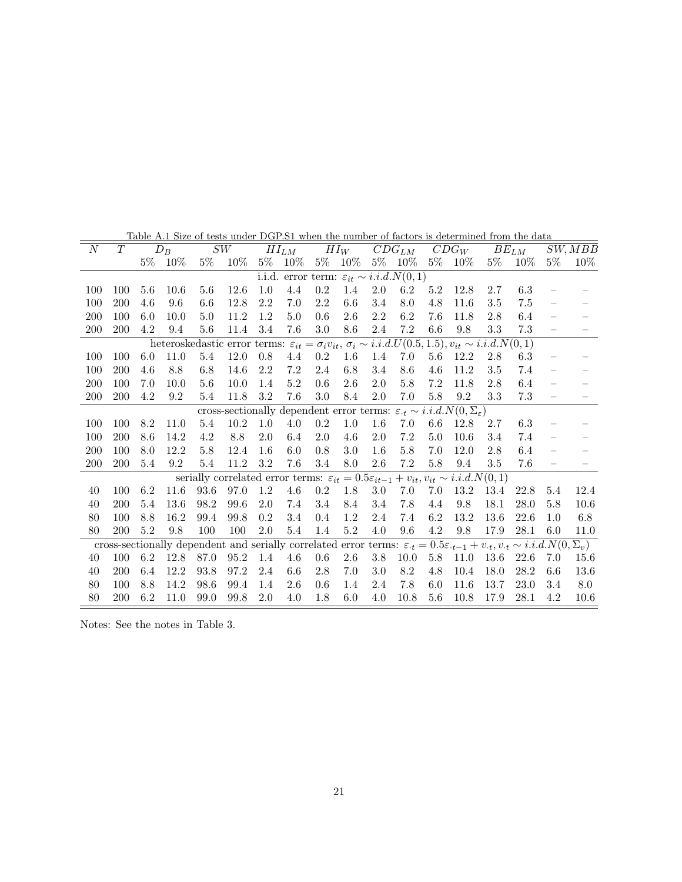| $\overline{N}$ | $\overline{T}$ |       | $D_B$ |         | SW                                                                                                                                            |         | $HI_{LM}$ |         | $HI_W$                                                  |         | $\overline{C}DG_{LM}$ |         | $\overline{C}DG_W$ |         | $BE_{LM}$ |          | SW, MBB |
|----------------|----------------|-------|-------|---------|-----------------------------------------------------------------------------------------------------------------------------------------------|---------|-----------|---------|---------------------------------------------------------|---------|-----------------------|---------|--------------------|---------|-----------|----------|---------|
|                |                | $5\%$ | 10%   | $5\%$   | $10\%$                                                                                                                                        | $5\%$   | $10\%$    |         | 5\% 10\%                                                |         | 5\% 10\%              |         | 5\% 10\%           | $5\%$   | $10\%$    | $5\%$    | $10\%$  |
|                |                |       |       |         |                                                                                                                                               |         |           |         | i.i.d. error term: $\varepsilon_{it} \sim i.i.d.N(0,1)$ |         |                       |         |                    |         |           |          |         |
| 100            | 100            | 5.6   | 10.6  | 5.6     | 12.6                                                                                                                                          | 1.0     | 4.4       | $0.2\,$ | 1.4                                                     | 2.0     | 6.2                   | 5.2     | 12.8               | 2.7     | 6.3       |          |         |
| 100            | 200            | 4.6   | 9.6   | 6.6     | 12.8                                                                                                                                          | 2.2     | 7.0       | 2.2     | $6.6\,$                                                 | $3.4\,$ | $8.0\,$               | 4.8     | 11.6               | 3.5     | 7.5       |          |         |
| 200            | 100            | 6.0   | 10.0  | 5.0     | 11.2                                                                                                                                          | 1.2     | 5.0       | $0.6\,$ | 2.6                                                     | 2.2     | 6.2                   | 7.6     | 11.8               | 2.8     | 6.4       |          |         |
| 200            | 200            | 4.2   | 9.4   | 5.6     | 11.4                                                                                                                                          | 3.4     | 7.6       | 3.0     | 8.6                                                     | $2.4\,$ | 7.2                   | 6.6     | 9.8                | $3.3\,$ | 7.3       |          |         |
|                |                |       |       |         | heteroskedastic error terms: $\varepsilon_{it} = \sigma_i v_{it}, \overline{\sigma_i \sim i.i.d. U(0.5, 1.5)}, v_{it} \sim i.i.d. N(0, 1)$    |         |           |         |                                                         |         |                       |         |                    |         |           |          |         |
| 100            | 100            | 6.0   | 11.0  | 5.4     | 12.0                                                                                                                                          | $0.8\,$ | 4.4       | $0.2\,$ | 1.6                                                     | 1.4     | 7.0                   | $5.6\,$ | 12.2               | 2.8     | 6.3       |          |         |
| 100            | 200            | 4.6   | 8.8   | 6.8     | 14.6                                                                                                                                          | 2.2     | 7.2       | 2.4     | 6.8                                                     | 3.4     | 8.6                   | 4.6     | 11.2               | 3.5     | 7.4       | $\equiv$ |         |
| 200            | 100            | 7.0   | 10.0  | 5.6     | 10.0                                                                                                                                          | 1.4     | 5.2       | $0.6\,$ | 2.6                                                     | 2.0     | $5.8\,$               | 7.2     | 11.8               | 2.8     | 6.4       |          |         |
| 200            | 200            | 4.2   | 9.2   | 5.4     | 11.8                                                                                                                                          | 3.2     | 7.6       | 3.0     | 8.4                                                     | $2.0\,$ | 7.0                   | $5.8\,$ | $\rm 9.2$          | $3.3\,$ | 7.3       |          |         |
|                |                |       |       |         | cross-sectionally dependent error terms: $\varepsilon_t \sim i.i.d.N(0, \Sigma_{\varepsilon})$                                                |         |           |         |                                                         |         |                       |         |                    |         |           |          |         |
| 100            | 100            | 8.2   | 11.0  | 5.4     | 10.2                                                                                                                                          | $1.0\,$ | 4.0       | $0.2\,$ | $1.0\,$                                                 | 1.6     | 7.0                   | $6.6\,$ | 12.8               | 2.7     | 6.3       |          |         |
| 100            | 200            | 8.6   | 14.2  | 4.2     | 8.8                                                                                                                                           | 2.0     | 6.4       | 2.0     | 4.6                                                     | 2.0     | $7.2\,$               | 5.0     | 10.6               | 3.4     | 7.4       |          |         |
| $200\,$        | 100            | 8.0   | 12.2  | $5.8\,$ | 12.4                                                                                                                                          | 1.6     | 6.0       | $0.8\,$ | $3.0\,$                                                 | 1.6     | $5.8\,$               | $7.0\,$ | 12.0               | 2.8     | 6.4       |          |         |
| 200            | 200            | 5.4   | 9.2   | 5.4     | 11.2                                                                                                                                          | 3.2     | 7.6       | 3.4     | 8.0                                                     | 2.6     | $7.2\,$               | $5.8\,$ | 9.4                | 3.5     | 7.6       |          |         |
|                |                |       |       |         | serially correlated error terms: $\varepsilon_{it} = 0.5\varepsilon_{it-1} + v_{it}, v_{it} \sim i.i.d.N(0,1)$                                |         |           |         |                                                         |         |                       |         |                    |         |           |          |         |
| 40             | 100            | 6.2   | 11.6  | 93.6    | 97.0                                                                                                                                          | 1.2     | 4.6       | $0.2\,$ | 1.8                                                     | $3.0\,$ | 7.0                   | 7.0     | 13.2               | 13.4    | 22.8      | 5.4      | 12.4    |
| 40             | 200            | 5.4   | 13.6  | 98.2    | 99.6                                                                                                                                          | $2.0\,$ | 7.4       | 3.4     | 8.4                                                     | 3.4     | $7.8\,$               | 4.4     | 9.8                | 18.1    | 28.0      | 5.8      | 10.6    |
| 80             | 100            | 8.8   | 16.2  | 99.4    | 99.8                                                                                                                                          | $0.2\,$ | 3.4       | $0.4\,$ | $1.2\,$                                                 | $2.4\,$ | 7.4                   | $6.2\,$ | $13.2\,$           | 13.6    | 22.6      | 1.0      | $6.8\,$ |
| 80             | 200            | 5.2   | 9.8   | 100     | 100                                                                                                                                           | 2.0     | 5.4       | 1.4     | $5.2\,$                                                 | 4.0     | 9.6                   | 4.2     | 9.8                | 17.9    | 28.1      | 6.0      | 11.0    |
|                |                |       |       |         | cross-sectionally dependent and serially correlated error terms: $\varepsilon_t = 0.5\varepsilon_{t-1} + v_t, v_t \sim i.i.d. N(0, \Sigma_v)$ |         |           |         |                                                         |         |                       |         |                    |         |           |          |         |
| 40             | 100            | 6.2   | 12.8  | 87.0    | 95.2                                                                                                                                          | 1.4     | 4.6       | $0.6\,$ | $2.6\,$                                                 | $3.8\,$ | 10.0                  | 5.8     | 11.0               | 13.6    | 22.6      | 7.0      | 15.6    |
| 40             | <b>200</b>     | 6.4   | 12.2  | 93.8    | 97.2                                                                                                                                          | 2.4     | $6.6\,$   | 2.8     | $7.0\,$                                                 | 3.0     | 8.2                   | 4.8     | 10.4               | 18.0    | 28.2      | 6.6      | 13.6    |
| 80             | 100            | 8.8   | 14.2  | 98.6    | 99.4                                                                                                                                          | 1.4     | 2.6       | $0.6\,$ | 1.4                                                     | 2.4     | 7.8                   | 6.0     | 11.6               | 13.7    | 23.0      | 3.4      | 8.0     |
| 80             | 200            | 6.2   | 11.0  | 99.0    | 99.8                                                                                                                                          | 2.0     | 4.0       | 1.8     | $6.0\,$                                                 | 4.0     | $10.8\,$              | 5.6     | 10.8               | 17.9    | 28.1      | 4.2      | 10.6    |

Table A.1 Size of tests under DGP.S1 when the number of factors is determined from the data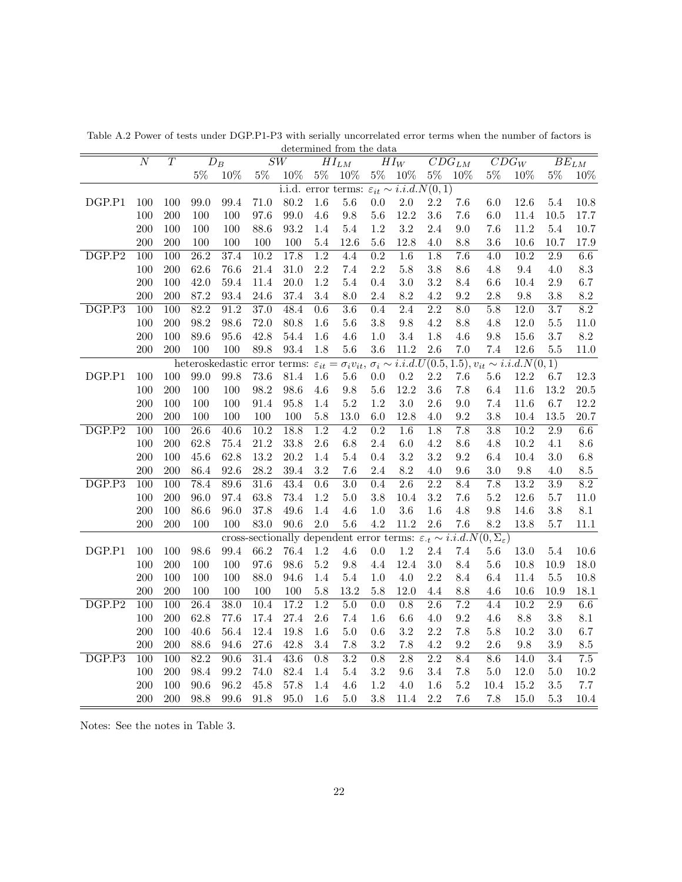|                     | determined from the data<br>$\overline{T}$<br>$\overline{N}$<br>$\overline{SW}$<br>$\overline{CDG_{LM}}$<br>$\overline{D}_B$<br>$\overline{CDG_W}$<br>$\overline{H}I_{LM}$<br>$HI_W$ |                  |                   |                                                   |                   |          |                  |                                                                                                |                  |                  |                  |                  |                  |                                                                               |                  |                      |
|---------------------|--------------------------------------------------------------------------------------------------------------------------------------------------------------------------------------|------------------|-------------------|---------------------------------------------------|-------------------|----------|------------------|------------------------------------------------------------------------------------------------|------------------|------------------|------------------|------------------|------------------|-------------------------------------------------------------------------------|------------------|----------------------|
|                     |                                                                                                                                                                                      |                  |                   |                                                   |                   |          |                  |                                                                                                |                  |                  |                  |                  |                  |                                                                               |                  | $\overline{BE}_{LM}$ |
|                     |                                                                                                                                                                                      |                  | $5\%$             | 10%                                               | $5\%$             | 10%      | $5\%$            | 10%                                                                                            | $5\%$            | 10%              | $5\%$            | 10%              | $5\%$            | 10%                                                                           | $5\%$            | 10%                  |
|                     |                                                                                                                                                                                      |                  |                   |                                                   |                   |          |                  | i.i.d. error terms: $\varepsilon_{it} \sim i.i.\overline{d.N(0,1)}$                            |                  |                  |                  |                  |                  |                                                                               |                  |                      |
| DGP.P1              | 100                                                                                                                                                                                  | 100              | 99.0              | 99.4                                              | 71.0              | 80.2     | 1.6              | $5.6\,$                                                                                        | $0.0\,$          | 2.0              | 2.2              | 7.6              | 6.0              | 12.6                                                                          | 5.4              | 10.8                 |
|                     | 100                                                                                                                                                                                  | 200              | 100               | 100                                               | 97.6              | 99.0     | 4.6              | $9.8\,$                                                                                        | $5.6\,$          | 12.2             | 3.6              | 7.6              | 6.0              | 11.4                                                                          | 10.5             | 17.7                 |
|                     | 200                                                                                                                                                                                  | 100              | 100               | 100                                               | 88.6              | 93.2     | 1.4              | $5.4\,$                                                                                        | 1.2              | 3.2              | 2.4              | 9.0              | 7.6              | 11.2                                                                          | 5.4              | 10.7                 |
|                     | 200                                                                                                                                                                                  | 200              | 100               | 100                                               | 100               | 100      | $5.4\,$          | 12.6                                                                                           | $5.6\,$          | 12.8             | 4.0              | 8.8              | $3.6\,$          | 10.6                                                                          | 10.7             | 17.9                 |
| $\overline{DGP.P2}$ | 100                                                                                                                                                                                  | $\overline{100}$ | $\overline{26.2}$ | 37.4                                              | 10.2              | 17.8     | $\overline{1.2}$ | 4.4                                                                                            | $\overline{0.2}$ | $\overline{1.6}$ | $\overline{1.8}$ | $\overline{7.6}$ | 4.0              | $\overline{10.2}$                                                             | 2.9              | 6.6                  |
|                     | 100                                                                                                                                                                                  | 200              | 62.6              | 76.6                                              | 21.4              | $31.0\,$ | 2.2              | $7.4\,$                                                                                        | 2.2              | $5.8\,$          | 3.8              | 8.6              | 4.8              | $9.4\,$                                                                       | 4.0              | $\!\!\!\!\!8.3$      |
|                     | 200                                                                                                                                                                                  | 100              | 42.0              | 59.4                                              | 11.4              | 20.0     | 1.2              | $5.4\,$                                                                                        | 0.4              | $3.0\,$          | 3.2              | 8.4              | 6.6              | 10.4                                                                          | $2.9\,$          | 6.7                  |
|                     | 200                                                                                                                                                                                  | 200              | 87.2              | 93.4                                              | 24.6              | 37.4     | 3.4              | 8.0                                                                                            | 2.4              | 8.2              | 4.2              | 9.2              | 2.8              | 9.8                                                                           | 3.8              | $8.2\,$              |
| DGP.P3              | 100                                                                                                                                                                                  | 100              | 82.2              | 91.2                                              | 37.0              | 48.4     | 0.6              | $\overline{3.6}$                                                                               | 0.4              | 2.4              | $\overline{2.2}$ | $\overline{8.0}$ | 5.8              | 12.0                                                                          | 3.7              | 8.2                  |
|                     | 100                                                                                                                                                                                  | 200              | 98.2              | 98.6                                              | 72.0              | 80.8     | 1.6              | $5.6\,$                                                                                        | 3.8              | $9.8\,$          | 4.2              | 8.8              | 4.8              | 12.0                                                                          | $5.5\,$          | $11.0\,$             |
|                     | 200                                                                                                                                                                                  | 100              | 89.6              | 95.6                                              | 42.8              | 54.4     | 1.6              | $4.6\,$                                                                                        | 1.0              | 3.4              | 1.8              | 4.6              | 9.8              | 15.6                                                                          | 3.7              | $8.2\,$              |
|                     | 200                                                                                                                                                                                  | 200              | 100               | 100                                               | 89.8              | 93.4     | 1.8              | $5.6\,$                                                                                        | 3.6              | $11.2\,$         | 2.6              | 7.0              | 7.4              | 12.6                                                                          | 5.5              | 11.0                 |
|                     |                                                                                                                                                                                      |                  |                   | heteroskedastic error terms: $\varepsilon_{it}$ = |                   |          |                  |                                                                                                |                  |                  |                  |                  |                  | $\sigma_i v_{it}, \sigma_i \sim i.i.d.U(0.5, 1.5), v_{it} \sim i.i.d.N(0, 1)$ |                  |                      |
| DGP.P1              | 100                                                                                                                                                                                  | 100              | 99.0              | 99.8                                              | $73.6\,$          | 81.4     | $1.6\,$          | $5.6\,$                                                                                        | $0.0\,$          | $\rm 0.2$        | $2.2\,$          | 7.6              | 5.6              | 12.2                                                                          | 6.7              | 12.3                 |
|                     | 100                                                                                                                                                                                  | 200              | 100               | 100                                               | 98.2              | 98.6     | 4.6              | $9.8\,$                                                                                        | $5.6\,$          | 12.2             | 3.6              | 7.8              | 6.4              | 11.6                                                                          | 13.2             | $20.5\,$             |
|                     | 200                                                                                                                                                                                  | 100              | 100               | 100                                               | 91.4              | 95.8     | $1.4\,$          | $5.2\,$                                                                                        | $1.2\,$          | $3.0\,$          | 2.6              | 9.0              | $7.4\,$          | 11.6                                                                          | 6.7              | 12.2                 |
|                     | 200                                                                                                                                                                                  | 200              | 100               | 100                                               | 100               | 100      | 5.8              | 13.0                                                                                           | 6.0              | 12.8             | 4.0              | 9.2              | 3.8              | 10.4                                                                          | 13.5             | 20.7                 |
| DGP.P2              | 100                                                                                                                                                                                  | 100              | 26.6              | 40.6                                              | 10.2              | 18.8     | 1.2              | 4.2                                                                                            | $\overline{0.2}$ | 1.6              | 1.8              | 7.8              | 3.8              | 10.2                                                                          | 2.9              | 6.6                  |
|                     | 100                                                                                                                                                                                  | 200              | 62.8              | 75.4                                              | 21.2              | 33.8     | 2.6              | $6.8\,$                                                                                        | 2.4              | $6.0\,$          | $4.2\,$          | 8.6              | 4.8              | $10.2\,$                                                                      | 4.1              | $8.6\,$              |
|                     | 200                                                                                                                                                                                  | 100              | 45.6              | 62.8                                              | 13.2              | 20.2     | 1.4              | 5.4                                                                                            | 0.4              | 3.2              | 3.2              | 9.2              | 6.4              | 10.4                                                                          | 3.0              | $6.8\,$              |
|                     | 200                                                                                                                                                                                  | 200              | 86.4              | 92.6                                              | 28.2              | 39.4     | 3.2              | 7.6                                                                                            | 2.4              | 8.2              | 4.0              | 9.6              | 3.0              | $\,9.8$                                                                       | 4.0              | $\!\!\!\!\!8.5$      |
| $\overline{DGP.P3}$ | 100                                                                                                                                                                                  | $\overline{100}$ | 78.4              | 89.6                                              | 31.6              | 43.4     | $\overline{0.6}$ | $\overline{3.0}$                                                                               | $\overline{0.4}$ | $\overline{2.6}$ | $\overline{2.2}$ | $\overline{8.4}$ | $\overline{7.8}$ | 13.2                                                                          | $\overline{3.9}$ | $\overline{8.2}$     |
|                     | 100                                                                                                                                                                                  | 200              | 96.0              | 97.4                                              | 63.8              | 73.4     | $1.2\,$          | $5.0\,$                                                                                        | 3.8              | 10.4             | $3.2\,$          | 7.6              | $5.2\,$          | 12.6                                                                          | 5.7              | 11.0                 |
|                     | 200                                                                                                                                                                                  | 100              | 86.6              | 96.0                                              | 37.8              | 49.6     | 1.4              | $4.6\,$                                                                                        | 1.0              | $3.6\,$          | 1.6              | 4.8              | $9.8\,$          | 14.6                                                                          | 3.8              | $8.1\,$              |
|                     | 200                                                                                                                                                                                  | 200              | 100               | 100                                               | 83.0              | $90.6\,$ | 2.0              | $5.6\,$                                                                                        | 4.2              | 11.2             | 2.6              | 7.6              | 8.2              | 13.8                                                                          | 5.7              | 11.1                 |
|                     |                                                                                                                                                                                      |                  |                   |                                                   |                   |          |                  | cross-sectionally dependent error terms: $\varepsilon_t \sim i.i.d.N(0, \Sigma_{\varepsilon})$ |                  |                  |                  |                  |                  |                                                                               |                  |                      |
| DGP.P1              | 100                                                                                                                                                                                  | 100              | 98.6              | 99.4                                              | 66.2              | 76.4     | $1.2\,$          | $4.6\,$                                                                                        | 0.0              | 1.2              | 2.4              | 7.4              | 5.6              | 13.0                                                                          | 5.4              | 10.6                 |
|                     | 100                                                                                                                                                                                  | 200              | 100               | 100                                               | 97.6              | 98.6     | $5.2\,$          | $9.8\,$                                                                                        | 4.4              | 12.4             | $3.0\,$          | 8.4              | $5.6\,$          | 10.8                                                                          | 10.9             | 18.0                 |
|                     | 200                                                                                                                                                                                  | 100              | 100               | 100                                               | 88.0              | 94.6     | 1.4              | 5.4                                                                                            | 1.0              | 4.0              | 2.2              | 8.4              | 6.4              | 11.4                                                                          | 5.5              | 10.8                 |
|                     | 200                                                                                                                                                                                  | 200              | 100               | 100                                               | 100               | 100      | 5.8              | 13.2                                                                                           | 5.8              | 12.0             | 4.4              | $8.8\,$          | 4.6              | 10.6                                                                          | 10.9             | 18.1                 |
| $\overline{DGP.P2}$ | 100                                                                                                                                                                                  | $\overline{100}$ | $\overline{26.4}$ | 38.0                                              | $\overline{10.4}$ | 17.2     | $\overline{1.2}$ | 5.0                                                                                            | $\overline{0.0}$ | $\overline{0.8}$ | $\overline{2.6}$ | $\overline{7.2}$ | 4.4              | $\overline{10.2}$                                                             | $\overline{2.9}$ | 6.6                  |
|                     | 100                                                                                                                                                                                  | 200              | 62.8              | 77.6                                              | 17.4              | $27.4\,$ | 2.6              | 7.4                                                                                            | 1.6              | 6.6              | 4.0              | 9.2              | 4.6              | $8.8\,$                                                                       | 3.8              | 8.1                  |
|                     | 200                                                                                                                                                                                  | 100              | 40.6              | 56.4                                              | 12.4              | 19.8     | 1.6              | $5.0\,$                                                                                        | 0.6              | 3.2              | 2.2              | 7.8              | $5.8\,$          | 10.2                                                                          | 3.0              | 6.7                  |
|                     | 200                                                                                                                                                                                  | 200              | 88.6              | 94.6                                              | 27.6              | 42.8     | 3.4              | 7.8                                                                                            | 3.2              | 7.8              | 4.2              | 9.2              | 2.6              | 9.8                                                                           | 3.9              | $\!\!\!\!\!8.5$      |
| DGP.P3              | 100                                                                                                                                                                                  | 100              | 82.2              | 90.6                                              | 31.4              | 43.6     | $\overline{0.8}$ | $\overline{3.2}$                                                                               | $\overline{0.8}$ | $\overline{2.8}$ | $\overline{2.2}$ | 8.4              | 8.6              | $\overline{14.0}$                                                             | $\overline{3.4}$ | $\overline{7.5}$     |
|                     | 100                                                                                                                                                                                  | 200              | 98.4              | 99.2                                              | 74.0              | 82.4     | 1.4              | 5.4                                                                                            | 3.2              | 9.6              | 3.4              | 7.8              | 5.0              | 12.0                                                                          | 5.0              | 10.2                 |
|                     | 200                                                                                                                                                                                  | 100              | 90.6              | 96.2                                              | 45.8              | 57.8     | 1.4              | 4.6                                                                                            | 1.2              | $4.0\,$          | 1.6              | $5.2\,$          | 10.4             | 15.2                                                                          | 3.5              | 7.7                  |
|                     | 200                                                                                                                                                                                  | 200              | 98.8              | 99.6                                              | 91.8              | 95.0     | 1.6              | $5.0\,$                                                                                        | 3.8              | 11.4             | 2.2              | 7.6              | 7.8              | 15.0                                                                          | $5.3\,$          | 10.4                 |

Table A.2 Power of tests under DGP.P1-P3 with serially uncorrelated error terms when the number of factors is